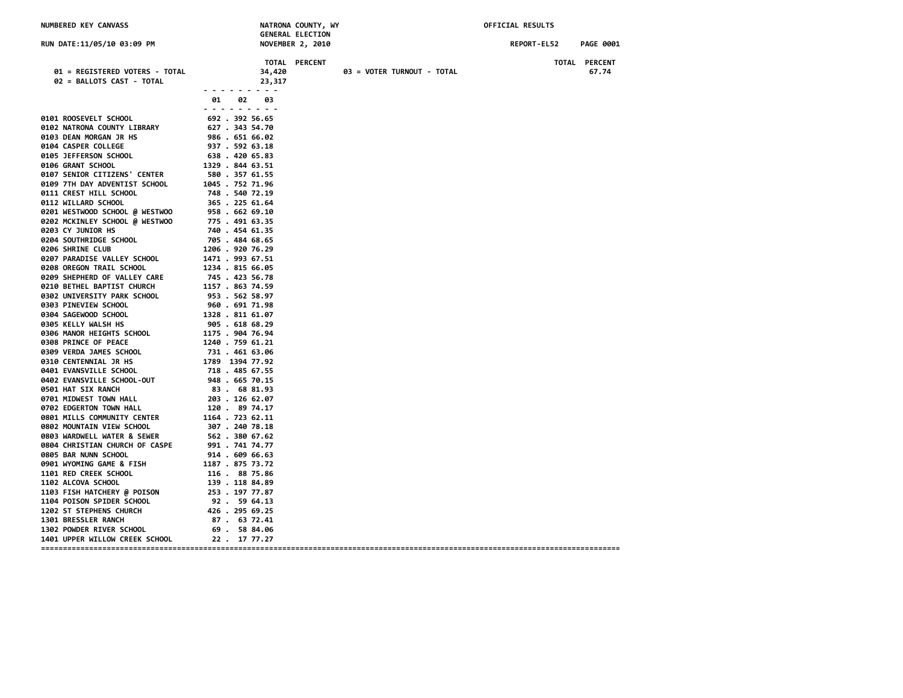| NUMBERED KEY CANVASS                                                                                  |                                                                          | NATRONA COUNTY, WY<br><b>GENERAL ELECTION</b> | OFFICIAL RESULTS                |
|-------------------------------------------------------------------------------------------------------|--------------------------------------------------------------------------|-----------------------------------------------|---------------------------------|
| RUN DATE:11/05/10 03:09 PM                                                                            |                                                                          | <b>NOVEMBER 2, 2010</b>                       | REPORT-EL52<br><b>PAGE 0001</b> |
| 01 = REGISTERED VOTERS - TOTAL<br>02 = BALLOTS CAST - TOTAL                                           | 34,420<br>23,317<br>. <i>.</i>                                           | TOTAL PERCENT<br>03 = VOTER TURNOUT - TOTAL   | TOTAL PERCENT<br>67.74          |
|                                                                                                       | 02<br>03<br>01.<br>.                                                     |                                               |                                 |
| 0101 ROOSEVELT SCHOOL<br>0102 NATRONA COUNTY LIBRARY<br>0103 DEAN MORGAN JR HS<br>0104 CASPER COLLEGE | 692 . 392 56.65<br>627.34354.70<br>986.651.66.02<br>937 . 592 63.18      |                                               |                                 |
| 0105 JEFFERSON SCHOOL<br>0106 GRANT SCHOOL<br>0107 SENIOR CITIZENS' CENTER                            | 638 . 420 65.83<br>1329 . 844 63.51                                      |                                               |                                 |
| 0109 7TH DAY ADVENTIST SCHOOL<br>0111 CREST HILL SCHOOL                                               | 580 . 357 61.55<br>1045 . 752 71.96<br>748 . 540 72.19                   |                                               |                                 |
| 0112 WILLARD SCHOOL<br>0201 WESTWOOD SCHOOL @ WESTWOO                                                 | 365.22561.64<br>958.662 69.10                                            |                                               |                                 |
| 0202 MCKINLEY SCHOOL @ WESTWOO<br>0203 CY JUNIOR HS<br>0204 SOUTHRIDGE SCHOOL                         | 775 . 491 63.35<br>740.454 61.35<br>705.48468.65                         |                                               |                                 |
| 0206 SHRINE CLUB<br>0207 PARADISE VALLEY SCHOOL                                                       | 1206.92076.29<br>1471 . 993 67.51                                        |                                               |                                 |
| 0208 OREGON TRAIL SCHOOL<br>0209 SHEPHERD OF VALLEY CARE<br>0210 BETHEL BAPTIST CHURCH                | 1234 . 815 66.05<br>745 . 423 56.78<br>1157 . 863 74.59                  |                                               |                                 |
| 0302 UNIVERSITY PARK SCHOOL<br>0303 PINEVIEW SCHOOL                                                   | 953.562.58.97<br>960 . 691 71.98                                         |                                               |                                 |
| 0304 SAGEWOOD SCHOOL<br>0305 KELLY WALSH HS<br>0306 MANOR HEIGHTS SCHOOL                              | 1328 . 811 61.07<br>905 . 618 68.29<br>1175 . 904 76.94                  |                                               |                                 |
| 0308 PRINCE OF PEACE<br>0309 VERDA JAMES SCHOOL                                                       | 1240 . 759 61.21<br>731 . 461 63.06                                      |                                               |                                 |
| 0310 CENTENNIAL JR HS<br>0401 EVANSVILLE SCHOOL<br>0402 EVANSVILLE SCHOOL-OUT                         | س∍.ده 1461 1789<br>1789 1394 77.92<br>718 . 485 67.55<br>948 . 665 70.15 |                                               |                                 |
| 0501 HAT SIX RANCH<br>0701 MIDWEST TOWN HALL                                                          | 83. 6881.93<br>203 . 126 62.07                                           |                                               |                                 |
| 0702 EDGERTON TOWN HALL<br>0801 MILLS COMMUNITY CENTER<br>0802 MOUNTAIN VIEW SCHOOL                   | 120. 89 74.17<br>1164.72362.11<br>307 . 240 78.18                        |                                               |                                 |
| 0803 WARDWELL WATER & SEWER<br>0804 CHRISTIAN CHURCH OF CASPE                                         | 562.380.67.62<br>991 . 741 74.77                                         |                                               |                                 |
| 0805 BAR NUNN SCHOOL<br>0901 WYOMING GAME & FISH                                                      | 914 . 609 66.63<br>1187 . 875 73.72                                      |                                               |                                 |
| 1101 RED CREEK SCHOOL<br>1102 ALCOVA SCHOOL<br>1103 FISH HATCHERY @ POISON                            | 116. 88 75.86<br>139 . 118 84.89<br>253 . 197 77.87                      |                                               |                                 |
| 1104 POISON SPIDER SCHOOL<br>1202 ST STEPHENS CHURCH                                                  | 92. 5964.13<br>426 . 295 69.25                                           |                                               |                                 |
| 1301 BRESSLER RANCH<br>1302 POWDER RIVER SCHOOL<br><b>1401 UPPER WILLOW CREEK SCHOOL</b>              | 87. 63 72.41<br>69.5884.06<br>22. 17.77.27                               |                                               |                                 |
|                                                                                                       |                                                                          |                                               |                                 |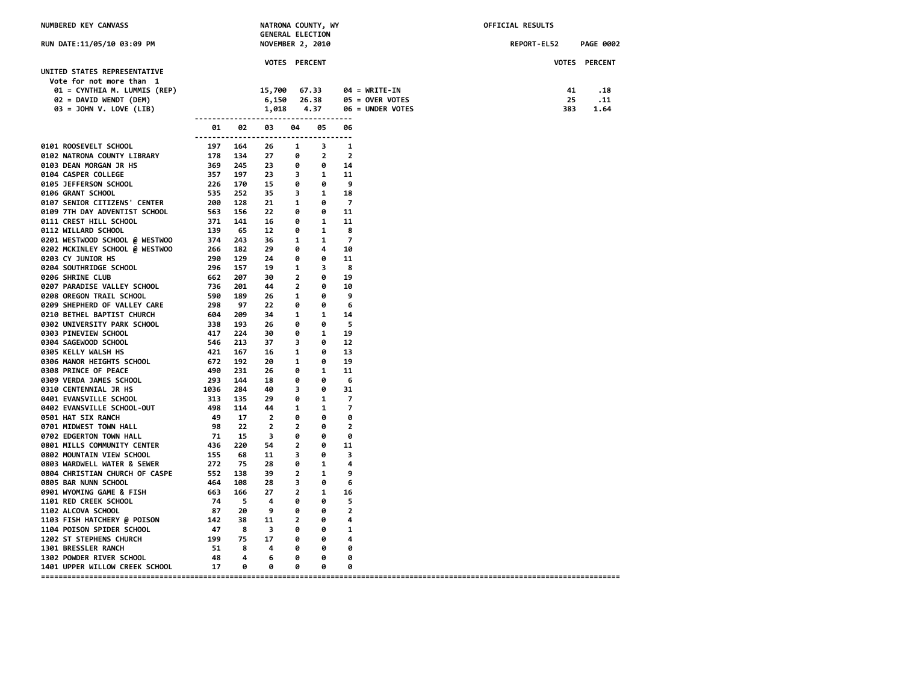| NUMBERED KEY CANVASS                                                                                                                          |                      |     | NATRONA COUNTY, WY<br><b>GENERAL ELECTION</b> |                |                        |                |                                                        | OFFICIAL RESULTS |                      |  |  |
|-----------------------------------------------------------------------------------------------------------------------------------------------|----------------------|-----|-----------------------------------------------|----------------|------------------------|----------------|--------------------------------------------------------|------------------|----------------------|--|--|
| RUN DATE:11/05/10 03:09 PM                                                                                                                    |                      |     | <b>NOVEMBER 2, 2010</b>                       |                |                        |                |                                                        | REPORT-EL52      | <b>PAGE 0002</b>     |  |  |
|                                                                                                                                               |                      |     | <b>VOTES PERCENT</b>                          |                |                        |                |                                                        |                  | <b>VOTES PERCENT</b> |  |  |
| UNITED STATES REPRESENTATIVE<br>Vote for not more than 1<br>01 = CYNTHIA M. LUMMIS (REP)<br>02 = DAVID WENDT (DEM)<br>03 = JOHN V. LOVE (LIB) |                      |     | 15,700<br>6,150<br>1,018                      |                | 67.33<br>26.38<br>4.37 |                | $04 = WRITE-IN$<br>05 = OVER VOTES<br>06 = UNDER VOTES | 41<br>25<br>383  | .18<br>.11<br>1.64   |  |  |
|                                                                                                                                               | -------------------- |     |                                               |                | ---------------        |                |                                                        |                  |                      |  |  |
|                                                                                                                                               | 01                   | 02  | 03                                            | 04             | 05                     | 06             |                                                        |                  |                      |  |  |
| 0101 ROOSEVELT SCHOOL                                                                                                                         | 197                  | 164 | -------------------------------------<br>26   | 1              | 3                      | 1              |                                                        |                  |                      |  |  |
| 0102 NATRONA COUNTY LIBRARY                                                                                                                   | 178                  | 134 | 27                                            | 0              | $\mathbf{2}$           | $\overline{2}$ |                                                        |                  |                      |  |  |
| 0103 DEAN MORGAN JR HS                                                                                                                        | 369                  | 245 | 23                                            | 0              | 0                      | 14             |                                                        |                  |                      |  |  |
| 0104 CASPER COLLEGE                                                                                                                           | 357                  | 197 | 23                                            | 3              | 1                      | 11             |                                                        |                  |                      |  |  |
| 0105 JEFFERSON SCHOOL                                                                                                                         | 226                  | 170 | 15                                            | 0              | 0                      | 9              |                                                        |                  |                      |  |  |
| 0106 GRANT SCHOOL                                                                                                                             | 535                  | 252 | 35                                            | 3              | 1                      | 18             |                                                        |                  |                      |  |  |
| 0107 SENIOR CITIZENS' CENTER                                                                                                                  | 200                  | 128 | 21                                            | 1              | 0                      | 7              |                                                        |                  |                      |  |  |
| 0109 7TH DAY ADVENTIST SCHOOL                                                                                                                 | 563                  | 156 | 22                                            | 0              | 0                      | 11             |                                                        |                  |                      |  |  |
| 0111 CREST HILL SCHOOL                                                                                                                        | 371                  | 141 | 16                                            | 0              | 1                      | 11             |                                                        |                  |                      |  |  |
| 0112 WILLARD SCHOOL                                                                                                                           | 139                  | 65  | 12                                            | 0              | 1                      | 8              |                                                        |                  |                      |  |  |
| 0201 WESTWOOD SCHOOL @ WESTWOO                                                                                                                | 374                  | 243 | 36                                            | 1              | 1                      | 7              |                                                        |                  |                      |  |  |
| 0202 MCKINLEY SCHOOL @ WESTWOO                                                                                                                | 266                  | 182 | 29                                            | ø              | 4                      | 10             |                                                        |                  |                      |  |  |
| 0203 CY JUNIOR HS                                                                                                                             | 290                  | 129 | 24                                            | ø              | ø                      | 11             |                                                        |                  |                      |  |  |
| 0204 SOUTHRIDGE SCHOOL                                                                                                                        | 296                  | 157 | 19                                            | 1              | 3                      | 8              |                                                        |                  |                      |  |  |
| 0206 SHRINE CLUB                                                                                                                              | 662                  | 207 | 30                                            | $\overline{2}$ | ø                      | 19             |                                                        |                  |                      |  |  |
| 0207 PARADISE VALLEY SCHOOL                                                                                                                   | 736                  | 201 | 44                                            | $\overline{2}$ | 0                      | 10             |                                                        |                  |                      |  |  |
| 0208 OREGON TRAIL SCHOOL                                                                                                                      | 590                  | 189 | 26                                            | 1              | 0                      | 9              |                                                        |                  |                      |  |  |
| 0209 SHEPHERD OF VALLEY CARE                                                                                                                  | 298                  | 97  | 22                                            | 0              | 0                      | 6              |                                                        |                  |                      |  |  |
| 0210 BETHEL BAPTIST CHURCH                                                                                                                    | 604                  | 209 | 34                                            | 1              | 1                      | 14             |                                                        |                  |                      |  |  |
| 0302 UNIVERSITY PARK SCHOOL                                                                                                                   | 338                  | 193 | 26                                            | 0              | 0                      | 5              |                                                        |                  |                      |  |  |
| 0303 PINEVIEW SCHOOL                                                                                                                          | 417                  | 224 | 30                                            | 0              | 1                      | 19             |                                                        |                  |                      |  |  |
| 0304 SAGEWOOD SCHOOL                                                                                                                          | 546                  | 213 | 37                                            | 3              | 0                      | 12             |                                                        |                  |                      |  |  |
| 0305 KELLY WALSH HS                                                                                                                           | 421                  | 167 | 16                                            | 1              | 0                      | 13             |                                                        |                  |                      |  |  |
| 0306 MANOR HEIGHTS SCHOOL                                                                                                                     | 672                  | 192 | 20                                            | 1              | 0                      | 19             |                                                        |                  |                      |  |  |
| 0308 PRINCE OF PEACE                                                                                                                          | 490                  | 231 | 26                                            | 0              | 1                      | 11             |                                                        |                  |                      |  |  |
| 0309 VERDA JAMES SCHOOL                                                                                                                       | 293                  | 144 | 18                                            | 0              | 0                      | 6              |                                                        |                  |                      |  |  |
| 0310 CENTENNIAL JR HS                                                                                                                         | 1036                 | 284 | 40                                            | 3              | 0                      | 31             |                                                        |                  |                      |  |  |
| 0401 EVANSVILLE SCHOOL                                                                                                                        | 313                  | 135 | 29                                            | 0              | 1                      | 7              |                                                        |                  |                      |  |  |
| 0402 EVANSVILLE SCHOOL-OUT                                                                                                                    | 498                  | 114 | 44                                            | 1              | 1                      | 7              |                                                        |                  |                      |  |  |
| 0501 HAT SIX RANCH                                                                                                                            | 49                   | 17  | $\overline{2}$                                | ø              | ø                      | 0              |                                                        |                  |                      |  |  |
| 0701 MIDWEST TOWN HALL                                                                                                                        | 98                   | 22  | $\overline{2}$                                | $\overline{2}$ | 0                      | $\overline{2}$ |                                                        |                  |                      |  |  |
| 0702 EDGERTON TOWN HALL                                                                                                                       | 71                   | 15  | 3                                             | 0              | 0                      | 0              |                                                        |                  |                      |  |  |
| 0801 MILLS COMMUNITY CENTER                                                                                                                   | 436                  | 220 | 54                                            | $\overline{2}$ | 0                      | 11             |                                                        |                  |                      |  |  |
| 0802 MOUNTAIN VIEW SCHOOL                                                                                                                     | 155                  | 68  | 11                                            | 3              | 0                      | 3              |                                                        |                  |                      |  |  |
| 0803 WARDWELL WATER & SEWER                                                                                                                   | 272                  | 75  | 28                                            | 0              | 1                      | 4              |                                                        |                  |                      |  |  |
| 0804 CHRISTIAN CHURCH OF CASPE                                                                                                                | 552                  | 138 | 39                                            | $\overline{2}$ | 1                      | 9              |                                                        |                  |                      |  |  |
| 0805 BAR NUNN SCHOOL                                                                                                                          | 464                  | 108 | 28                                            | 3              | 0                      | 6              |                                                        |                  |                      |  |  |
| 0901 WYOMING GAME & FISH                                                                                                                      | 663                  | 166 | 27                                            | $\overline{2}$ | 1                      | 16             |                                                        |                  |                      |  |  |
| 1101 RED CREEK SCHOOL                                                                                                                         | 74                   | -5  | 4                                             | 0              | 0                      | 5              |                                                        |                  |                      |  |  |
| 1102 ALCOVA SCHOOL                                                                                                                            | 87                   | 20  | 9                                             | 0              | 0                      | 2              |                                                        |                  |                      |  |  |
| 1103 FISH HATCHERY @ POISON                                                                                                                   | 142                  | 38  | 11                                            | $\overline{2}$ | 0                      | 4              |                                                        |                  |                      |  |  |
| 1104 POISON SPIDER SCHOOL                                                                                                                     | 47                   | 8   | 3                                             | 0              | 0                      | 1              |                                                        |                  |                      |  |  |
| 1202 ST STEPHENS CHURCH                                                                                                                       | 199                  | 75  | 17                                            | 0              | 0                      | 4              |                                                        |                  |                      |  |  |
| 1301 BRESSLER RANCH                                                                                                                           | 51                   | 8   | 4                                             | 0              | 0                      | 0              |                                                        |                  |                      |  |  |
| 1302 POWDER RIVER SCHOOL                                                                                                                      | 48                   | 4   | 6                                             | ø              | ø                      | ø              |                                                        |                  |                      |  |  |
| 1401 UPPER WILLOW CREEK SCHOOL                                                                                                                | 17                   | ø   | ø                                             | ø              | ø                      | ø              |                                                        |                  |                      |  |  |
|                                                                                                                                               |                      |     |                                               |                |                        |                |                                                        |                  |                      |  |  |

**====================================================================================================================================**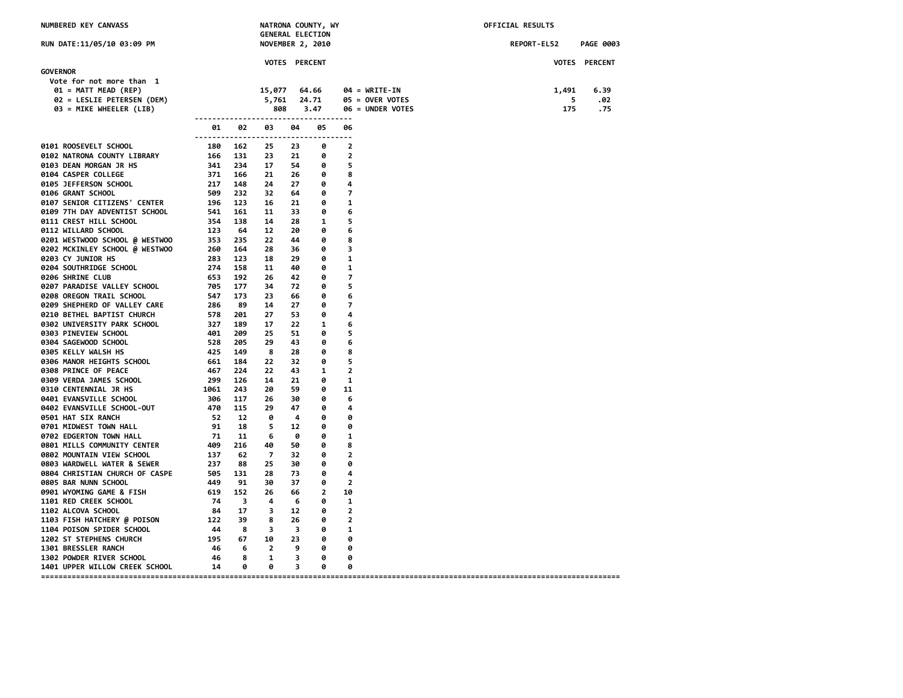| <b>NUMBERED KEY CANVASS</b>    |                             | <b>GENERAL ELECTION</b> |                      | NATRONA COUNTY, WY |                                 |                | OFFICIAL RESULTS                |       |               |
|--------------------------------|-----------------------------|-------------------------|----------------------|--------------------|---------------------------------|----------------|---------------------------------|-------|---------------|
| RUN DATE:11/05/10 03:09 PM     |                             |                         | NOVEMBER 2, 2010     |                    | REPORT-EL52<br><b>PAGE 0003</b> |                |                                 |       |               |
|                                |                             |                         | <b>VOTES PERCENT</b> |                    |                                 |                |                                 |       | VOTES PERCENT |
| <b>GOVERNOR</b>                |                             |                         |                      |                    |                                 |                |                                 |       |               |
| Vote for not more than 1       |                             |                         |                      |                    |                                 |                |                                 |       |               |
| 01 = MATT MEAD (REP)           |                             |                         | 15,077               |                    | 64.66                           |                | $04 = \text{WRITE} - \text{IN}$ | 1,491 | 6.39          |
| 02 = LESLIE PETERSEN (DEM)     |                             |                         | 5,761                |                    | 24.71                           |                | 05 = OVER VOTES                 | 5     | .02           |
| 03 = MIKE WHEELER (LIB)        |                             |                         | 808                  |                    | 3.47                            |                | 06 = UNDER VOTES                | 175   | .75           |
|                                | --------------<br>01        | 02                      | 03                   | 04                 | ---------<br>05                 | 06             |                                 |       |               |
| 0101 ROOSEVELT SCHOOL          | --------------------<br>180 | 162                     | 25                   | -------<br>23      | ---------<br>0                  | $\overline{2}$ |                                 |       |               |
| 0102 NATRONA COUNTY LIBRARY    | 166                         | 131                     | 23                   | 21                 | 0                               | 2              |                                 |       |               |
| 0103 DEAN MORGAN JR HS         | 341                         | 234                     | 17                   | 54                 | 0                               | 5              |                                 |       |               |
| 0104 CASPER COLLEGE            | 371                         | 166                     | 21                   | 26                 | 0                               | 8              |                                 |       |               |
| 0105 JEFFERSON SCHOOL          | 217                         | 148                     | 24                   | 27                 | 0                               | 4              |                                 |       |               |
| 0106 GRANT SCHOOL              | 509                         | 232                     | 32                   | 64                 | 0                               | 7              |                                 |       |               |
| 0107 SENIOR CITIZENS' CENTER   | 196                         | 123                     | 16                   | 21                 | 0                               | 1              |                                 |       |               |
| 0109 7TH DAY ADVENTIST SCHOOL  | 541                         | 161                     | 11                   | 33                 | 0                               | 6              |                                 |       |               |
| 0111 CREST HILL SCHOOL         | 354                         | 138                     | 14                   | 28                 | 1                               | 5              |                                 |       |               |
| 0112 WILLARD SCHOOL            | 123                         | 64                      | 12                   | 20                 | 0                               | 6              |                                 |       |               |
| 0201 WESTWOOD SCHOOL @ WESTWOO | 353                         | 235                     | 22                   | 44                 | 0                               | 8              |                                 |       |               |
| 0202 MCKINLEY SCHOOL @ WESTWOO | 260                         | 164                     | 28                   | 36                 | 0                               | з              |                                 |       |               |
| 0203 CY JUNIOR HS              | 283                         | 123                     | 18                   | 29                 | 0                               | 1              |                                 |       |               |
| 0204 SOUTHRIDGE SCHOOL         | 274                         | 158                     | 11                   | 40                 | 0                               | 1              |                                 |       |               |
| <b>0206 SHRINE CLUB</b>        | 653                         | 192                     | 26                   | 42                 | 0                               | $\overline{7}$ |                                 |       |               |
| 0207 PARADISE VALLEY SCHOOL    | 705                         | 177                     | 34                   | 72                 | 0                               | 5              |                                 |       |               |
| 0208 OREGON TRAIL SCHOOL       | 547                         | 173                     | 23                   | 66                 | 0                               | 6              |                                 |       |               |
| 0209 SHEPHERD OF VALLEY CARE   | 286                         | 89                      | 14                   | 27                 | 0                               | 7              |                                 |       |               |
| 0210 BETHEL BAPTIST CHURCH     | 578                         | 201                     | 27                   | 53                 | 0                               | 4              |                                 |       |               |
| 0302 UNIVERSITY PARK SCHOOL    | 327                         | 189                     | 17                   | 22                 | 1                               | 6              |                                 |       |               |
| 0303 PINEVIEW SCHOOL           | 401                         | 209                     | 25                   | 51                 | 0                               | 5              |                                 |       |               |
| 0304 SAGEWOOD SCHOOL           | 528                         | 205                     | 29                   | 43                 | 0                               | 6              |                                 |       |               |
| 0305 KELLY WALSH HS            | 425                         | 149                     | 8                    | 28                 | 0                               | 8              |                                 |       |               |
| 0306 MANOR HEIGHTS SCHOOL      | 661                         | 184                     | 22                   | 32                 | 0                               | 5              |                                 |       |               |
| 0308 PRINCE OF PEACE           | 467                         | 224                     | 22                   | 43                 | 1                               | $\overline{2}$ |                                 |       |               |
| 0309 VERDA JAMES SCHOOL        | 299                         | 126                     | 14                   | 21                 | 0                               | 1              |                                 |       |               |
| 0310 CENTENNIAL JR HS          | 1061                        | 243                     | 20                   | 59                 | ø                               | 11             |                                 |       |               |
| 0401 EVANSVILLE SCHOOL         | 306                         | 117                     | 26                   | 30                 | 0                               | 6              |                                 |       |               |
| 0402 EVANSVILLE SCHOOL-OUT     | 470                         | 115                     | 29                   | 47                 | 0                               | 4              |                                 |       |               |
| 0501 HAT SIX RANCH             | 52                          | 12                      | 0                    | 4                  | 0                               | 0              |                                 |       |               |
| 0701 MIDWEST TOWN HALL         | 91                          | 18                      | 5                    | 12                 | 0                               | 0              |                                 |       |               |
| 0702 EDGERTON TOWN HALL        | 71                          | 11                      | 6                    | 0                  | 0                               | 1              |                                 |       |               |
| 0801 MILLS COMMUNITY CENTER    | 409                         | 216                     | 40                   | 50                 | 0                               | 8              |                                 |       |               |
| 0802 MOUNTAIN VIEW SCHOOL      | 137                         | 62                      | $\overline{7}$       | 32                 | 0                               | $\overline{2}$ |                                 |       |               |
| 0803 WARDWELL WATER & SEWER    | 237                         | 88                      | 25                   | 30                 | 0                               | 0              |                                 |       |               |
| 0804 CHRISTIAN CHURCH OF CASPE | 505                         | 131                     | 28                   | 73                 | 0                               | 4              |                                 |       |               |
| 0805 BAR NUNN SCHOOL           | 449                         | 91                      | 30                   | 37                 | 0                               | $\overline{2}$ |                                 |       |               |
| 0901 WYOMING GAME & FISH       | 619                         | 152                     | 26                   | 66                 | $\overline{2}$                  | 10             |                                 |       |               |
| 1101 RED CREEK SCHOOL          | 74                          | 3                       | 4                    | 6                  | 0                               | 1              |                                 |       |               |
| 1102 ALCOVA SCHOOL             | 84                          | 17                      | 3                    | 12                 | 0                               | 2              |                                 |       |               |
| 1103 FISH HATCHERY @ POISON    | 122                         | 39                      | 8                    | 26                 | 0                               | $\overline{2}$ |                                 |       |               |
| 1104 POISON SPIDER SCHOOL      | 44                          | 8                       | 3                    | 3                  | 0                               | 1              |                                 |       |               |
| 1202 ST STEPHENS CHURCH        | 195                         | 67                      | 10                   | 23                 | 0                               | 0              |                                 |       |               |
| 1301 BRESSLER RANCH            | 46                          | 6                       | $\overline{2}$       | 9                  | 0                               | 0              |                                 |       |               |
| 1302 POWDER RIVER SCHOOL       | 46                          | 8                       | 1                    | 3                  | 0                               | 0              |                                 |       |               |
| 1401 UPPER WILLOW CREEK SCHOOL | 14                          | 0                       | 0                    | 3                  | 0                               | 0              |                                 |       |               |

**====================================================================================================================================**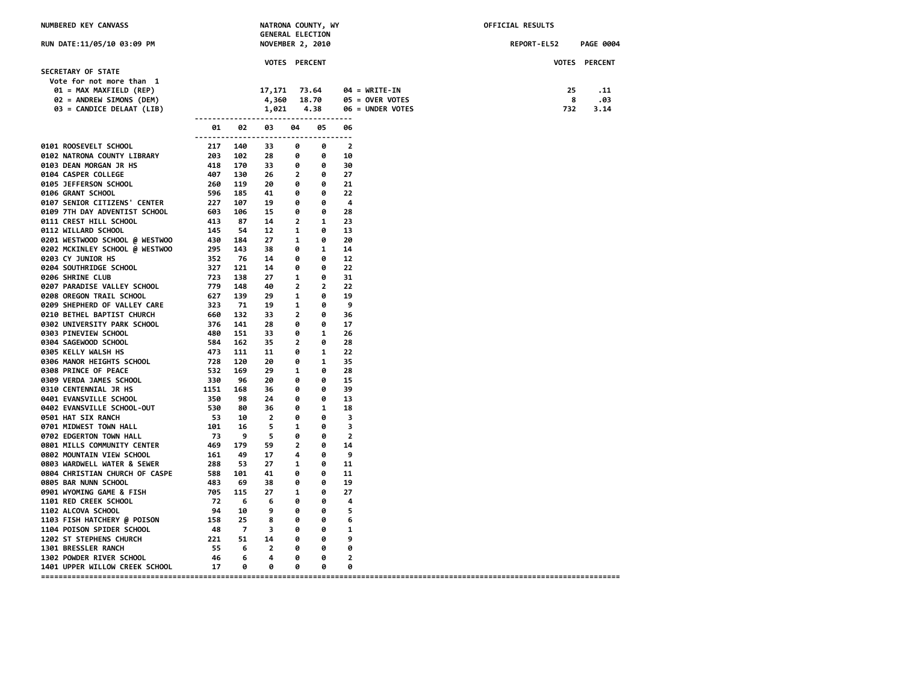| NUMBERED KEY CANVASS                                       |            |                          | NATRONA COUNTY, WY<br><b>GENERAL ELECTION</b> |                              |                     |                         |                        | OFFICIAL RESULTS |             |                  |
|------------------------------------------------------------|------------|--------------------------|-----------------------------------------------|------------------------------|---------------------|-------------------------|------------------------|------------------|-------------|------------------|
| RUN DATE:11/05/10 03:09 PM                                 |            |                          | NOVEMBER 2, 2010                              |                              |                     |                         |                        |                  | REPORT-EL52 | <b>PAGE 0004</b> |
|                                                            |            |                          | VOTES PERCENT                                 |                              |                     |                         |                        |                  |             | VOTES PERCENT    |
| SECRETARY OF STATE                                         |            |                          |                                               |                              |                     |                         |                        |                  |             |                  |
| Vote for not more than 1<br>01 = MAX MAXFIELD (REP)        |            |                          | 17,171                                        |                              | 73.64               |                         | $04 = \text{WRITE-IN}$ |                  | 25          | . 11             |
| 02 = ANDREW SIMONS (DEM)                                   |            |                          | 4,360                                         |                              | 18.70               |                         | $05 =$ OVER VOTES      |                  | 8           | .03              |
| 03 = CANDICE DELAAT (LIB)                                  |            |                          | 1,021                                         |                              | 4.38                |                         | 06 = UNDER VOTES       |                  | 732         | 3.14             |
|                                                            |            |                          |                                               |                              |                     |                         |                        |                  |             |                  |
|                                                            | 01         | 02                       | 03<br>-------------------------------------   | 04                           | 05                  | 06                      |                        |                  |             |                  |
| 0101 ROOSEVELT SCHOOL                                      | 217        | 140                      | 33                                            | 0                            | 0                   | $\overline{\mathbf{2}}$ |                        |                  |             |                  |
| 0102 NATRONA COUNTY LIBRARY                                |            | 203 102                  | 28                                            | 0                            | $\bullet$           | 10                      |                        |                  |             |                  |
| 0103 DEAN MORGAN JR HS                                     |            | 203 102<br>418 170       | 33                                            | 0                            | $\bullet$           | 30                      |                        |                  |             |                  |
| 0104 CASPER COLLEGE                                        | 407 130    |                          | 26                                            | $\overline{2}$               | $\bullet$           | 27                      |                        |                  |             |                  |
| 0105 JEFFERSON SCHOOL                                      | 260 119    |                          | 20                                            | 0                            | 0                   | 21                      |                        |                  |             |                  |
| 0106 GRANT SCHOOL                                          | 596        | 185                      | 41                                            | 0                            | 0                   | 22                      |                        |                  |             |                  |
| 0107 SENIOR CITIZENS' CENTER                               | 227        | 107                      | 19                                            | 0                            | $\bullet$           | 4                       |                        |                  |             |                  |
| 0109 7TH DAY ADVENTIST SCHOOL                              | 603 106    |                          | 15                                            | 0                            | ø                   | 28                      |                        |                  |             |                  |
| 0111 CREST HILL SCHOOL                                     | 413        | 87                       | 14                                            | $\overline{2}$               | $\mathbf{1}$        | 23                      |                        |                  |             |                  |
| 0112 WILLARD SCHOOL                                        | 145        | - 54                     | 12                                            | $\mathbf{1}$                 | 0                   | 13                      |                        |                  |             |                  |
| 0201 WESTWOOD SCHOOL @ WESTWOO                             | 430 184    |                          | 27                                            | $\mathbf{1}$                 | 0                   | 20                      |                        |                  |             |                  |
| 0202 MCKINLEY SCHOOL @ WESTWOO                             | 295        | 143                      | 38                                            | 0                            | $\mathbf{1}$        | 14                      |                        |                  |             |                  |
| 0203 CY JUNIOR HS                                          | 352        | 76                       | 14                                            | 0                            | 0                   | 12                      |                        |                  |             |                  |
| 0204 SOUTHRIDGE SCHOOL                                     | 327        | 121                      | 14                                            | 0                            | 0                   | 22                      |                        |                  |             |                  |
| 0206 SHRINE CLUB                                           | 723        | 138                      | 27                                            | $\mathbf{1}$                 | 0                   | 31                      |                        |                  |             |                  |
| 0207 PARADISE VALLEY SCHOOL                                | 779 148    | 139                      | 40<br>29                                      | $\overline{2}$               | $\overline{2}$<br>0 | 22<br>19                |                        |                  |             |                  |
| 0208 OREGON TRAIL SCHOOL                                   | 627<br>323 | 71                       | 19                                            | $\mathbf{1}$<br>$\mathbf{1}$ | 0                   | 9                       |                        |                  |             |                  |
| 0209 SHEPHERD OF VALLEY CARE<br>0210 BETHEL BAPTIST CHURCH | 660 132    |                          | 33                                            | $\overline{2}$               | 0                   | 36                      |                        |                  |             |                  |
| 0302 UNIVERSITY PARK SCHOOL                                | 376 141    |                          | 28                                            | 0                            | 0                   | 17                      |                        |                  |             |                  |
| 0303 PINEVIEW SCHOOL                                       | 480 151    |                          | 33                                            | ø                            | 1                   | 26                      |                        |                  |             |                  |
| 0304 SAGEWOOD SCHOOL<br>584 162                            |            |                          | 35                                            | $\overline{2}$               | 0                   | 28                      |                        |                  |             |                  |
| 0305 KELLY WALSH HS                                        |            |                          | 11                                            | ø                            | 1                   | 22                      |                        |                  |             |                  |
| 0306 MANOR HEIGHTS SCHOOL                                  |            | 473 111<br>728 120       | 20                                            | 0                            | 1                   | 35                      |                        |                  |             |                  |
| 0308 PRINCE OF PEACE                                       | 532 169    |                          | 29                                            | $\mathbf{1}$                 | 0                   | 28                      |                        |                  |             |                  |
| 0309 VERDA JAMES SCHOOL                                    | 330        | 96                       | 20                                            | 0                            | 0                   | 15                      |                        |                  |             |                  |
| <b>0310 CENTENNIAL JR HS</b>                               | 1151       | 168                      | 36                                            | 0                            | 0                   | 39                      |                        |                  |             |                  |
| 0401 EVANSVILLE SCHOOL                                     | 350        | 98                       | 24                                            | 0                            | 0                   | 13                      |                        |                  |             |                  |
| 0402 EVANSVILLE SCHOOL-OUT                                 | 530        | 80                       | 36                                            | 0                            | $\mathbf{1}$        | 18                      |                        |                  |             |                  |
| 0501 HAT SIX RANCH                                         | 53         | 10                       | $\overline{\phantom{a}}$                      | 0                            | 0                   | 3                       |                        |                  |             |                  |
| 0701 MIDWEST TOWN HALL                                     | 101        | 16                       | 5                                             | $\mathbf{1}$                 | 0                   | 3                       |                        |                  |             |                  |
| 0702 EDGERTON TOWN HALL                                    | 73         | - 9                      | 5                                             | 0                            | 0                   | $\overline{2}$          |                        |                  |             |                  |
| 0801 MILLS COMMUNITY CENTER                                | 469 179    |                          | 59                                            | $\overline{2}$               | 0                   | 14                      |                        |                  |             |                  |
| 0802 MOUNTAIN VIEW SCHOOL                                  | 161        | 49                       | 17                                            | 4                            | 0                   | 9                       |                        |                  |             |                  |
| 0803 WARDWELL WATER & SEWER                                | 288        | 53                       | 27                                            | -1                           | 0                   | 11                      |                        |                  |             |                  |
| 0804 CHRISTIAN CHURCH OF CASPE                             | 588 101    |                          | 41                                            | ø                            | 0                   | 11                      |                        |                  |             |                  |
| 0805 BAR NUNN SCHOOL                                       | 483        | 69                       | 38                                            | ø                            | 0                   | 19                      |                        |                  |             |                  |
| 0901 WYOMING GAME & FISH                                   | 705 115    |                          | 27                                            | $\mathbf{1}$                 | 0                   | 27                      |                        |                  |             |                  |
| 1101 RED CREEK SCHOOL                                      | 72         | $6^{\circ}$              | 6                                             | ø                            | ø                   | 4                       |                        |                  |             |                  |
| 1102 ALCOVA SCHOOL                                         | 94 10      |                          | 9                                             | ø                            | 0                   | 5                       |                        |                  |             |                  |
| 1103 FISH HATCHERY @ POISON                                | 158        | 25                       | 8                                             | ø                            | 0                   | 6                       |                        |                  |             |                  |
| 1104 POISON SPIDER SCHOOL                                  |            |                          | 48 7 3                                        | 0                            | 0                   | 1                       |                        |                  |             |                  |
| 1202 ST STEPHENS CHURCH                                    | 221        | 51                       | 14                                            | ø                            | $\theta$            | 9                       |                        |                  |             |                  |
| 1301 BRESSLER RANCH                                        |            | 55 6                     | $\overline{\phantom{a}}$ 2                    | ø                            | $\bullet$           | 0                       |                        |                  |             |                  |
| 1302 POWDER RIVER SCHOOL                                   | 46         | $\overline{\phantom{0}}$ | 4                                             | 0                            | 0                   | $\overline{2}$          |                        |                  |             |                  |
| 17<br>1401 UPPER WILLOW CREEK SCHOOL                       |            | 0                        | 0                                             | 0                            | 0                   | 0                       |                        |                  |             |                  |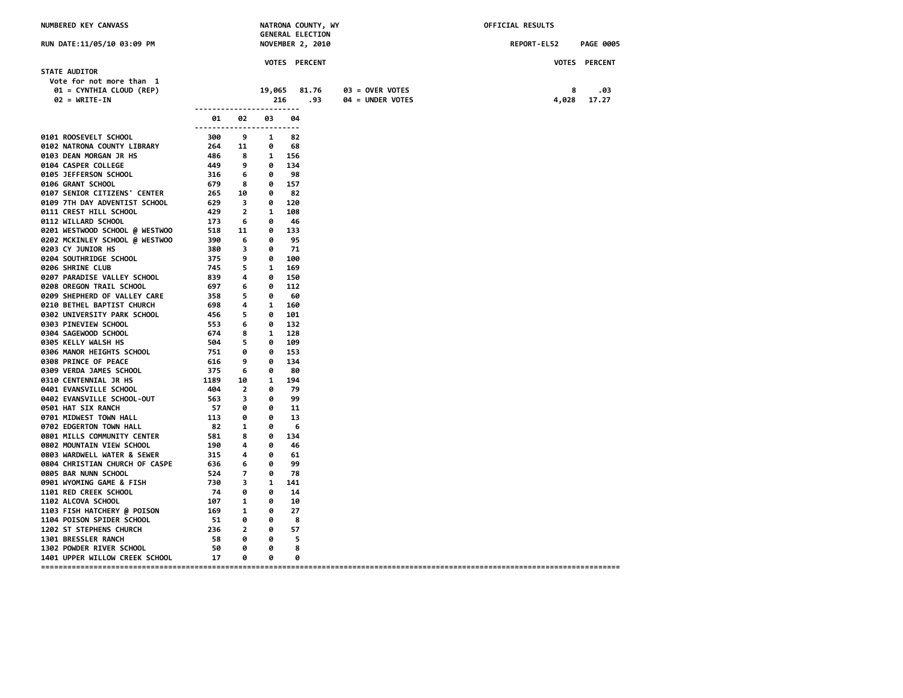| NUMBERED KEY CANVASS                                                                                                                                                                                                                       |                                                                                                                                                                                                                                                                                            |           |                                       |                      | NATRONA COUNTY, WY<br><b>GENERAL ELECTION</b> |                                     | OFFICIAL RESULTS |                                 |                      |  |  |
|--------------------------------------------------------------------------------------------------------------------------------------------------------------------------------------------------------------------------------------------|--------------------------------------------------------------------------------------------------------------------------------------------------------------------------------------------------------------------------------------------------------------------------------------------|-----------|---------------------------------------|----------------------|-----------------------------------------------|-------------------------------------|------------------|---------------------------------|----------------------|--|--|
| RUN DATE:11/05/10 03:09 PM                                                                                                                                                                                                                 |                                                                                                                                                                                                                                                                                            |           |                                       |                      | NOVEMBER 2, 2010                              |                                     |                  | REPORT-EL52<br><b>PAGE 0005</b> |                      |  |  |
|                                                                                                                                                                                                                                            |                                                                                                                                                                                                                                                                                            |           |                                       | <b>VOTES PERCENT</b> |                                               |                                     |                  |                                 | <b>VOTES PERCENT</b> |  |  |
| <b>STATE AUDITOR</b><br>Vote for not more than 1                                                                                                                                                                                           |                                                                                                                                                                                                                                                                                            |           |                                       |                      |                                               |                                     |                  |                                 |                      |  |  |
| 01 = CYNTHIA CLOUD (REP)<br>$02 = WRITE-IN$                                                                                                                                                                                                | <u>------------------------</u>                                                                                                                                                                                                                                                            |           |                                       | 19,065 81.76<br>216  | .93                                           | 03 = OVER VOTES<br>04 = UNDER VOTES |                  | 8<br>4,028                      | .03<br>17.27         |  |  |
|                                                                                                                                                                                                                                            | 01 02<br>------------------------                                                                                                                                                                                                                                                          |           | 03                                    | 04                   |                                               |                                     |                  |                                 |                      |  |  |
| 9101 ROOSEVELT SCHOOL 300 9 1 82<br>9102 NATRONA COUNTY LIBRARY 264 11 0 68<br>9103 DEAN MORGAN JR HS 486 8 1 156<br>9104 CASPER COLLEGE 449 9 0 134<br>9105 JEFFERSON SCHOOL 316 6 0 98<br>9106 GRANT SCHOOL 679 8 0 157<br>9107 SENIOR C |                                                                                                                                                                                                                                                                                            |           |                                       |                      |                                               |                                     |                  |                                 |                      |  |  |
|                                                                                                                                                                                                                                            |                                                                                                                                                                                                                                                                                            |           |                                       |                      |                                               |                                     |                  |                                 |                      |  |  |
|                                                                                                                                                                                                                                            |                                                                                                                                                                                                                                                                                            |           |                                       |                      |                                               |                                     |                  |                                 |                      |  |  |
|                                                                                                                                                                                                                                            |                                                                                                                                                                                                                                                                                            |           |                                       |                      |                                               |                                     |                  |                                 |                      |  |  |
|                                                                                                                                                                                                                                            |                                                                                                                                                                                                                                                                                            |           |                                       |                      |                                               |                                     |                  |                                 |                      |  |  |
|                                                                                                                                                                                                                                            |                                                                                                                                                                                                                                                                                            |           |                                       |                      |                                               |                                     |                  |                                 |                      |  |  |
|                                                                                                                                                                                                                                            |                                                                                                                                                                                                                                                                                            |           |                                       |                      |                                               |                                     |                  |                                 |                      |  |  |
| 9109 71 H JAN ALLASCHOOL<br>9111 CREST HILL SCHOOL<br>91201 WESTWOOD SCHOOL @ WESTWOO 518 11 0 133<br>9201 WESTWOOD SCHOOL @ WESTWOO 518 11 0 133<br>9202 MCKINLEY SCHOOL @ WESTWOO 390 6 0 95<br>380 3 0 71<br>9 0 100                    |                                                                                                                                                                                                                                                                                            |           |                                       |                      |                                               |                                     |                  |                                 |                      |  |  |
|                                                                                                                                                                                                                                            |                                                                                                                                                                                                                                                                                            |           |                                       |                      |                                               |                                     |                  |                                 |                      |  |  |
|                                                                                                                                                                                                                                            |                                                                                                                                                                                                                                                                                            |           |                                       |                      |                                               |                                     |                  |                                 |                      |  |  |
|                                                                                                                                                                                                                                            |                                                                                                                                                                                                                                                                                            |           |                                       |                      |                                               |                                     |                  |                                 |                      |  |  |
|                                                                                                                                                                                                                                            |                                                                                                                                                                                                                                                                                            |           |                                       |                      |                                               |                                     |                  |                                 |                      |  |  |
|                                                                                                                                                                                                                                            | $\begin{array}{cccccc} 380 & 3 & 0 & 71 \\ 375 & 9 & 0 & 100 \\ 745 & 5 & 1 & 169 \\ 839 & 4 & 0 & 150 \\ 697 & 6 & 0 & 112 \\ 558 & 5 & 0 & 60 \\ 698 & 4 & 1 & 160 \\ 456 & 5 & 0 & 101 \\ 553 & 6 & 0 & 132 \\ 674 & 8 & 1 & 128 \\ 504 & 5 & 0 & 109 \\ 751 & 0 & 0 & 153 \end{array}$ |           |                                       |                      |                                               |                                     |                  |                                 |                      |  |  |
| 0206 SHRINE CLUB                                                                                                                                                                                                                           |                                                                                                                                                                                                                                                                                            |           |                                       |                      |                                               |                                     |                  |                                 |                      |  |  |
| 0207 PARADISE VALLEY SCHOOL<br>0208 OREGON TRAIL SCHOOL                                                                                                                                                                                    |                                                                                                                                                                                                                                                                                            |           |                                       |                      |                                               |                                     |                  |                                 |                      |  |  |
| 0209 SHEPHERD OF VALLEY CARE                                                                                                                                                                                                               |                                                                                                                                                                                                                                                                                            |           |                                       |                      |                                               |                                     |                  |                                 |                      |  |  |
| 0210 BETHEL BAPTIST CHURCH                                                                                                                                                                                                                 |                                                                                                                                                                                                                                                                                            |           |                                       |                      |                                               |                                     |                  |                                 |                      |  |  |
| 0302 UNIVERSITY PARK SCHOOL                                                                                                                                                                                                                |                                                                                                                                                                                                                                                                                            |           |                                       |                      |                                               |                                     |                  |                                 |                      |  |  |
| 0303 PINEVIEW SCHOOL                                                                                                                                                                                                                       |                                                                                                                                                                                                                                                                                            |           |                                       |                      |                                               |                                     |                  |                                 |                      |  |  |
| 0304 SAGEWOOD SCHOOL                                                                                                                                                                                                                       |                                                                                                                                                                                                                                                                                            |           |                                       |                      |                                               |                                     |                  |                                 |                      |  |  |
| 0305 KELLY WALSH HS                                                                                                                                                                                                                        |                                                                                                                                                                                                                                                                                            |           |                                       |                      |                                               |                                     |                  |                                 |                      |  |  |
| 0306 MANOR HEIGHTS SCHOOL                                                                                                                                                                                                                  | $751$ 0 0 153                                                                                                                                                                                                                                                                              |           |                                       |                      |                                               |                                     |                  |                                 |                      |  |  |
| 0308 PRINCE OF PEACE                                                                                                                                                                                                                       |                                                                                                                                                                                                                                                                                            |           |                                       |                      |                                               |                                     |                  |                                 |                      |  |  |
| 0309 VERDA JAMES SCHOOL                                                                                                                                                                                                                    |                                                                                                                                                                                                                                                                                            |           |                                       |                      |                                               |                                     |                  |                                 |                      |  |  |
| <b>0310 CENTENNIAL JR HS</b>                                                                                                                                                                                                               | $616$ 9 0 133<br>375 6 0 80<br>1189 10 1 194<br>200                                                                                                                                                                                                                                        |           |                                       |                      |                                               |                                     |                  |                                 |                      |  |  |
| 0401 EVANSVILLE SCHOOL<br>--- 1994<br>9402 EVANSVILLE SCHOOL-OUT 404 2 0 79<br>9501 HAT SIX RANCH<br>9501 HAT SIX RANCH                                                                                                                    |                                                                                                                                                                                                                                                                                            |           |                                       |                      |                                               |                                     |                  |                                 |                      |  |  |
|                                                                                                                                                                                                                                            |                                                                                                                                                                                                                                                                                            |           |                                       |                      |                                               |                                     |                  |                                 |                      |  |  |
|                                                                                                                                                                                                                                            |                                                                                                                                                                                                                                                                                            |           |                                       |                      |                                               |                                     |                  |                                 |                      |  |  |
| 0701 MIDWEST TOWN HALL<br>0702 EDGERTON TOWN HALL                                                                                                                                                                                          |                                                                                                                                                                                                                                                                                            |           |                                       |                      |                                               |                                     |                  |                                 |                      |  |  |
| 0801 MILLS COMMUNITY CENTER                                                                                                                                                                                                                | $57$ $6$ $6$ $11$<br>$113$ $6$ $6$ $13$<br>$82$ $1$ $6$ $6$<br>$581$ $8$ $6$ $134$<br>$196$ $4$ $6$ $46$<br>$154$                                                                                                                                                                          |           |                                       |                      |                                               |                                     |                  |                                 |                      |  |  |
| 0802 MOUNTAIN VIEW SCHOOL                                                                                                                                                                                                                  |                                                                                                                                                                                                                                                                                            |           |                                       |                      |                                               |                                     |                  |                                 |                      |  |  |
|                                                                                                                                                                                                                                            |                                                                                                                                                                                                                                                                                            |           | $\theta$                              | 61                   |                                               |                                     |                  |                                 |                      |  |  |
| 9803 WARDWELL WATER & SEWER 315 4<br>0804 CHRISTIAN CHURCH OF CASPE 636 6                                                                                                                                                                  |                                                                                                                                                                                                                                                                                            |           | $\theta$                              | 99                   |                                               |                                     |                  |                                 |                      |  |  |
| 0805 BAR NUNN SCHOOL                                                                                                                                                                                                                       |                                                                                                                                                                                                                                                                                            |           | $\theta$                              | - 78                 |                                               |                                     |                  |                                 |                      |  |  |
| 0901 WYOMING GAME & FISH                                                                                                                                                                                                                   | ہ<br>7 – 524<br>730 – 74<br>74                                                                                                                                                                                                                                                             |           | 1 141                                 |                      |                                               |                                     |                  |                                 |                      |  |  |
| 1101 RED CREEK SCHOOL                                                                                                                                                                                                                      |                                                                                                                                                                                                                                                                                            |           | 0                                     | 14                   |                                               |                                     |                  |                                 |                      |  |  |
| <b>1102 ALCOVA SCHOOL</b>                                                                                                                                                                                                                  | $107$ 1<br>$169$ 1<br>$169$ 1                                                                                                                                                                                                                                                              |           | 0                                     | 10                   |                                               |                                     |                  |                                 |                      |  |  |
| 1103 FISH HATCHERY @ POISON                                                                                                                                                                                                                |                                                                                                                                                                                                                                                                                            |           | $\theta$                              | 27                   |                                               |                                     |                  |                                 |                      |  |  |
| 1104 POISON SPIDER SCHOOL                                                                                                                                                                                                                  | 51 0                                                                                                                                                                                                                                                                                       |           | ø                                     | 8                    |                                               |                                     |                  |                                 |                      |  |  |
| 1202 ST STEPHENS CHURCH                                                                                                                                                                                                                    | $236$ 2 0<br>58 0                                                                                                                                                                                                                                                                          |           |                                       | -57                  |                                               |                                     |                  |                                 |                      |  |  |
| 1301 BRESSLER RANCH<br>1302 POWDER RIVER SCHOOL                                                                                                                                                                                            | 50                                                                                                                                                                                                                                                                                         | $\bullet$ | $\theta$ 5<br>$\overline{\mathbf{0}}$ | 8                    |                                               |                                     |                  |                                 |                      |  |  |
| 1401 UPPER WILLOW CREEK SCHOOL                                                                                                                                                                                                             | 17                                                                                                                                                                                                                                                                                         | 0         | 0                                     | 0                    |                                               |                                     |                  |                                 |                      |  |  |
|                                                                                                                                                                                                                                            |                                                                                                                                                                                                                                                                                            |           |                                       |                      |                                               |                                     |                  |                                 |                      |  |  |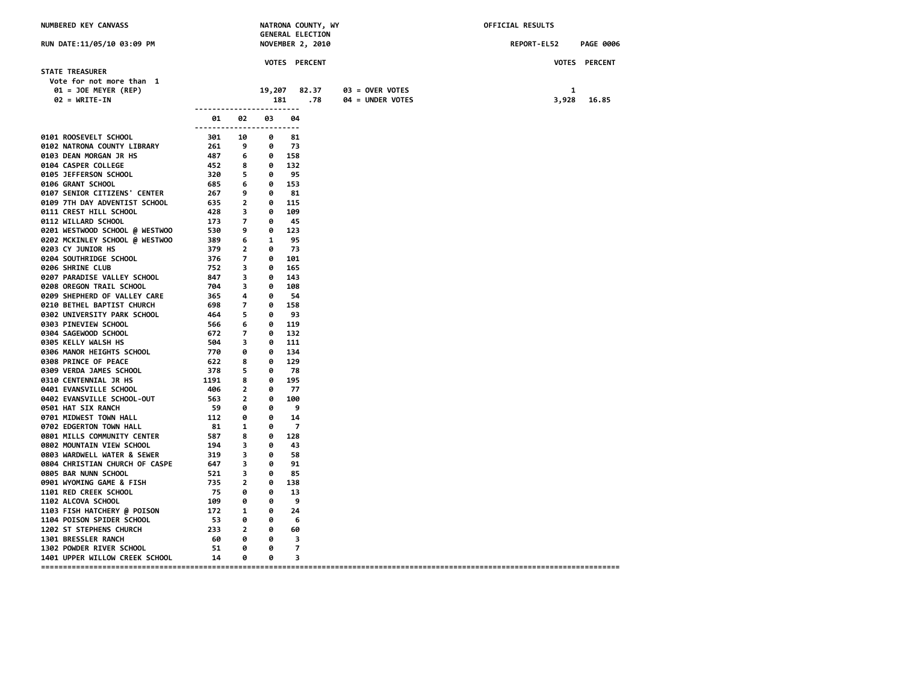| NUMBERED KEY CANVASS                                                                                                                                                                                                                            |                           |          |           |                            | NATRONA COUNTY, WY<br><b>GENERAL ELECTION</b> |                  |  | OFFICIAL RESULTS |       |                      |
|-------------------------------------------------------------------------------------------------------------------------------------------------------------------------------------------------------------------------------------------------|---------------------------|----------|-----------|----------------------------|-----------------------------------------------|------------------|--|------------------|-------|----------------------|
| RUN DATE:11/05/10 03:09 PM                                                                                                                                                                                                                      |                           |          |           |                            | <b>NOVEMBER 2, 2010</b>                       |                  |  | REPORT-EL52      |       | <b>PAGE 0006</b>     |
| <b>STATE TREASURER</b>                                                                                                                                                                                                                          |                           |          |           |                            | <b>VOTES PERCENT</b>                          |                  |  |                  |       | <b>VOTES PERCENT</b> |
| Vote for not more than 1                                                                                                                                                                                                                        |                           |          |           |                            |                                               |                  |  |                  |       |                      |
| 01 = JOE MEYER (REP)                                                                                                                                                                                                                            |                           |          |           |                            | 19,207 82.37                                  | 03 = OVER VOTES  |  |                  | 1     |                      |
| $02 = WRITE-IN$                                                                                                                                                                                                                                 |                           |          | 181       |                            | .78                                           | 04 = UNDER VOTES |  |                  | 3,928 | 16.85                |
|                                                                                                                                                                                                                                                 | ------------------------- |          |           |                            |                                               |                  |  |                  |       |                      |
| 9101 ROOSEVELT SCHOOL<br>9102 NATRONA COUNTY LTBRARY<br>9102 NATRONA COUNTY LTBRARY<br>9102 DEAN MORGAN JR HS<br>9103 DEAN MORGAN JR HS<br>9163 DEAN MORGAN JR HS<br>9163 DEAN MORGAN JR HS<br>9163 SETFERSON SCHOOL<br>929 Se 95<br>9164 GARNT | ------------------------  | 01 02    | 03        | 04                         |                                               |                  |  |                  |       |                      |
|                                                                                                                                                                                                                                                 |                           |          |           |                            |                                               |                  |  |                  |       |                      |
|                                                                                                                                                                                                                                                 |                           |          |           |                            |                                               |                  |  |                  |       |                      |
|                                                                                                                                                                                                                                                 |                           |          |           |                            |                                               |                  |  |                  |       |                      |
|                                                                                                                                                                                                                                                 |                           |          |           |                            |                                               |                  |  |                  |       |                      |
|                                                                                                                                                                                                                                                 |                           |          |           |                            |                                               |                  |  |                  |       |                      |
|                                                                                                                                                                                                                                                 |                           |          |           |                            |                                               |                  |  |                  |       |                      |
|                                                                                                                                                                                                                                                 |                           |          |           |                            |                                               |                  |  |                  |       |                      |
|                                                                                                                                                                                                                                                 |                           |          |           |                            |                                               |                  |  |                  |       |                      |
|                                                                                                                                                                                                                                                 |                           |          |           |                            |                                               |                  |  |                  |       |                      |
|                                                                                                                                                                                                                                                 |                           |          |           |                            |                                               |                  |  |                  |       |                      |
|                                                                                                                                                                                                                                                 |                           |          |           |                            |                                               |                  |  |                  |       |                      |
|                                                                                                                                                                                                                                                 |                           |          |           |                            |                                               |                  |  |                  |       |                      |
|                                                                                                                                                                                                                                                 |                           |          |           |                            |                                               |                  |  |                  |       |                      |
|                                                                                                                                                                                                                                                 |                           |          |           |                            |                                               |                  |  |                  |       |                      |
|                                                                                                                                                                                                                                                 |                           |          |           |                            |                                               |                  |  |                  |       |                      |
|                                                                                                                                                                                                                                                 |                           |          |           |                            |                                               |                  |  |                  |       |                      |
|                                                                                                                                                                                                                                                 |                           |          |           |                            |                                               |                  |  |                  |       |                      |
|                                                                                                                                                                                                                                                 |                           |          |           |                            |                                               |                  |  |                  |       |                      |
|                                                                                                                                                                                                                                                 |                           |          |           |                            |                                               |                  |  |                  |       |                      |
|                                                                                                                                                                                                                                                 |                           |          |           |                            |                                               |                  |  |                  |       |                      |
|                                                                                                                                                                                                                                                 |                           |          |           |                            |                                               |                  |  |                  |       |                      |
|                                                                                                                                                                                                                                                 |                           |          |           |                            |                                               |                  |  |                  |       |                      |
|                                                                                                                                                                                                                                                 |                           |          |           |                            |                                               |                  |  |                  |       |                      |
|                                                                                                                                                                                                                                                 |                           |          |           |                            |                                               |                  |  |                  |       |                      |
|                                                                                                                                                                                                                                                 |                           |          |           |                            |                                               |                  |  |                  |       |                      |
| <b>0310 CENTENNIAL JR HS<br/>0401 EVANSVILLE SCHOOL<br/>0402 EVANSVILLE SCHOOL-OUT</b>                                                                                                                                                          |                           |          |           |                            |                                               |                  |  |                  |       |                      |
|                                                                                                                                                                                                                                                 |                           |          | 0         | - 77                       |                                               |                  |  |                  |       |                      |
|                                                                                                                                                                                                                                                 |                           |          |           | 0 100                      |                                               |                  |  |                  |       |                      |
|                                                                                                                                                                                                                                                 |                           |          | 0         | و ۔                        |                                               |                  |  |                  |       |                      |
|                                                                                                                                                                                                                                                 |                           |          | 0<br>0    | 14<br>$\overline{7}$       |                                               |                  |  |                  |       |                      |
|                                                                                                                                                                                                                                                 |                           |          | 0 128     |                            |                                               |                  |  |                  |       |                      |
|                                                                                                                                                                                                                                                 |                           |          | 0         | 43                         |                                               |                  |  |                  |       |                      |
|                                                                                                                                                                                                                                                 |                           |          | $\theta$  | 58                         |                                               |                  |  |                  |       |                      |
|                                                                                                                                                                                                                                                 |                           |          | 0         | 91                         |                                               |                  |  |                  |       |                      |
|                                                                                                                                                                                                                                                 |                           |          | 0         | 85                         |                                               |                  |  |                  |       |                      |
|                                                                                                                                                                                                                                                 |                           |          |           | 0 138                      |                                               |                  |  |                  |       |                      |
|                                                                                                                                                                                                                                                 |                           |          | 0         | 13                         |                                               |                  |  |                  |       |                      |
| 0310 CENTENNIAL JR HS 0401 EVANSVILLE SCHOOL<br>0402 EVANSVILLE SCHOOL<br>0402 EVANSVILLE SCHOOL<br>0402 EVANSVILLE SCHOOL<br>0702 EDGERTON TOWN HALL 0520 0<br>0702 EDGERTON TOWN HALL 012 0<br>0702 EDGERTON TOWN HALL 012 0<br>0702 EDGER    |                           |          | 0         | - 9                        |                                               |                  |  |                  |       |                      |
|                                                                                                                                                                                                                                                 |                           |          | 0         | 24                         |                                               |                  |  |                  |       |                      |
|                                                                                                                                                                                                                                                 |                           |          | $\bullet$ | 6                          |                                               |                  |  |                  |       |                      |
|                                                                                                                                                                                                                                                 |                           |          | $\bullet$ | 60                         |                                               |                  |  |                  |       |                      |
| 1301 BRESSLER RANCH                                                                                                                                                                                                                             | 60 0                      |          | 0         | $\overline{\phantom{a}}$ 3 |                                               |                  |  |                  |       |                      |
| 1302 POWDER RIVER SCHOOL                                                                                                                                                                                                                        | 51                        | $\theta$ | 0         | $\overline{7}$             |                                               |                  |  |                  |       |                      |
| 1401 UPPER WILLOW CREEK SCHOOL 14 0                                                                                                                                                                                                             |                           |          | $\theta$  | 3                          |                                               |                  |  |                  |       |                      |
|                                                                                                                                                                                                                                                 |                           |          |           |                            |                                               |                  |  |                  |       |                      |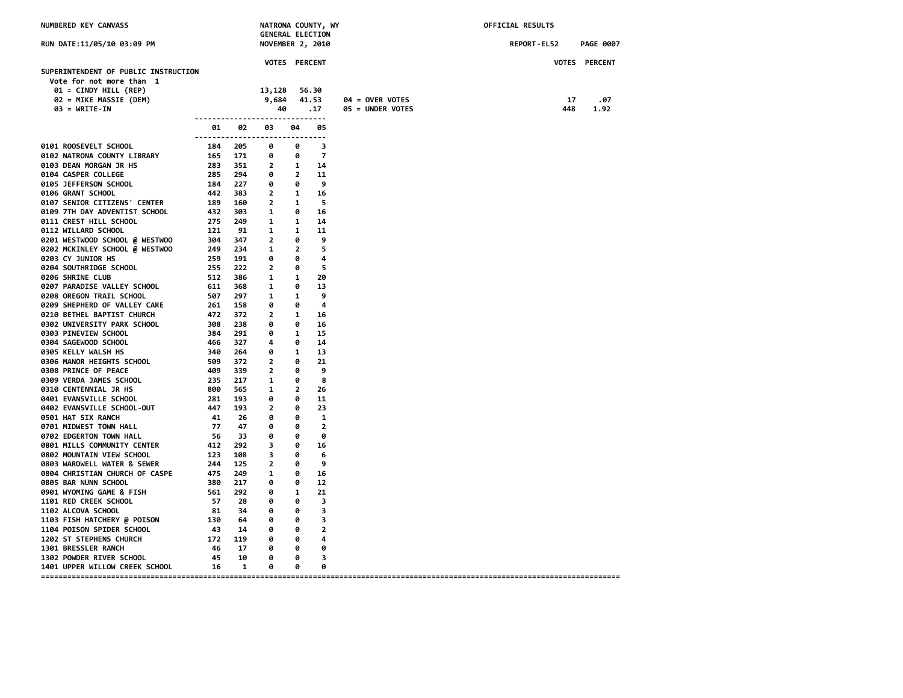| NUMBERED KEY CANVASS                                             |                                                                                                          |                                                     |                                                                                                                      |                                      | NATRONA COUNTY, WY<br><b>GENERAL ELECTION</b> |                  | OFFICIAL RESULTS |     |                  |
|------------------------------------------------------------------|----------------------------------------------------------------------------------------------------------|-----------------------------------------------------|----------------------------------------------------------------------------------------------------------------------|--------------------------------------|-----------------------------------------------|------------------|------------------|-----|------------------|
| RUN DATE:11/05/10 03:09 PM                                       |                                                                                                          |                                                     | <b>NOVEMBER 2, 2010</b>                                                                                              |                                      |                                               |                  | REPORT-EL52      |     | <b>PAGE 0007</b> |
|                                                                  |                                                                                                          |                                                     | <b>VOTES PERCENT</b>                                                                                                 |                                      |                                               |                  |                  |     | VOTES PERCENT    |
| SUPERINTENDENT OF PUBLIC INSTRUCTION<br>Vote for not more than 1 |                                                                                                          |                                                     |                                                                                                                      |                                      |                                               |                  |                  |     |                  |
| 01 = CINDY HILL (REP)                                            |                                                                                                          |                                                     | 13,128                                                                                                               |                                      | 56.30                                         |                  |                  |     |                  |
| 02 = MIKE MASSIE (DEM)                                           |                                                                                                          |                                                     | 9,684 41.53                                                                                                          |                                      |                                               | 04 = OVER VOTES  |                  | 17  | .07              |
| $03 = \text{WRITE-IN}$                                           |                                                                                                          |                                                     | 40                                                                                                                   |                                      | $\ldots$ 17                                   | 05 = UNDER VOTES |                  | 448 | 1.92             |
|                                                                  | 01.                                                                                                      | 02                                                  | -------------------------------<br>03<br>------------------------------                                              | 04                                   | 05                                            |                  |                  |     |                  |
| 0101 ROOSEVELT SCHOOL                                            |                                                                                                          | 184 205                                             | 0                                                                                                                    | <b>P</b>                             | 3                                             |                  |                  |     |                  |
| 0102 NATRONA COUNTY LIBRARY                                      |                                                                                                          |                                                     |                                                                                                                      |                                      |                                               |                  |                  |     |                  |
| 0103 DEAN MORGAN JR HS                                           |                                                                                                          |                                                     |                                                                                                                      |                                      |                                               |                  |                  |     |                  |
| 0104 CASPER COLLEGE                                              |                                                                                                          |                                                     | 184 205 0<br>165 171 0 0 0 7<br>283 351 2 1 14<br>285 294 0 2 11<br>184 227 0 0 9<br>442 383 2 1 16<br>189 160 2 1 5 |                                      |                                               |                  |                  |     |                  |
| 0105 JEFFERSON SCHOOL                                            |                                                                                                          |                                                     |                                                                                                                      |                                      |                                               |                  |                  |     |                  |
| 0106 GRANT SCHOOL                                                |                                                                                                          |                                                     |                                                                                                                      |                                      |                                               |                  |                  |     |                  |
| 0107 SENIOR CITIZENS' CENTER                                     |                                                                                                          |                                                     |                                                                                                                      |                                      |                                               |                  |                  |     |                  |
| 0109 7TH DAY ADVENTIST SCHOOL                                    |                                                                                                          | 432 303 1<br>275 249 1                              |                                                                                                                      | $\theta$                             | 16                                            |                  |                  |     |                  |
| 0111 CREST HILL SCHOOL                                           |                                                                                                          | 275 249 1                                           |                                                                                                                      | $\overline{\mathbf{1}}$              | 14                                            |                  |                  |     |                  |
| 0112 WILLARD SCHOOL                                              | 121                                                                                                      | 91                                                  | $\begin{array}{ccc} 1 & & 1 \\ 2 & & 0 \end{array}$                                                                  |                                      | 11                                            |                  |                  |     |                  |
| 0201 WESTWOOD SCHOOL @ WESTWOO                                   |                                                                                                          | 304 347                                             |                                                                                                                      | $\theta$                             | 9                                             |                  |                  |     |                  |
| 0202 MCKINLEY SCHOOL @ WESTWOO                                   |                                                                                                          | 249 234<br>259 191                                  | $\overline{\phantom{a}}$<br>0                                                                                        | $\overline{\mathbf{2}}$<br>$\bullet$ | 5                                             |                  |                  |     |                  |
| 0203 CY JUNIOR HS<br>0204 SOUTHRIDGE SCHOOL                      |                                                                                                          | 255 222                                             | $\overline{\phantom{a}}$                                                                                             | $\bullet$                            | 4<br>5                                        |                  |                  |     |                  |
| 0206 SHRINE CLUB                                                 |                                                                                                          | 512 386                                             | $\blacksquare$                                                                                                       | $\overline{\mathbf{1}}$              | 20                                            |                  |                  |     |                  |
| 0207 PARADISE VALLEY SCHOOL                                      |                                                                                                          |                                                     | $\overline{\phantom{0}}$                                                                                             | $\bullet$                            | 13                                            |                  |                  |     |                  |
| 0208 OREGON TRAIL SCHOOL                                         | 611 368<br>507 297                                                                                       |                                                     | $\overline{\mathbf{1}}$                                                                                              | $\overline{\phantom{a}}$             | 9                                             |                  |                  |     |                  |
| 0209 SHEPHERD OF VALLEY CARE                                     |                                                                                                          | 261 158                                             | $\bullet$                                                                                                            | 0                                    | 4                                             |                  |                  |     |                  |
| 0210 BETHEL BAPTIST CHURCH                                       |                                                                                                          | 472 372                                             | $\overline{\phantom{a}}$                                                                                             | $\overline{\phantom{a}}$             | 16                                            |                  |                  |     |                  |
| 0302 UNIVERSITY PARK SCHOOL                                      | $288$<br>$388$<br>$384$<br>$291$<br>$466$<br>$327$<br>$340$<br>$264$<br>$509$<br>$372$<br>$409$<br>$339$ |                                                     | 0                                                                                                                    | $\theta$                             | 16                                            |                  |                  |     |                  |
| 0303 PINEVIEW SCHOOL                                             |                                                                                                          |                                                     | $\theta$                                                                                                             | $\overline{\phantom{a}}$             | 15                                            |                  |                  |     |                  |
| 0304 SAGEWOOD SCHOOL                                             |                                                                                                          |                                                     | 4                                                                                                                    | 0                                    | 14                                            |                  |                  |     |                  |
| 0305 KELLY WALSH HS                                              |                                                                                                          |                                                     | 0                                                                                                                    | $\overline{\phantom{a}}$             | 13                                            |                  |                  |     |                  |
| 0306 MANOR HEIGHTS SCHOOL                                        |                                                                                                          |                                                     | $\overline{\phantom{a}}$                                                                                             | $\bullet$                            | 21                                            |                  |                  |     |                  |
| 0308 PRINCE OF PEACE                                             |                                                                                                          |                                                     | $\overline{\mathbf{2}}$                                                                                              | $\bullet$                            | 9                                             |                  |                  |     |                  |
| 0309 VERDA JAMES SCHOOL                                          |                                                                                                          | 499 339<br>235 217<br>800 565<br>281 193<br>447 193 | $\mathbf{1}$                                                                                                         | 0                                    | 8                                             |                  |                  |     |                  |
| <b>0310 CENTENNIAL JR HS</b>                                     |                                                                                                          |                                                     | $\mathbf{1}$                                                                                                         | $\overline{2}$                       | 26                                            |                  |                  |     |                  |
| 0401 EVANSVILLE SCHOOL                                           |                                                                                                          |                                                     | 0                                                                                                                    | $\bullet$                            | 11                                            |                  |                  |     |                  |
| 0402 EVANSVILLE SCHOOL-OUT                                       |                                                                                                          |                                                     | $\overline{\mathbf{2}}$                                                                                              | $\theta$                             | 23                                            |                  |                  |     |                  |
| 0501 HAT SIX RANCH                                               | 41 26                                                                                                    |                                                     | $\overline{\mathbf{0}}$                                                                                              | $\bullet$                            | 1                                             |                  |                  |     |                  |
| 0701 MIDWEST TOWN HALL                                           | 77 47                                                                                                    |                                                     | $\bullet$                                                                                                            | $\theta$                             | 2                                             |                  |                  |     |                  |
| 0702 EDGERTON TOWN HALL                                          | 56 33                                                                                                    |                                                     | $\theta$                                                                                                             | $\bullet$                            | 0                                             |                  |                  |     |                  |
| 0801 MILLS COMMUNITY CENTER                                      |                                                                                                          |                                                     | $\overline{\phantom{a}}$ 3                                                                                           | $\bullet$                            | 16                                            |                  |                  |     |                  |
| 0802 MOUNTAIN VIEW SCHOOL<br>0803 WARDWELL WATER & SEWER         |                                                                                                          |                                                     | $\overline{\phantom{a}}$ 3<br>$\overline{\phantom{a}}$                                                               | $\overline{\mathbf{0}}$<br>$\theta$  | 6<br>9                                        |                  |                  |     |                  |
| 0804 CHRISTIAN CHURCH OF CASPE                                   |                                                                                                          | 475 249                                             | $\overline{\mathbf{1}}$                                                                                              | - 0                                  | 16                                            |                  |                  |     |                  |
| 0805 BAR NUNN SCHOOL                                             |                                                                                                          | 380 217                                             | 0                                                                                                                    | 0                                    | 12                                            |                  |                  |     |                  |
| 0901 WYOMING GAME & FISH                                         | 561 292                                                                                                  |                                                     | $\overline{\mathbf{e}}$                                                                                              | $\overline{\mathbf{1}}$              | 21                                            |                  |                  |     |                  |
| 1101 RED CREEK SCHOOL                                            | 57 28                                                                                                    |                                                     | $\theta$                                                                                                             | $\theta$                             | 3                                             |                  |                  |     |                  |
| <b>1102 ALCOVA SCHOOL</b>                                        |                                                                                                          | 81 34 0                                             |                                                                                                                      | $\overline{\mathbf{e}}$              | 3                                             |                  |                  |     |                  |
| $130\quad 64\quad 0$<br>1103 FISH HATCHERY @ POISON              |                                                                                                          |                                                     |                                                                                                                      | $\bullet$                            | 3                                             |                  |                  |     |                  |
| 1104 POISON SPIDER SCHOOL                                        |                                                                                                          | $43$ $14$ $0$<br>$172$ $119$ $0$                    |                                                                                                                      | $\bullet$                            | 2                                             |                  |                  |     |                  |
| 1202 ST STEPHENS CHURCH                                          |                                                                                                          |                                                     |                                                                                                                      | $\bullet$                            | 4                                             |                  |                  |     |                  |
| 1301 BRESSLER RANCH                                              |                                                                                                          |                                                     | $\overline{\mathbf{e}}$                                                                                              | $\overline{\phantom{a}}$             | 0                                             |                  |                  |     |                  |
| 1302 POWDER RIVER SCHOOL                                         |                                                                                                          | 46 17<br>45 10                                      | 0                                                                                                                    | $\theta$                             | 3                                             |                  |                  |     |                  |
| 1401 UPPER WILLOW CREEK SCHOOL 16                                |                                                                                                          | $\overline{\mathbf{1}}$                             | 0                                                                                                                    | $\bullet$                            | 0                                             |                  |                  |     |                  |
|                                                                  |                                                                                                          |                                                     |                                                                                                                      |                                      |                                               |                  |                  |     |                  |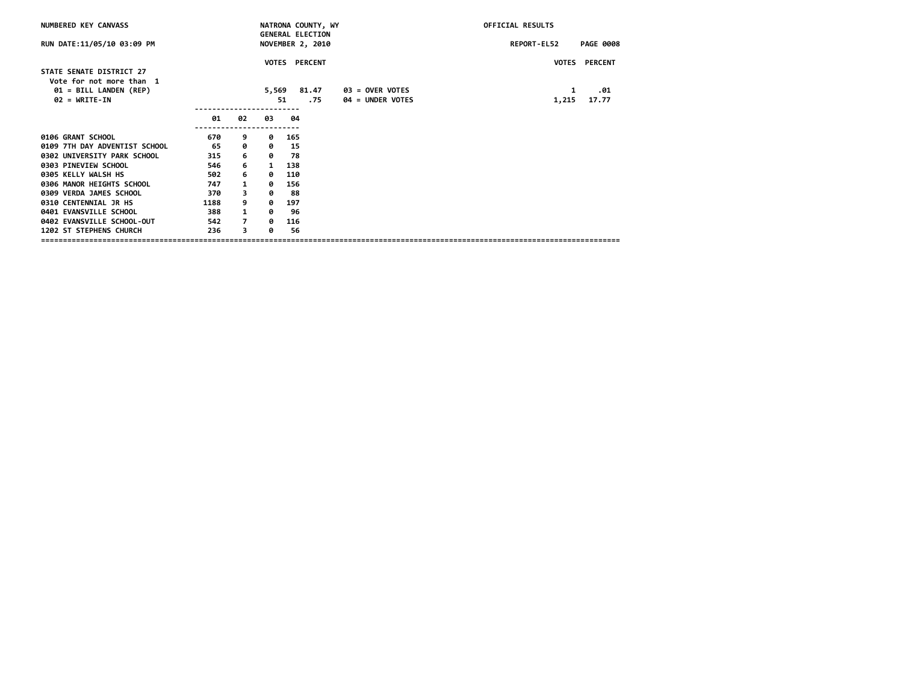| NUMBERED KEY CANVASS                               |      |                |              | NATRONA COUNTY, WY                          |                         | OFFICIAL RESULTS |                  |  |  |
|----------------------------------------------------|------|----------------|--------------|---------------------------------------------|-------------------------|------------------|------------------|--|--|
| RUN DATE:11/05/10 03:09 PM                         |      |                |              | <b>GENERAL ELECTION</b><br>NOVEMBER 2, 2010 |                         | REPORT-EL52      | <b>PAGE 0008</b> |  |  |
|                                                    |      |                |              | <b>VOTES PERCENT</b>                        |                         |                  | VOTES PERCENT    |  |  |
| STATE SENATE DISTRICT 27                           |      |                |              |                                             |                         |                  |                  |  |  |
| Vote for not more than 1<br>01 = BILL LANDEN (REP) |      |                | 5,569        | 81.47                                       | 03 = OVER VOTES         | 1                | .01              |  |  |
| $02 = WRITE-IN$                                    |      |                |              | 51<br>.75                                   | <b>04 = UNDER VOTES</b> | 1,215            | 17.77            |  |  |
|                                                    | 01   | 02             | 03           | 04                                          |                         |                  |                  |  |  |
|                                                    |      |                |              |                                             |                         |                  |                  |  |  |
| 0106 GRANT SCHOOL                                  | 670  | 9              | ø            | 165                                         |                         |                  |                  |  |  |
| 0109 7TH DAY ADVENTIST SCHOOL                      | 65   | 0              | 0            | 15                                          |                         |                  |                  |  |  |
| 0302 UNIVERSITY PARK SCHOOL                        | 315  | 6              | ø            | 78                                          |                         |                  |                  |  |  |
| 0303 PINEVIEW SCHOOL                               | 546  | 6              | $\mathbf{1}$ | 138                                         |                         |                  |                  |  |  |
| 0305 KELLY WALSH HS                                | 502  | 6              | ø            | 110                                         |                         |                  |                  |  |  |
| 0306 MANOR HEIGHTS SCHOOL                          | 747  | $\mathbf{1}$   | ø            | 156                                         |                         |                  |                  |  |  |
| 0309 VERDA JAMES SCHOOL                            | 370  | 3              | ø            | 88                                          |                         |                  |                  |  |  |
| 0310 CENTENNIAL JR HS                              | 1188 | 9              | ø            | 197                                         |                         |                  |                  |  |  |
| 0401 EVANSVILLE SCHOOL                             | 388  | $\mathbf{1}$   | 0            | 96                                          |                         |                  |                  |  |  |
| 0402 EVANSVILLE SCHOOL-OUT                         | 542  | $\overline{7}$ | ø            | 116                                         |                         |                  |                  |  |  |
| 1202 ST STEPHENS CHURCH                            | 236  | 3              | ø            | 56                                          |                         |                  |                  |  |  |
|                                                    |      |                |              |                                             |                         |                  |                  |  |  |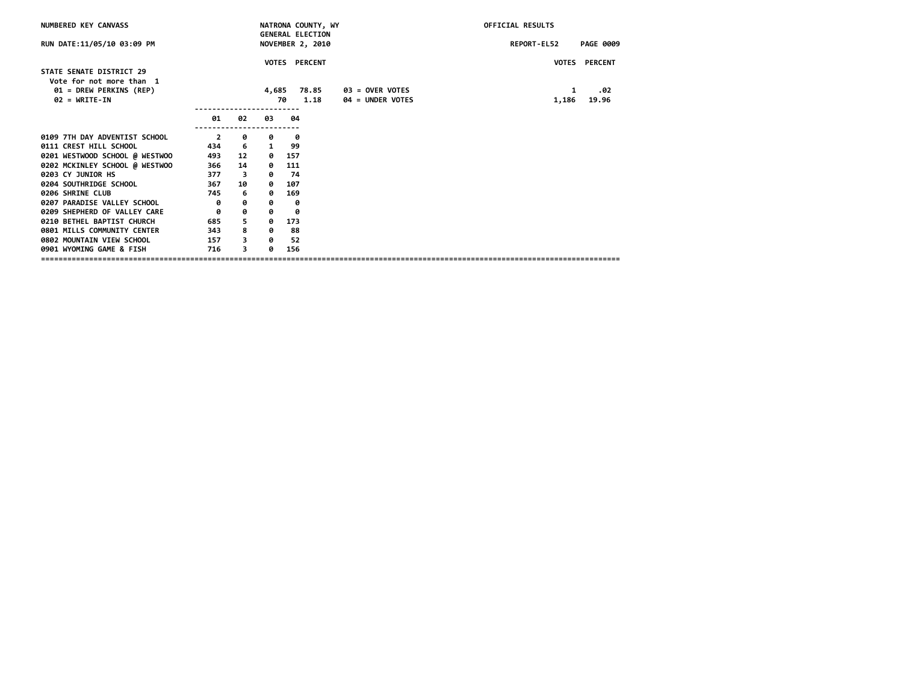| NUMBERED KEY CANVASS                                 |                |                         |       | NATRONA COUNTY, WY                                 |                  | <b>OFFICIAL RESULTS</b> |                  |  |
|------------------------------------------------------|----------------|-------------------------|-------|----------------------------------------------------|------------------|-------------------------|------------------|--|
| RUN DATE:11/05/10 03:09 PM                           |                |                         |       | <b>GENERAL ELECTION</b><br><b>NOVEMBER 2, 2010</b> |                  | REPORT-EL52             | <b>PAGE 0009</b> |  |
|                                                      |                |                         |       | VOTES PERCENT                                      |                  |                         | VOTES PERCENT    |  |
| STATE SENATE DISTRICT 29<br>Vote for not more than 1 |                |                         |       |                                                    |                  |                         |                  |  |
| 01 = DREW PERKINS (REP)                              |                |                         | 4,685 | 78.85                                              | 03 = OVER VOTES  | 1                       | .02              |  |
| $02 = WRITE-IN$                                      |                |                         |       | 1.18<br>70                                         | 04 = UNDER VOTES | 1,186                   | 19.96            |  |
|                                                      | 01             | 02                      | 03    | 04                                                 |                  |                         |                  |  |
| 0109 7TH DAY ADVENTIST SCHOOL                        | $\overline{2}$ | 0                       | 0     | 0                                                  |                  |                         |                  |  |
| 0111 CREST HILL SCHOOL                               | 434            | - 6                     | 1     | 99                                                 |                  |                         |                  |  |
| 0201 WESTWOOD SCHOOL @ WESTWOO                       | 493            | 12                      | 0     | 157                                                |                  |                         |                  |  |
| 0202 MCKINLEY SCHOOL @ WESTWOO                       | 366            | 14                      | 0     | 111                                                |                  |                         |                  |  |
| 0203 CY JUNIOR HS                                    | 377            | $\overline{\mathbf{3}}$ | 0     | - 74                                               |                  |                         |                  |  |
| 0204 SOUTHRIDGE SCHOOL                               | 367            | 10                      | 0     | 107                                                |                  |                         |                  |  |
| 0206 SHRINE CLUB                                     | 745            | 6                       | 0     | 169                                                |                  |                         |                  |  |
| 0207 PARADISE VALLEY SCHOOL                          | ø              | ø                       | 0     | 0                                                  |                  |                         |                  |  |
| 0209 SHEPHERD OF VALLEY CARE                         | 0              | 0                       | 0     | 0                                                  |                  |                         |                  |  |
| 0210 BETHEL BAPTIST CHURCH                           | 685            | 5                       | 0     | 173                                                |                  |                         |                  |  |
| 0801 MILLS COMMUNITY CENTER                          | 343            | 8                       | 0     | 88                                                 |                  |                         |                  |  |
| 0802 MOUNTAIN VIEW SCHOOL                            | 157            | 3                       | 0     | -52                                                |                  |                         |                  |  |
| 0901 WYOMING GAME & FISH                             | 716            | 3                       | ø     | 156                                                |                  |                         |                  |  |
|                                                      |                |                         |       |                                                    |                  |                         |                  |  |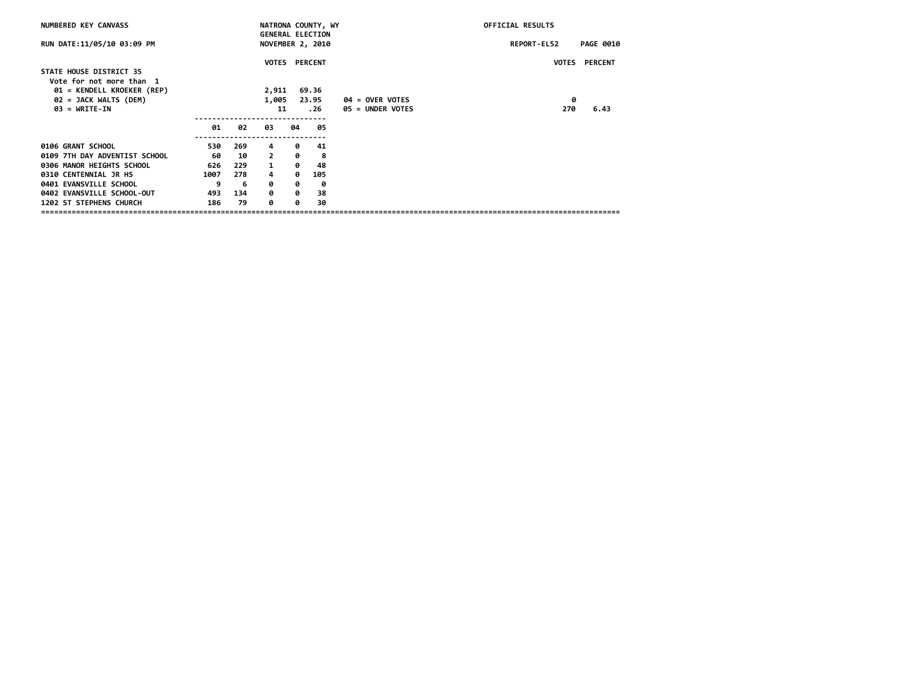| NUMBERED KEY CANVASS          |      |     |                |    | NATRONA COUNTY, WY<br><b>GENERAL ELECTION</b> |                   | OFFICIAL RESULTS |                  |
|-------------------------------|------|-----|----------------|----|-----------------------------------------------|-------------------|------------------|------------------|
| RUN DATE:11/05/10 03:09 PM    |      |     |                |    | NOVEMBER 2, 2010                              |                   | REPORT-EL52      | <b>PAGE 0010</b> |
|                               |      |     | <b>VOTES</b>   |    | <b>PERCENT</b>                                |                   | <b>VOTES</b>     | <b>PERCENT</b>   |
| STATE HOUSE DISTRICT 35       |      |     |                |    |                                               |                   |                  |                  |
| Vote for not more than 1      |      |     |                |    |                                               |                   |                  |                  |
| 01 = KENDELL KROEKER (REP)    |      |     | 2,911          |    | 69.36                                         |                   |                  |                  |
| 02 = JACK WALTS (DEM)         |      |     | 1,005          |    | 23.95                                         | $04 =$ OVER VOTES | 0                |                  |
| $03 = \text{WRTTE-IN}$        |      |     | 11             |    | .26                                           | 05 = UNDER VOTES  | 270              | 6.43             |
|                               | 01   | 02  | 03             | 04 | 05                                            |                   |                  |                  |
| 0106 GRANT SCHOOL             | 530  | 269 | 4              | 0  | 41                                            |                   |                  |                  |
| 0109 7TH DAY ADVENTIST SCHOOL | 60   | 10  | $\overline{2}$ | 0  | -8                                            |                   |                  |                  |
| 0306 MANOR HEIGHTS SCHOOL     | 626  | 229 | $\mathbf{1}$   | 0  | 48                                            |                   |                  |                  |
| 0310 CENTENNIAL JR HS         | 1007 | 278 | 4              | ø  | 105                                           |                   |                  |                  |
| 0401 EVANSVILLE SCHOOL        | 9    | 6   | 0              | 0  | 0                                             |                   |                  |                  |
| 0402 EVANSVILLE SCHOOL-OUT    | 493  | 134 | ø              | ø  | 38                                            |                   |                  |                  |
| 1202 ST STEPHENS CHURCH       | 186  | 79  | ø              | 0  | 30                                            |                   |                  |                  |
|                               |      |     |                |    |                                               |                   |                  |                  |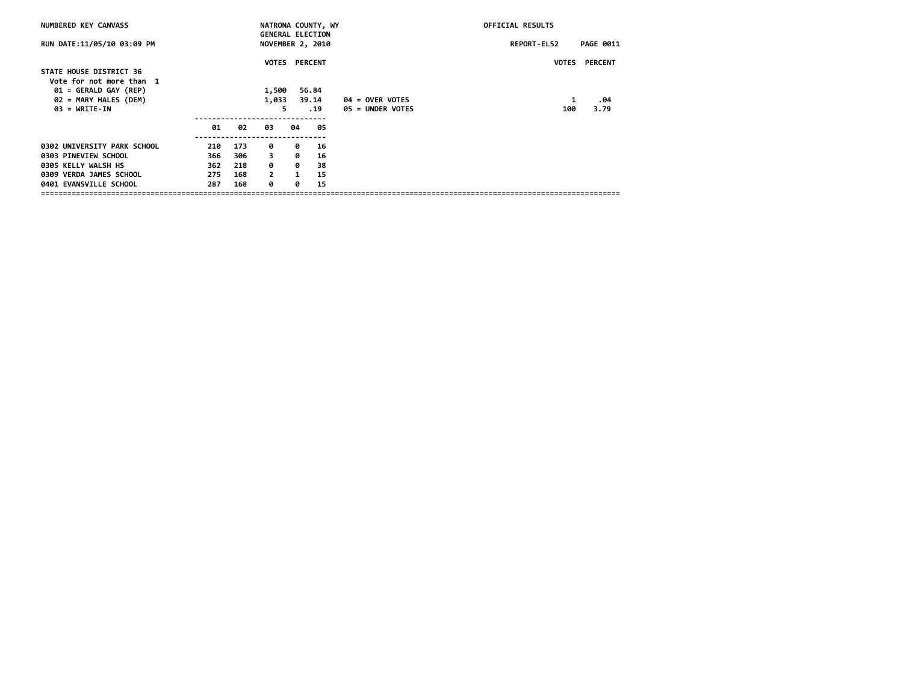| NUMBERED KEY CANVASS                                |     |     |              | NATRONA COUNTY, WY<br><b>GENERAL ELECTION</b> |                         | <b>OFFICIAL RESULTS</b> |                    |                      |
|-----------------------------------------------------|-----|-----|--------------|-----------------------------------------------|-------------------------|-------------------------|--------------------|----------------------|
| RUN DATE:11/05/10 03:09 PM                          |     |     |              |                                               | <b>NOVEMBER 2, 2010</b> |                         | <b>REPORT-EL52</b> | <b>PAGE 0011</b>     |
|                                                     |     |     |              |                                               | <b>VOTES PERCENT</b>    |                         |                    | <b>VOTES PERCENT</b> |
| STATE HOUSE DISTRICT 36<br>Vote for not more than 1 |     |     |              |                                               |                         |                         |                    |                      |
| $01 = GERALD GAY (REP)$                             |     |     | 1,500        |                                               | 56.84                   |                         |                    |                      |
| 02 = MARY HALES (DEM)                               |     |     | 1,033        |                                               | 39.14                   | $04 =$ OVER VOTES       | 1                  | .04                  |
| $03 = \text{WRTTE-IN}$                              |     |     |              | 5                                             | . 19                    | $05 =$ UNDER VOTES      | 100                | 3.79                 |
|                                                     | 01  | 02  | 03           | 04                                            | 05                      |                         |                    |                      |
| 0302 UNIVERSITY PARK SCHOOL                         | 210 | 173 | ø            | ø                                             | 16                      |                         |                    |                      |
| 0303 PINEVIEW SCHOOL                                | 366 | 306 | 3            | ø                                             | 16                      |                         |                    |                      |
| 0305 KELLY WALSH HS                                 | 362 | 218 | ø            | ø                                             | 38                      |                         |                    |                      |
| 0309 VERDA JAMES SCHOOL                             | 275 | 168 | $\mathbf{2}$ | 1                                             | 15                      |                         |                    |                      |
| 0401 EVANSVILLE SCHOOL                              | 287 | 168 | ø            | ø                                             | 15                      |                         |                    |                      |
|                                                     |     |     |              |                                               |                         |                         |                    |                      |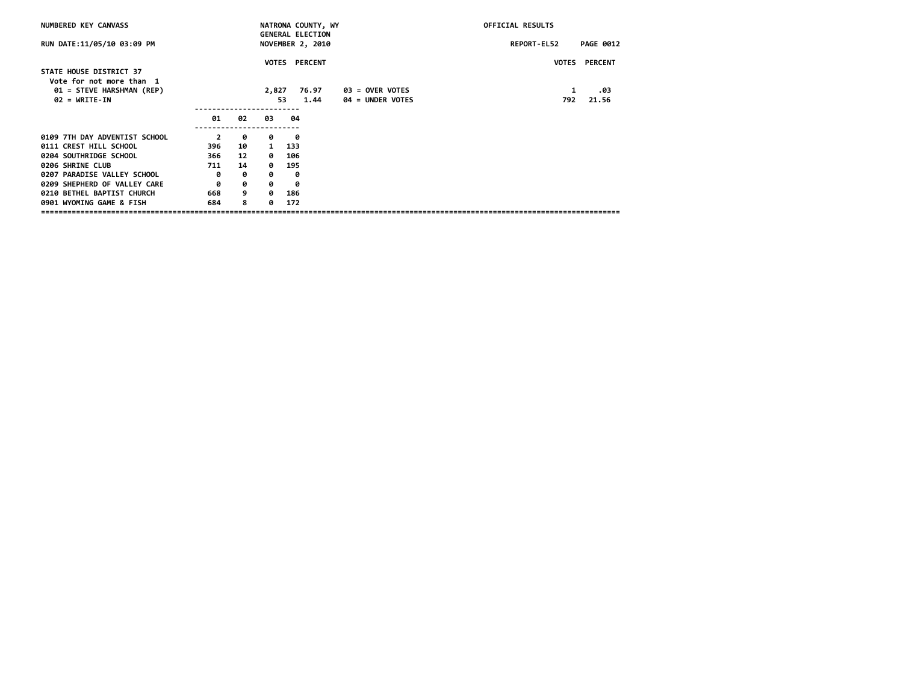|     |    |              |      |                                                                                                                                 | OFFICIAL RESULTS                      |                      |  |  |
|-----|----|--------------|------|---------------------------------------------------------------------------------------------------------------------------------|---------------------------------------|----------------------|--|--|
|     |    |              |      |                                                                                                                                 | REPORT-EL52                           | <b>PAGE 0012</b>     |  |  |
|     |    |              |      |                                                                                                                                 |                                       | <b>VOTES PERCENT</b> |  |  |
|     |    |              |      |                                                                                                                                 |                                       |                      |  |  |
|     |    |              |      |                                                                                                                                 |                                       | .03                  |  |  |
|     |    |              | 1.44 | <b>04 = UNDER VOTES</b>                                                                                                         | 792                                   | 21.56                |  |  |
| 01  | 02 | 03           | 04   |                                                                                                                                 |                                       |                      |  |  |
| 2   | 0  | ø            | 0    |                                                                                                                                 |                                       |                      |  |  |
| 396 | 10 | $\mathbf{1}$ |      |                                                                                                                                 |                                       |                      |  |  |
| 366 | 12 | 0            |      |                                                                                                                                 |                                       |                      |  |  |
| 711 | 14 | ø            |      |                                                                                                                                 |                                       |                      |  |  |
| 0   | 0  | ø            | ø    |                                                                                                                                 |                                       |                      |  |  |
| 0   | 0  | 0            | 0    |                                                                                                                                 |                                       |                      |  |  |
| 668 | 9  | ø            |      |                                                                                                                                 |                                       |                      |  |  |
| 684 | 8  | ø.           |      |                                                                                                                                 |                                       |                      |  |  |
|     |    |              |      | <b>GENERAL ELECTION</b><br>NOVEMBER 2, 2010<br><b>VOTES PERCENT</b><br>76.97<br>2,827<br>53.<br>133<br>106<br>195<br>186<br>172 | NATRONA COUNTY, WY<br>03 = OVER VOTES | 1                    |  |  |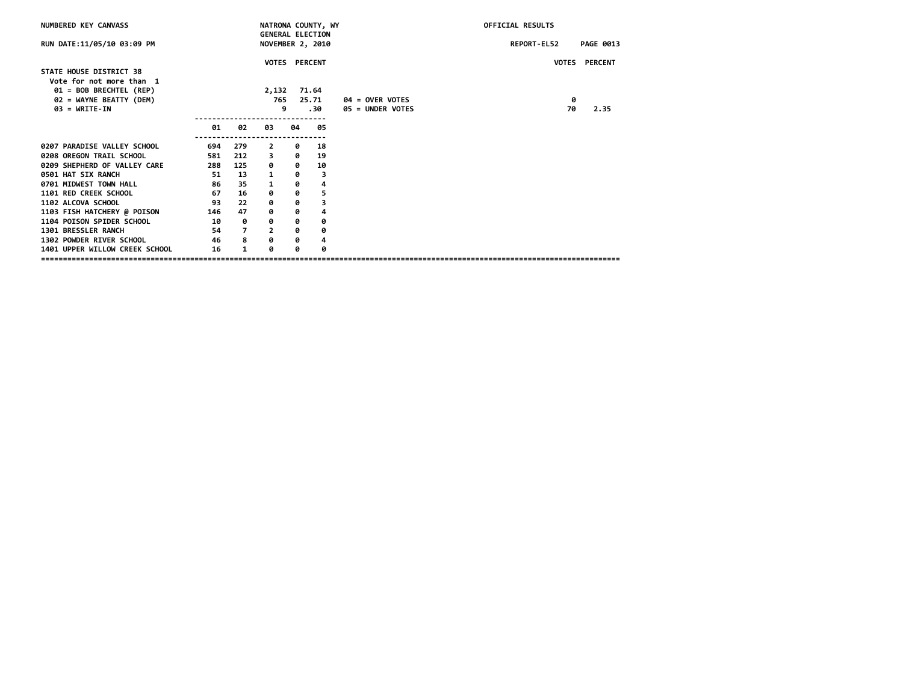| NUMBERED KEY CANVASS                               |     |                |                |    | NATRONA COUNTY, WY                          |                        | <b>OFFICIAL RESULTS</b> |                  |
|----------------------------------------------------|-----|----------------|----------------|----|---------------------------------------------|------------------------|-------------------------|------------------|
| RUN DATE:11/05/10 03:09 PM                         |     |                |                |    | <b>GENERAL ELECTION</b><br>NOVEMBER 2, 2010 |                        | REPORT-EL52             | <b>PAGE 0013</b> |
| STATE HOUSE DISTRICT 38                            |     |                |                |    | VOTES PERCENT                               |                        |                         | VOTES PERCENT    |
| Vote for not more than 1                           |     |                |                |    |                                             |                        |                         |                  |
| 01 = BOB BRECHTEL (REP)<br>02 = WAYNE BEATTY (DEM) |     |                | 2,132<br>765   |    | 71.64<br>25.71                              | <b>04 = OVER VOTES</b> | 0                       |                  |
| $03 = WRITE-IN$                                    |     |                |                | 9  | 30.                                         | 05 = UNDER VOTES       | 70                      | 2.35             |
|                                                    | 01  | 02             | 03             | 04 | 05                                          |                        |                         |                  |
| 0207 PARADISE VALLEY SCHOOL                        | 694 | 279            | $\overline{2}$ | 0  | 18                                          |                        |                         |                  |
| 0208 OREGON TRAIL SCHOOL                           | 581 | 212            | 3              | 0  | 19                                          |                        |                         |                  |
| 0209 SHEPHERD OF VALLEY CARE                       | 288 | 125            | 0              | 0  | 10                                          |                        |                         |                  |
| 0501 HAT SIX RANCH                                 | 51  | 13             | 1              | 0  | 3                                           |                        |                         |                  |
| 0701 MIDWEST TOWN HALL                             | 86  | 35             | 1              | 0  | 4                                           |                        |                         |                  |
| 1101 RED CREEK SCHOOL                              | 67  | 16             | 0              | ø  | 5                                           |                        |                         |                  |
| 1102 ALCOVA SCHOOL                                 | 93  | 22             | 0              | 0  | 3                                           |                        |                         |                  |
| 1103 FISH HATCHERY @ POISON                        | 146 | 47             | 0              | 0  | 4                                           |                        |                         |                  |
| 1104 POISON SPIDER SCHOOL                          | 10  | 0              | 0              | 0  | 0                                           |                        |                         |                  |
| 1301 BRESSLER RANCH                                | 54  | $\overline{7}$ | $\overline{2}$ | 0  | 0                                           |                        |                         |                  |
| 1302 POWDER RIVER SCHOOL                           | 46  | 8              | ø              | 0  | 4                                           |                        |                         |                  |
| 1401 UPPER WILLOW CREEK SCHOOL                     | 16  | 1              | ø              | 0  | 0                                           |                        |                         |                  |
|                                                    |     |                |                |    |                                             |                        |                         |                  |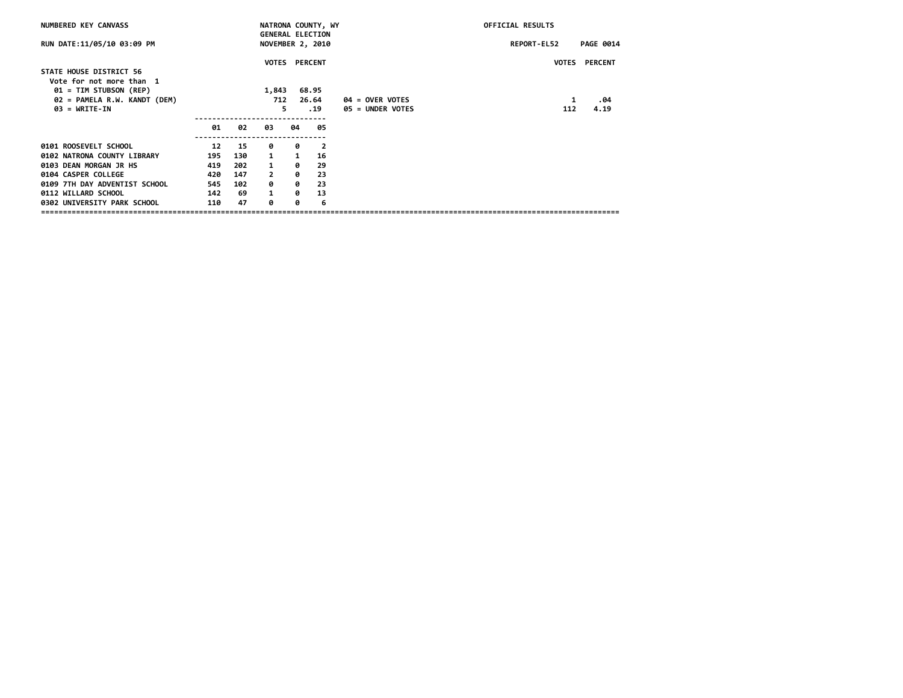| NUMBERED KEY CANVASS          |     |     |                |    | NATRONA COUNTY, WY                          |                   | OFFICIAL RESULTS |                      |
|-------------------------------|-----|-----|----------------|----|---------------------------------------------|-------------------|------------------|----------------------|
| RUN DATE:11/05/10 03:09 PM    |     |     |                |    | <b>GENERAL ELECTION</b><br>NOVEMBER 2, 2010 |                   | REPORT-EL52      | <b>PAGE 0014</b>     |
|                               |     |     |                |    | <b>VOTES PERCENT</b>                        |                   |                  | <b>VOTES PERCENT</b> |
| STATE HOUSE DISTRICT 56       |     |     |                |    |                                             |                   |                  |                      |
| Vote for not more than 1      |     |     |                |    |                                             |                   |                  |                      |
| 01 = TIM STUBSON (REP)        |     |     | 1,843          |    | 68.95                                       |                   |                  |                      |
| 02 = PAMELA R.W. KANDT (DEM)  |     |     | 712            |    | 26.64                                       | $04 =$ OVER VOTES | 1                | .04                  |
| $03 = \text{WRTTE-IN}$        |     |     |                | 5  | . 19                                        | 05 = UNDER VOTES  | 112              | 4.19                 |
|                               |     |     |                |    |                                             |                   |                  |                      |
|                               | 01  | 02  | 03             | 04 | 05                                          |                   |                  |                      |
| 0101 ROOSEVELT SCHOOL         | 12  | 15  | 0              | 0  | $\overline{\mathbf{2}}$                     |                   |                  |                      |
| 0102 NATRONA COUNTY LIBRARY   | 195 | 130 | $\mathbf{1}$   | 1  | 16                                          |                   |                  |                      |
| 0103 DEAN MORGAN JR HS        | 419 | 202 | $\mathbf{1}$   | ø  | 29                                          |                   |                  |                      |
| 0104 CASPER COLLEGE           | 420 | 147 | $\overline{2}$ | ø  | 23                                          |                   |                  |                      |
| 0109 7TH DAY ADVENTIST SCHOOL | 545 | 102 | 0              | 0  | 23                                          |                   |                  |                      |
| 0112 WILLARD SCHOOL           | 142 | 69  | $\mathbf{1}$   | ø  | 13                                          |                   |                  |                      |
| 0302 UNIVERSITY PARK SCHOOL   | 110 | 47  | ø              | 0  | 6                                           |                   |                  |                      |
|                               |     |     |                |    |                                             |                   |                  |                      |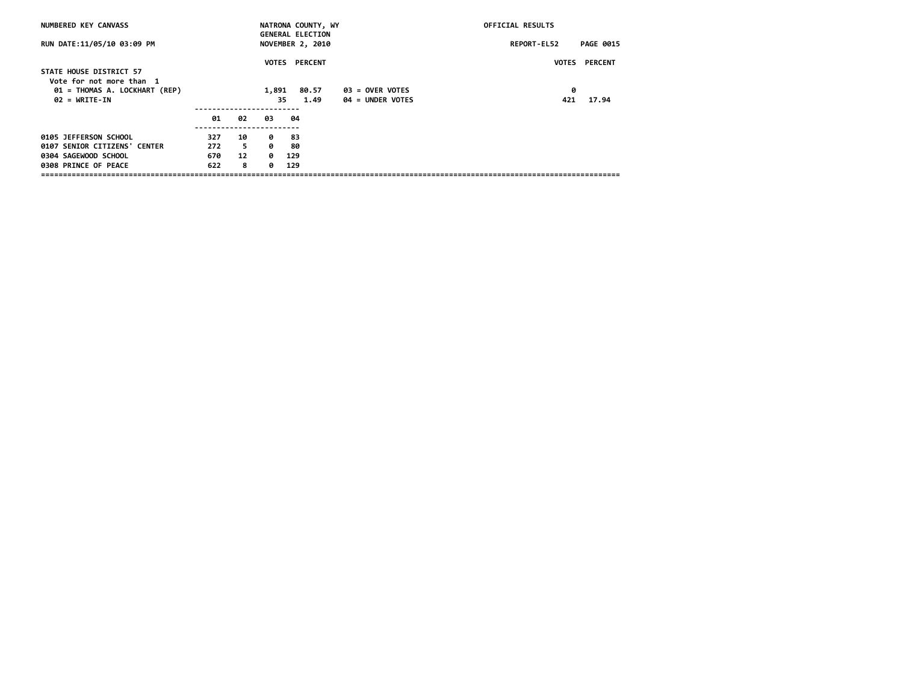| NUMBERED KEY CANVASS                                |     |    |       | NATRONA COUNTY, WY<br><b>GENERAL ELECTION</b> |                  | <b>OFFICIAL RESULTS</b> |                  |
|-----------------------------------------------------|-----|----|-------|-----------------------------------------------|------------------|-------------------------|------------------|
| RUN DATE:11/05/10 03:09 PM                          |     |    |       | NOVEMBER 2, 2010                              |                  | REPORT-EL52             | <b>PAGE 0015</b> |
| STATE HOUSE DISTRICT 57<br>Vote for not more than 1 |     |    |       | <b>VOTES PERCENT</b>                          |                  | <b>VOTES</b>            | <b>PERCENT</b>   |
| 01 = THOMAS A. LOCKHART (REP)                       |     |    | 1,891 | 80.57                                         | 03 = OVER VOTES  | 0                       |                  |
| $02 = \text{WRTTE-IN}$                              |     |    | 35.   | 1.49                                          | 04 = UNDER VOTES | 421                     | 17.94            |
|                                                     |     |    |       |                                               |                  |                         |                  |
|                                                     | 01  | 02 | 03    | -04                                           |                  |                         |                  |
| 0105 JEFFERSON SCHOOL                               | 327 | 10 | ø     | -83                                           |                  |                         |                  |
| 0107 SENIOR CITIZENS' CENTER                        | 272 | 5  | ø     | 80                                            |                  |                         |                  |
| 0304 SAGEWOOD SCHOOL                                | 670 | 12 | 0     | 129                                           |                  |                         |                  |
| 0308 PRINCE OF PEACE                                | 622 | 8  | ø     | 129                                           |                  |                         |                  |
|                                                     |     |    |       |                                               |                  |                         |                  |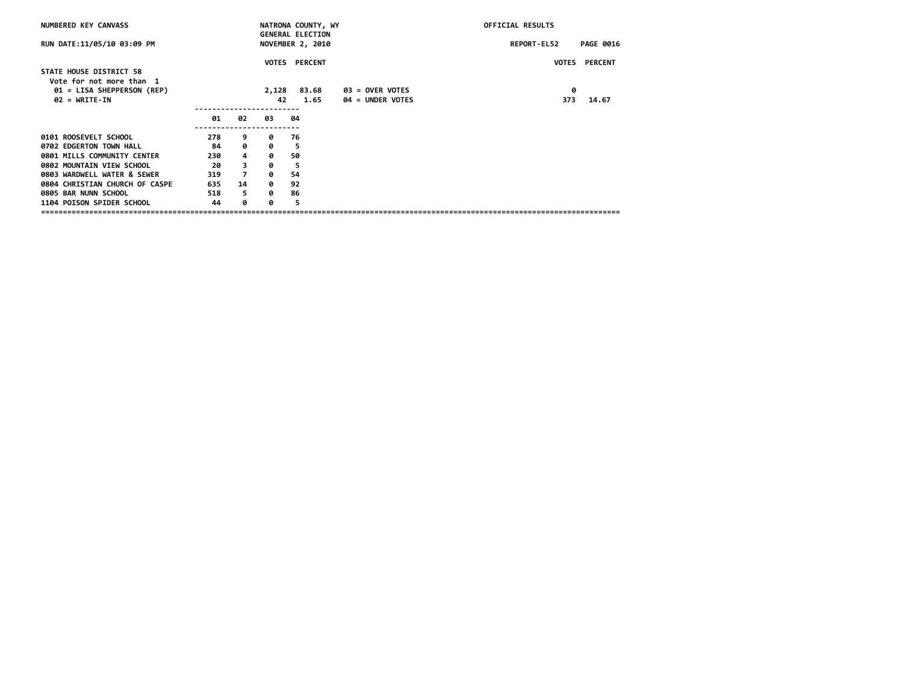| NUMBERED KEY CANVASS                                   |     |                |       | NATRONA COUNTY, WY                                 |                         | <b>OFFICIAL RESULTS</b> |                  |
|--------------------------------------------------------|-----|----------------|-------|----------------------------------------------------|-------------------------|-------------------------|------------------|
| RUN DATE:11/05/10 03:09 PM                             |     |                |       | <b>GENERAL ELECTION</b><br><b>NOVEMBER 2, 2010</b> |                         | REPORT-EL52             | <b>PAGE 0016</b> |
|                                                        |     |                |       | <b>VOTES PERCENT</b>                               |                         | <b>VOTES</b>            | <b>PERCENT</b>   |
| STATE HOUSE DISTRICT 58                                |     |                |       |                                                    |                         |                         |                  |
| Vote for not more than 1<br>01 = LISA SHEPPERSON (REP) |     |                | 2,128 | 83.68                                              | <b>03 = OVER VOTES</b>  | 0                       |                  |
| $02 = \text{WRTTE-IN}$                                 |     |                | 42    | 1.65                                               | <b>04 = UNDER VOTES</b> | 373                     | 14.67            |
|                                                        |     |                |       |                                                    |                         |                         |                  |
|                                                        | 01  | 02             | 03    | 04                                                 |                         |                         |                  |
| 0101 ROOSEVELT SCHOOL                                  | 278 | 9              | ø     | 76                                                 |                         |                         |                  |
| 0702 EDGERTON TOWN HALL                                | 84  | 0              | 0     | 5                                                  |                         |                         |                  |
| 0801 MILLS COMMUNITY CENTER                            | 230 | 4              | 0     | 50                                                 |                         |                         |                  |
| 0802 MOUNTAIN VIEW SCHOOL                              | -20 | 3              | 0     | 5                                                  |                         |                         |                  |
| 0803 WARDWELL WATER & SEWER                            | 319 | $\overline{7}$ | 0     | 54                                                 |                         |                         |                  |
| 0804 CHRISTIAN CHURCH OF CASPE                         | 635 | 14             | 0     | 92                                                 |                         |                         |                  |
| 0805 BAR NUNN SCHOOL                                   | 518 | 5              | ø     | 86                                                 |                         |                         |                  |
| 1104 POISON SPIDER SCHOOL                              | 44  | 0              | ø     | 5                                                  |                         |                         |                  |
|                                                        |     |                |       |                                                    |                         |                         |                  |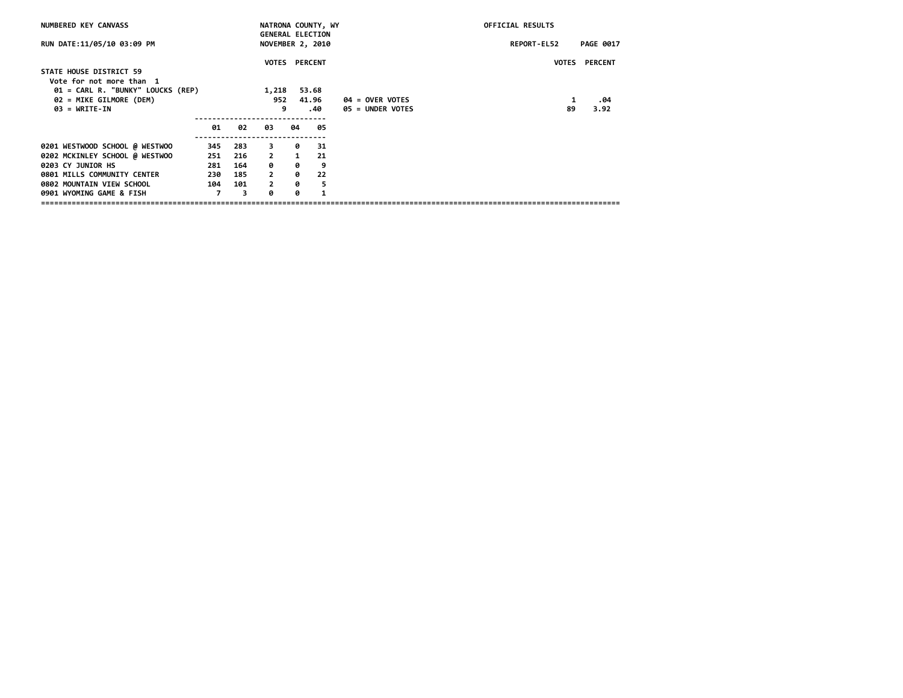| NUMBERED KEY CANVASS              |     |     |                |              | NATRONA COUNTY, WY      |                        | OFFICIAL RESULTS |                      |
|-----------------------------------|-----|-----|----------------|--------------|-------------------------|------------------------|------------------|----------------------|
|                                   |     |     |                |              | <b>GENERAL ELECTION</b> |                        |                  |                      |
| RUN DATE:11/05/10 03:09 PM        |     |     |                |              | NOVEMBER 2, 2010        |                        | REPORT-EL52      | <b>PAGE 0017</b>     |
|                                   |     |     |                |              |                         |                        |                  |                      |
|                                   |     |     |                |              | <b>VOTES PERCENT</b>    |                        |                  | <b>VOTES PERCENT</b> |
| STATE HOUSE DISTRICT 59           |     |     |                |              |                         |                        |                  |                      |
| Vote for not more than 1          |     |     |                |              |                         |                        |                  |                      |
| 01 = CARL R. "BUNKY" LOUCKS (REP) |     |     | 1,218          |              | 53.68                   |                        |                  |                      |
| 02 = MIKE GILMORE (DEM)           |     |     | 952            |              | 41.96                   | <b>04 = OVER VOTES</b> | 1                | .04                  |
| $03 = \text{WRTTE-IN}$            |     |     | 9              |              | .40                     | 05 = UNDER VOTES       | 89               | 3.92                 |
|                                   |     |     |                |              |                         |                        |                  |                      |
|                                   | 01  | 02  | 03             | 04           | 05                      |                        |                  |                      |
| 0201 WESTWOOD SCHOOL @ WESTWOO    | 345 | 283 | 3              | 0            | -31                     |                        |                  |                      |
| 0202 MCKINLEY SCHOOL @ WESTWOO    | 251 | 216 | $\overline{2}$ | $\mathbf{1}$ | 21                      |                        |                  |                      |
|                                   |     |     |                |              |                         |                        |                  |                      |
| 0203 CY JUNIOR HS                 | 281 | 164 | 0              | 0            | 9                       |                        |                  |                      |
| 0801 MILLS COMMUNITY CENTER       | 230 | 185 | $\overline{2}$ | 0            | 22                      |                        |                  |                      |
| 0802 MOUNTAIN VIEW SCHOOL         | 104 | 101 | $\overline{2}$ | 0            | -5                      |                        |                  |                      |
| 0901 WYOMING GAME & FISH          | 7   | 3   | a              | ø            | 1                       |                        |                  |                      |
|                                   |     |     |                |              |                         |                        |                  |                      |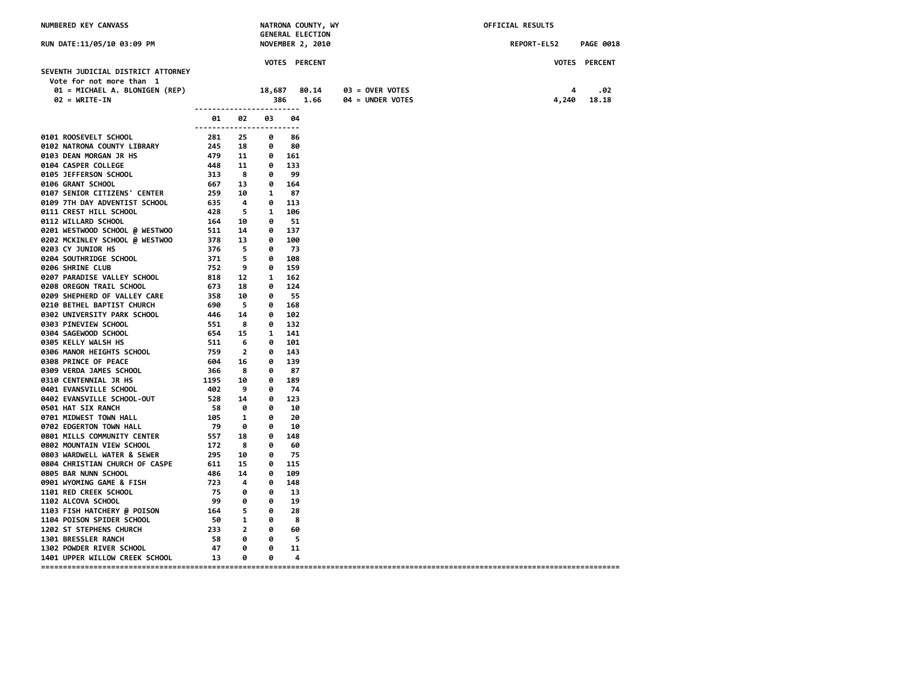| NUMBERED KEY CANVASS                                          |                                                                                         | NATRONA COUNTY, WY<br><b>GENERAL ELECTION</b> |                              |              |               |                  | OFFICIAL RESULTS |       |                  |
|---------------------------------------------------------------|-----------------------------------------------------------------------------------------|-----------------------------------------------|------------------------------|--------------|---------------|------------------|------------------|-------|------------------|
| RUN DATE:11/05/10 03:09 PM                                    |                                                                                         |                                               | <b>NOVEMBER 2, 2010</b>      |              |               |                  | REPORT-EL52      |       | <b>PAGE 0018</b> |
|                                                               |                                                                                         |                                               |                              |              | VOTES PERCENT |                  |                  |       | VOTES PERCENT    |
| SEVENTH JUDICIAL DISTRICT ATTORNEY                            |                                                                                         |                                               |                              |              |               |                  |                  |       |                  |
| Vote for not more than 1<br>01 = MICHAEL A. BLONIGEN (REP)    |                                                                                         |                                               | 18,687                       |              | 80.14         | 03 = OVER VOTES  |                  | 4     | .02              |
| $02 = WRITE-IN$                                               |                                                                                         |                                               | 386                          |              | 1.66          | 04 = UNDER VOTES |                  | 4,240 | 18.18            |
|                                                               | ------------------------                                                                |                                               |                              |              |               |                  |                  |       |                  |
|                                                               | 01.<br>------------------------                                                         | 02                                            | 03                           | 04           |               |                  |                  |       |                  |
| 0101 ROOSEVELT SCHOOL                                         | 281 25                                                                                  |                                               | ø                            | 86           |               |                  |                  |       |                  |
| 0102 NATRONA COUNTY LIBRARY                                   | $245$ 18                                                                                |                                               | 0                            | 80           |               |                  |                  |       |                  |
| 0103 DEAN MORGAN JR HS                                        | 479 11                                                                                  |                                               |                              | $0\quad 161$ |               |                  |                  |       |                  |
| 0104 CASPER COLLEGE                                           | $\begin{array}{ccc} 14 & 11 \\ 448 & 11 \\ 313 & 8 \\ 667 & 13 \\ 259 & 10 \end{array}$ |                                               | 0 133                        |              |               |                  |                  |       |                  |
| 0105 JEFFERSON SCHOOL                                         |                                                                                         |                                               | 0                            | -99          |               |                  |                  |       |                  |
| 0106 GRANT SCHOOL                                             |                                                                                         |                                               | $\bullet$                    | 164          |               |                  |                  |       |                  |
| 0107 SENIOR CITIZENS' CENTER                                  |                                                                                         |                                               | 1 87                         |              |               |                  |                  |       |                  |
| 0109 7TH DAY ADVENTIST SCHOOL                                 | 635<br>428 5 1                                                                          | $\overline{a}$                                | 0 113                        | 106          |               |                  |                  |       |                  |
| 0111 CREST HILL SCHOOL<br>0112 WILLARD SCHOOL                 |                                                                                         |                                               | 0 51                         |              |               |                  |                  |       |                  |
| 0201 WESTWOOD SCHOOL @ WESTWOO                                | 164    10<br>511    14<br>378    13<br>376    5                                         |                                               | 0 137                        |              |               |                  |                  |       |                  |
| 0202 MCKINLEY SCHOOL @ WESTWOO                                |                                                                                         |                                               |                              | 0 100        |               |                  |                  |       |                  |
| 0203 CY JUNIOR HS                                             |                                                                                         |                                               | 0                            | - 73         |               |                  |                  |       |                  |
| 0204 SOUTHRIDGE SCHOOL                                        | $\frac{375}{371}$                                                                       | 5                                             | $\bullet$                    | 108          |               |                  |                  |       |                  |
| 0206 SHRINE CLUB                                              | 752                                                                                     | 9                                             |                              | 0 159        |               |                  |                  |       |                  |
| 0207 PARADISE VALLEY SCHOOL                                   | 818 12 1                                                                                |                                               |                              | 162          |               |                  |                  |       |                  |
| 0208 OREGON TRAIL SCHOOL                                      | 673 18 0                                                                                |                                               |                              | 124          |               |                  |                  |       |                  |
| 0209 SHEPHERD OF VALLEY CARE                                  | 358 10                                                                                  |                                               | - 0                          | - 55         |               |                  |                  |       |                  |
| 0210 BETHEL BAPTIST CHURCH                                    | 690                                                                                     | $\overline{\phantom{0}}$                      |                              | 0 168        |               |                  |                  |       |                  |
| 0302 UNIVERSITY PARK SCHOOL                                   | 446 14<br>551 8<br>554 15<br>511 6<br>759 2<br>604 16                                   |                                               |                              | 0 102        |               |                  |                  |       |                  |
| 0303 PINEVIEW SCHOOL                                          |                                                                                         |                                               |                              | $0$ 132      |               |                  |                  |       |                  |
| 0304 SAGEWOOD SCHOOL                                          |                                                                                         |                                               | 1 141                        |              |               |                  |                  |       |                  |
| 0305 KELLY WALSH HS                                           |                                                                                         |                                               |                              | 0 101        |               |                  |                  |       |                  |
| 0306 MANOR HEIGHTS SCHOOL                                     |                                                                                         |                                               | 0                            | 143          |               |                  |                  |       |                  |
| 0308 PRINCE OF PEACE                                          |                                                                                         |                                               |                              | 0 139        |               |                  |                  |       |                  |
| 0309 VERDA JAMES SCHOOL                                       | $604$ 16<br>366 8<br>1195 10                                                            |                                               | 0<br>0                       | - 87<br>189  |               |                  |                  |       |                  |
| <b>0310 CENTENNIAL JR HS</b><br>0401 EVANSVILLE SCHOOL        | 402                                                                                     | $^{9}$                                        | 0                            | -74          |               |                  |                  |       |                  |
| 0402 EVANSVILLE SCHOOL-OUT                                    | 528 14                                                                                  |                                               | 0                            | 123          |               |                  |                  |       |                  |
| 0501 HAT SIX RANCH                                            | 58 0                                                                                    |                                               | ø                            | 10           |               |                  |                  |       |                  |
| 0701 MIDWEST TOWN HALL                                        | $\begin{array}{c}\n 105 \quad 1 \\  \hline\n 70 \quad 0\n \end{array}$                  |                                               | 0                            | 20           |               |                  |                  |       |                  |
| 0702 EDGERTON TOWN HALL                                       | 79 0                                                                                    |                                               | 0                            | 10           |               |                  |                  |       |                  |
| 0801 MILLS COMMUNITY CENTER                                   | 557                                                                                     | 18                                            | 0                            | 148          |               |                  |                  |       |                  |
| 0802 MOUNTAIN VIEW SCHOOL                                     | 172                                                                                     | $\overline{\mathbf{8}}$                       | 0                            | 60           |               |                  |                  |       |                  |
| 0803 WARDWELL WATER & SEWER                                   |                                                                                         |                                               | 0                            | 75           |               |                  |                  |       |                  |
| 0804 CHRISTIAN CHURCH OF CASPE                                | 295 10<br>611 15                                                                        |                                               | $\bullet$                    | 115          |               |                  |                  |       |                  |
| 0805 BAR NUNN SCHOOL                                          | 486 14                                                                                  |                                               | 0                            | 109          |               |                  |                  |       |                  |
| 0901 WYOMING GAME & FISH                                      | 723 4                                                                                   |                                               | 0                            | 148          |               |                  |                  |       |                  |
| <b>1101 RED CREEK SCHOOL</b>                                  | 75                                                                                      | 0                                             | 0                            | 13           |               |                  |                  |       |                  |
| <b>1102 ALCOVA SCHOOL</b>                                     |                                                                                         | 0                                             | 0                            | 19           |               |                  |                  |       |                  |
| 1103 FISH HATCHERY @ POISON                                   | 164 5                                                                                   |                                               | 0                            | 28           |               |                  |                  |       |                  |
| 1104 POISON SPIDER SCHOOL                                     | 50 1                                                                                    |                                               | $\bullet$                    | 8            |               |                  |                  |       |                  |
| 1202 ST STEPHENS CHURCH                                       | 233 2                                                                                   |                                               | $\bullet$                    | 60           |               |                  |                  |       |                  |
| 1301 BRESSLER RANCH                                           | 58<br>- 47                                                                              | 0<br>0                                        | $\overline{\mathbf{e}}$<br>0 | - 5<br>11    |               |                  |                  |       |                  |
| 1302 POWDER RIVER SCHOOL<br>1401 UPPER WILLOW CREEK SCHOOL 13 |                                                                                         | 0                                             | ø                            | 4            |               |                  |                  |       |                  |
|                                                               |                                                                                         |                                               |                              |              |               |                  |                  |       |                  |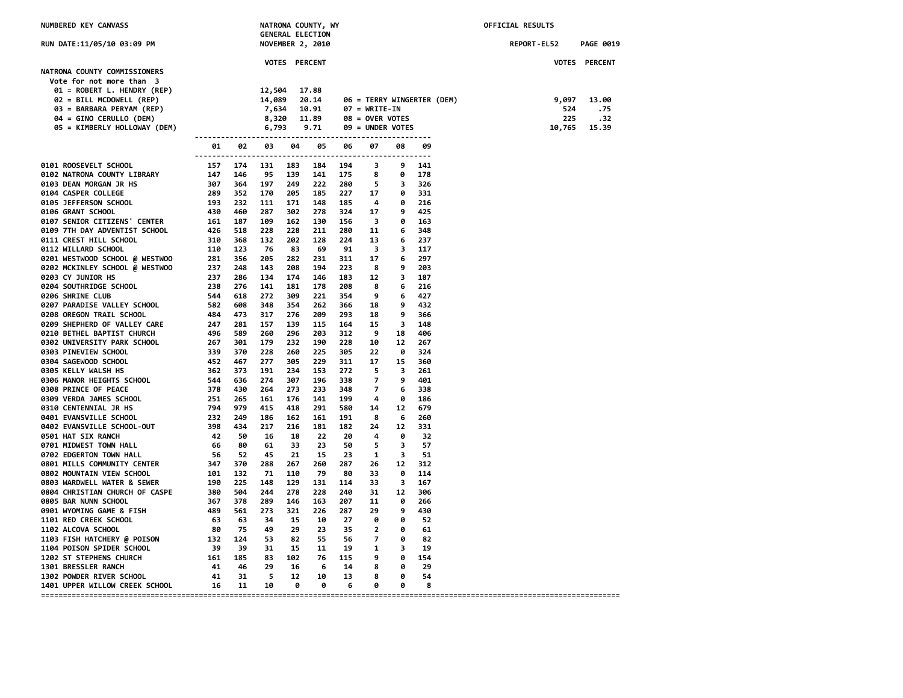| NUMBERED KEY CANVASS                                                                                                                                                                                                                      |                                                                                                                                                      |  |               | NATRONA COUNTY, WY<br><b>GENERAL ELECTION</b>                                        |                               |                                                                             |                                                                      |                                 | OFFICIAL RESULTS   |  |                               |                                               |
|-------------------------------------------------------------------------------------------------------------------------------------------------------------------------------------------------------------------------------------------|------------------------------------------------------------------------------------------------------------------------------------------------------|--|---------------|--------------------------------------------------------------------------------------|-------------------------------|-----------------------------------------------------------------------------|----------------------------------------------------------------------|---------------------------------|--------------------|--|-------------------------------|-----------------------------------------------|
| RUN DATE:11/05/10 03:09 PM                                                                                                                                                                                                                |                                                                                                                                                      |  |               | <b>NOVEMBER 2, 2010</b>                                                              |                               |                                                                             |                                                                      |                                 | <b>REPORT-EL52</b> |  | <b>PAGE 0019</b>              |                                               |
| NATRONA COUNTY COMMISSIONERS<br>Vote for not more than 3<br>$01 = ROBERT L. HENDRY (REP)$<br>02 = BILL MCDOWELL (REP)<br>03 = BARBARA PERYAM (REP)<br>04 = GINO CERULLO (DEM)<br>05 = KIMBERLY HOLLOWAY (DEM)                             | <b>12,504 17.88<br/>14,089 20.14 06 = TERRY WINGER<br/>7,634 10.91 07 = WRITE-IN<br/>8,320 11.89 08 = OVER VOTES<br/>6,793 9.71 09 = UNDER VOTES</b> |  | VOTES PERCENT |                                                                                      |                               | 20.14 06 = TERRY WINGERTER (DEM)                                            |                                                                      |                                 |                    |  | 9,097<br>524<br>225<br>10,765 | VOTES PERCENT<br>13.00<br>.75<br>.32<br>15.39 |
|                                                                                                                                                                                                                                           |                                                                                                                                                      |  |               | 01 02 03 04 05                                                                       | 06 —                          | 07                                                                          | 08                                                                   | 09                              |                    |  |                               |                                               |
| 9181 ROOSEVELT SCHOOL (1918) 1922 11 142 1938<br>1928 DEAR MORGAN TRIBARY 157 174 131 183<br>1939 DEAR MORGAN TRIBARY 147 1174 131 183<br>1939 DEAR MORGAN TRIERS (FRIFRE 160 1929 1918 1929 1918)<br>1948 DEAR MORGAN TRIES SCHOOL (1919 |                                                                                                                                                      |  | 228           | 183 184 194 3<br>205 185 227 17<br>171 148 185 4<br>302 278<br>162 130<br>211<br>128 | 324 17<br>156 3<br>280<br>224 | 139 141 175 8 0 178<br>$249$ 222 280 5 3<br>11<br>13                        | 9 141<br>0 331<br>0 216<br>9 <sub>1</sub><br>0<br>6<br>6             | 326<br>425<br>163<br>348<br>237 |                    |  |                               |                                               |
|                                                                                                                                                                                                                                           |                                                                                                                                                      |  |               | - 69<br>231<br>194<br>146                                                            | 91<br>311<br>223<br>183       | $\overline{\mathbf{3}}$<br>17<br>8<br>12                                    | $\overline{\mathbf{3}}$<br>6<br>9<br>$\overline{\mathbf{3}}$         | 117<br>297<br>203<br>187        |                    |  |                               |                                               |
|                                                                                                                                                                                                                                           |                                                                                                                                                      |  |               | 178<br>221<br>262<br>209                                                             | 208<br>354<br>366<br>293      | 8<br>- 9<br>- 18<br>18                                                      | 6<br>6<br>9<br>9                                                     | 216<br>427<br>432<br>366        |                    |  |                               |                                               |
|                                                                                                                                                                                                                                           |                                                                                                                                                      |  |               | 115<br>203<br>190<br>225                                                             | 164<br>312<br>228<br>305      | 15<br>و ۔<br>10<br>22                                                       | $\overline{\mathbf{3}}$<br>18<br>12 <sup>12</sup><br>- 0             | 148<br>406<br>267<br>324        |                    |  |                               |                                               |
|                                                                                                                                                                                                                                           |                                                                                                                                                      |  |               | 229<br>153<br>196<br>233                                                             | 311<br>272<br>338<br>348      | 17<br>$\overline{\phantom{0}}$<br>$\overline{7}$<br>$\overline{z}$          | 15<br>$\overline{\mathbf{3}}$<br>9<br>6                              | 360<br>261<br>401<br>338        |                    |  |                               |                                               |
|                                                                                                                                                                                                                                           |                                                                                                                                                      |  |               | 141<br>291<br>161                                                                    | 199<br>580<br>191<br>181 182  | $\overline{\mathbf{4}}$<br>14<br>8<br>24                                    | - 0<br>12<br>6 260<br>12 331                                         | 186<br>679                      |                    |  |                               |                                               |
|                                                                                                                                                                                                                                           |                                                                                                                                                      |  |               | 22<br>23<br>15<br>260                                                                | 20<br>50<br>-23<br>287        | $\overline{\mathbf{4}}$<br>$\overline{\phantom{0}}$<br>$\blacksquare$<br>26 | $\theta$<br>$\overline{\mathbf{3}}$<br>$\overline{\mathbf{3}}$<br>12 | 32<br>57<br>51<br>312           |                    |  |                               |                                               |
|                                                                                                                                                                                                                                           |                                                                                                                                                      |  |               | 79<br>131<br>228<br>163                                                              | - 80<br>114<br>240<br>207     | 33<br>33<br>31<br>11                                                        | 0<br>$\overline{\mathbf{3}}$<br>12<br>- 0                            | 114<br>167<br>306<br>266        |                    |  |                               |                                               |
|                                                                                                                                                                                                                                           |                                                                                                                                                      |  |               | 226<br>10<br>23                                                                      | 287<br>27<br>35<br>55 56      | - 29<br>- 0<br>$\overline{\mathbf{2}}$<br>$\overline{7}$                    | 9<br>0<br>$\bullet$<br>0                                             | 430<br>-52<br>61<br>82          |                    |  |                               |                                               |
|                                                                                                                                                                                                                                           |                                                                                                                                                      |  |               | $-6$<br>10                                                                           | 11 19<br>76 115 9<br>14<br>13 | $\blacksquare$<br>8<br>8                                                    | $\overline{\mathbf{3}}$<br>0 154<br>0<br>$\bullet$                   | 19<br>29<br>54                  |                    |  |                               |                                               |
|                                                                                                                                                                                                                                           |                                                                                                                                                      |  |               | $\bullet$                                                                            | $\overline{\phantom{0}}$      | $\bullet$                                                                   | $\bullet$                                                            | - 8                             |                    |  |                               |                                               |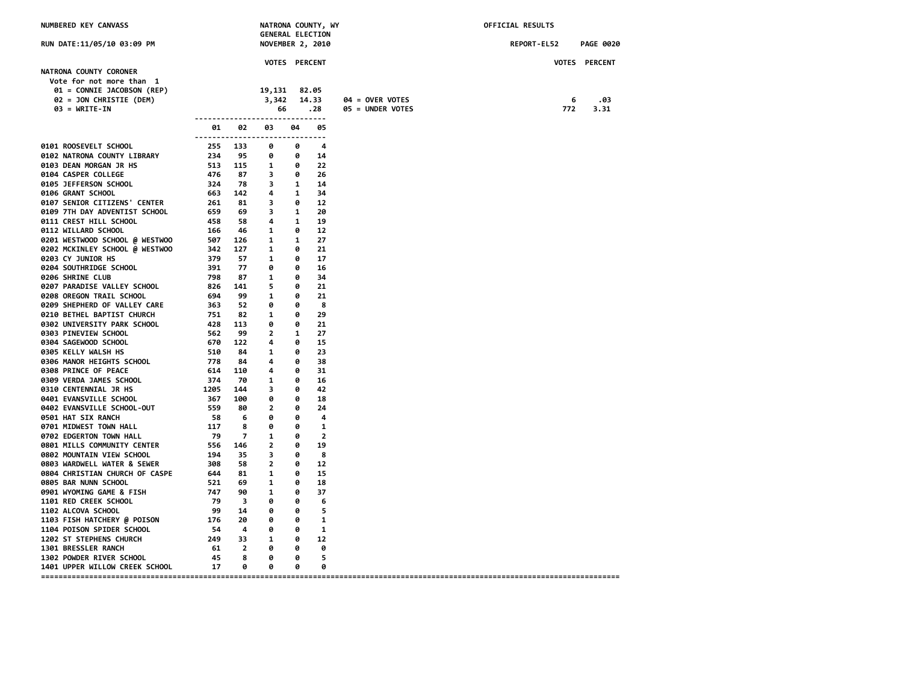| NUMBERED KEY CANVASS                                                                                                           |                                                                                                            |                  | <b>GENERAL ELECTION</b>                                                    |                                      | NATRONA COUNTY, WY    |                                     | OFFICIAL RESULTS |                  |
|--------------------------------------------------------------------------------------------------------------------------------|------------------------------------------------------------------------------------------------------------|------------------|----------------------------------------------------------------------------|--------------------------------------|-----------------------|-------------------------------------|------------------|------------------|
| RUN DATE:11/05/10 03:09 PM                                                                                                     |                                                                                                            |                  | <b>NOVEMBER 2, 2010</b>                                                    |                                      |                       |                                     | REPORT-EL52      | <b>PAGE 0020</b> |
|                                                                                                                                |                                                                                                            |                  | VOTES PERCENT                                                              |                                      |                       |                                     |                  | VOTES PERCENT    |
| NATRONA COUNTY CORONER<br>Vote for not more than 1<br>01 = CONNIE JACOBSON (REP)<br>02 = JON CHRISTIE (DEM)<br>$03 = WRITE-IN$ |                                                                                                            |                  | 19,131<br>3,342<br>66                                                      |                                      | 82.05<br>14.33<br>.28 | 04 = OVER VOTES<br>05 = UNDER VOTES | 6<br>772         | .03<br>3.31      |
|                                                                                                                                | 01                                                                                                         | 02               | --------------------------------<br>03<br>-------------------------------- | 04                                   | 05                    |                                     |                  |                  |
| 0101 ROOSEVELT SCHOOL                                                                                                          | 255 133<br>234 95<br>513 115<br>476 87<br>324 7                                                            |                  | 0                                                                          | ø                                    | 4                     |                                     |                  |                  |
| 0102 NATRONA COUNTY LIBRARY                                                                                                    |                                                                                                            |                  | $\theta$                                                                   | 0                                    | 14                    |                                     |                  |                  |
| 0103 DEAN MORGAN JR HS                                                                                                         |                                                                                                            |                  | $\overline{\phantom{0}}$ 1                                                 | $\theta$                             | 22                    |                                     |                  |                  |
| 0104 CASPER COLLEGE                                                                                                            |                                                                                                            |                  | $\overline{\phantom{a}}$                                                   | $\theta$                             | 26                    |                                     |                  |                  |
| 0105 JEFFERSON SCHOOL                                                                                                          |                                                                                                            |                  | $3 \t 1$                                                                   |                                      | 14                    |                                     |                  |                  |
| 0106 GRANT SCHOOL                                                                                                              |                                                                                                            | 663 142 4        |                                                                            | $\mathbf{1}$                         | 34                    |                                     |                  |                  |
| 0107 SENIOR CITIZENS' CENTER                                                                                                   | 261 81                                                                                                     |                  | $\overline{\phantom{a}}$                                                   | 0                                    | 12                    |                                     |                  |                  |
| 0109 7TH DAY ADVENTIST SCHOOL                                                                                                  |                                                                                                            | 659 69 3         |                                                                            | $\mathbf{1}$                         | 20                    |                                     |                  |                  |
| 0111 CREST HILL SCHOOL                                                                                                         |                                                                                                            | 458 58 4         |                                                                            | $\mathbf{1}$                         | 19                    |                                     |                  |                  |
| 0112 WILLARD SCHOOL                                                                                                            | 166                                                                                                        | 46               | $\overline{\phantom{0}}$                                                   | 0                                    | 12                    |                                     |                  |                  |
| 0201 WESTWOOD SCHOOL @ WESTWOO                                                                                                 | 507 126                                                                                                    | 342 127          | $\overline{\mathbf{1}}$<br>$\overline{\phantom{0}}$                        | $\mathbf{1}$                         | 27                    |                                     |                  |                  |
| 0202 MCKINLEY SCHOOL @ WESTWOO<br>0203 CY JUNIOR HS                                                                            | 379                                                                                                        | 57               | $\overline{\mathbf{1}}$                                                    | 0<br>0                               | 21<br>17              |                                     |                  |                  |
| 0204 SOUTHRIDGE SCHOOL                                                                                                         | 391                                                                                                        | 77               | 0                                                                          | 0                                    | 16                    |                                     |                  |                  |
| 0206 SHRINE CLUB                                                                                                               | 798                                                                                                        | 87               | $\overline{\mathbf{1}}$                                                    | 0                                    | 34                    |                                     |                  |                  |
| 0207 PARADISE VALLEY SCHOOL                                                                                                    | 826 141                                                                                                    |                  | $\overline{\phantom{0}}$                                                   | 0                                    | 21                    |                                     |                  |                  |
| 0208 OREGON TRAIL SCHOOL                                                                                                       |                                                                                                            | 694 99           | $\overline{\phantom{0}}$                                                   | 0                                    | 21                    |                                     |                  |                  |
| 0209 SHEPHERD OF VALLEY CARE                                                                                                   |                                                                                                            | 363 52           | 0                                                                          | 0                                    | 8                     |                                     |                  |                  |
| 0210 BETHEL BAPTIST CHURCH                                                                                                     | 751 82                                                                                                     |                  | $\overline{\mathbf{1}}$                                                    | 0                                    | 29                    |                                     |                  |                  |
| 0302 UNIVERSITY PARK SCHOOL                                                                                                    | $428$<br>$428$<br>$562$<br>$99$<br>$670$<br>$122$<br>$510$<br>$84$<br>$778$<br>$84$<br>$614$<br>$110$      |                  | 0                                                                          | ø                                    | 21                    |                                     |                  |                  |
| 0303 PINEVIEW SCHOOL                                                                                                           |                                                                                                            |                  | $\overline{\phantom{a}}$                                                   | $\mathbf{1}$                         | 27                    |                                     |                  |                  |
| 0304 SAGEWOOD SCHOOL                                                                                                           |                                                                                                            |                  | 4                                                                          | 0                                    | 15                    |                                     |                  |                  |
| 0305 KELLY WALSH HS                                                                                                            |                                                                                                            |                  | $\overline{\phantom{a}}$                                                   | 0                                    | 23                    |                                     |                  |                  |
| 0306 MANOR HEIGHTS SCHOOL                                                                                                      |                                                                                                            |                  | 4                                                                          | 0                                    | 38                    |                                     |                  |                  |
| 0308 PRINCE OF PEACE                                                                                                           |                                                                                                            |                  | 4                                                                          | 0                                    | 31                    |                                     |                  |                  |
| 0309 VERDA JAMES SCHOOL                                                                                                        | 374                                                                                                        | 70               | $\overline{\phantom{0}}$                                                   | 0                                    | 16                    |                                     |                  |                  |
| <b>0310 CENTENNIAL JR HS</b>                                                                                                   | 1205                                                                                                       | 144              | $\overline{\phantom{a}}$                                                   | 0                                    | 42                    |                                     |                  |                  |
| 0401 EVANSVILLE SCHOOL                                                                                                         | 367 100                                                                                                    |                  | 0                                                                          | $\bullet$                            | 18                    |                                     |                  |                  |
| 0402 EVANSVILLE SCHOOL-OUT                                                                                                     | 559                                                                                                        |                  | 80 2                                                                       | $\bullet$                            | 24                    |                                     |                  |                  |
| 0501 HAT SIX RANCH<br>0701 MIDWEST TOWN HALL                                                                                   | 58<br>117                                                                                                  | $6^{\circ}$<br>8 | ø<br>ø                                                                     | $\overline{\mathbf{e}}$<br>$\bullet$ | 4<br>-1               |                                     |                  |                  |
| 0702 EDGERTON TOWN HALL                                                                                                        |                                                                                                            | 79 7             | $\overline{\phantom{0}}$                                                   | $\theta$                             | $\overline{2}$        |                                     |                  |                  |
| 0801 MILLS COMMUNITY CENTER                                                                                                    |                                                                                                            |                  |                                                                            | $\theta$                             | 19                    |                                     |                  |                  |
| 0802 MOUNTAIN VIEW SCHOOL                                                                                                      | $\begin{array}{ccc} . & . & . & . \ 194 & 35 & 3 \ 308 & 58 & 2 \ 644 & 81 & 1 \ 521 & 69 & 1 \end{array}$ |                  |                                                                            | 0                                    | 8                     |                                     |                  |                  |
| 0803 WARDWELL WATER & SEWER                                                                                                    |                                                                                                            |                  |                                                                            | 0                                    | 12                    |                                     |                  |                  |
| 0804 CHRISTIAN CHURCH OF CASPE                                                                                                 |                                                                                                            |                  |                                                                            | 0                                    | 15                    |                                     |                  |                  |
| 0805 BAR NUNN SCHOOL                                                                                                           |                                                                                                            |                  |                                                                            | 0                                    | 18                    |                                     |                  |                  |
| 0901 WYOMING GAME & FISH                                                                                                       | 747                                                                                                        | 90               | $\overline{\mathbf{1}}$                                                    | 0                                    | 37                    |                                     |                  |                  |
| 1101 RED CREEK SCHOOL                                                                                                          | 79 3                                                                                                       |                  | 0                                                                          | $\bullet$                            | 6                     |                                     |                  |                  |
| 1102 ALCOVA SCHOOL                                                                                                             | 99 14                                                                                                      |                  | 0                                                                          | $\bullet$                            | 5                     |                                     |                  |                  |
| 1103 FISH HATCHERY @ POISON                                                                                                    |                                                                                                            |                  |                                                                            |                                      | 1                     |                                     |                  |                  |
| 1104 POISON SPIDER SCHOOL                                                                                                      |                                                                                                            |                  |                                                                            |                                      | 1                     |                                     |                  |                  |
| 1202 ST STEPHENS CHURCH                                                                                                        |                                                                                                            |                  |                                                                            |                                      | 12                    |                                     |                  |                  |
| 1301 BRESSLER RANCH                                                                                                            |                                                                                                            |                  |                                                                            |                                      | 0                     |                                     |                  |                  |
| 1302 POWDER RIVER SCHOOL                                                                                                       | 45                                                                                                         | 8                | 0                                                                          | $\theta$                             | 5                     |                                     |                  |                  |
| 1401 UPPER WILLOW CREEK SCHOOL                                                                                                 | $\overline{\mathbf{17}}$                                                                                   | 0                | 0                                                                          | $\bullet$                            | 0                     |                                     |                  |                  |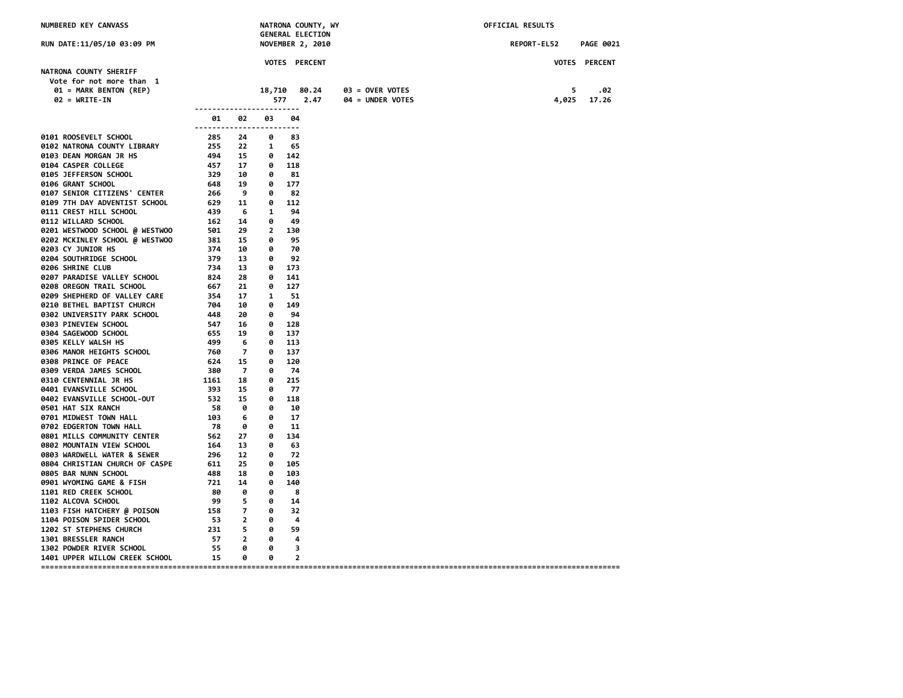| NUMBERED KEY CANVASS                                                                                                                                                             |                                                                                                                                                                                                                                                                                              |      |                         | NATRONA COUNTY, WY<br><b>GENERAL ELECTION</b> |                  | OFFICIAL RESULTS |                      |
|----------------------------------------------------------------------------------------------------------------------------------------------------------------------------------|----------------------------------------------------------------------------------------------------------------------------------------------------------------------------------------------------------------------------------------------------------------------------------------------|------|-------------------------|-----------------------------------------------|------------------|------------------|----------------------|
| RUN DATE:11/05/10 03:09 PM                                                                                                                                                       |                                                                                                                                                                                                                                                                                              |      |                         | <b>NOVEMBER 2, 2010</b>                       |                  | REPORT-EL52      | <b>PAGE 0021</b>     |
|                                                                                                                                                                                  |                                                                                                                                                                                                                                                                                              |      |                         | VOTES PERCENT                                 |                  |                  | <b>VOTES PERCENT</b> |
| NATRONA COUNTY SHERIFF<br>Vote for not more than 1                                                                                                                               |                                                                                                                                                                                                                                                                                              |      |                         |                                               |                  |                  |                      |
| 01 = MARK BENTON (REP)                                                                                                                                                           |                                                                                                                                                                                                                                                                                              |      | 577                     | 18,710 80.24                                  | 03 = OVER VOTES  | 5                | .02                  |
| $02 = WRTTE-IN$                                                                                                                                                                  | ------------------------                                                                                                                                                                                                                                                                     |      |                         | 2.47                                          | 04 = UNDER VOTES | 4,025            | 17.26                |
|                                                                                                                                                                                  | 01.<br>------------------------                                                                                                                                                                                                                                                              | 02   | 03                      | 04                                            |                  |                  |                      |
| 0101 ROOSEVELT SCHOOL                                                                                                                                                            | 285 24<br>255 22<br>494 15                                                                                                                                                                                                                                                                   |      | 0                       | 83                                            |                  |                  |                      |
| 0102 NATRONA COUNTY LIBRARY                                                                                                                                                      |                                                                                                                                                                                                                                                                                              |      | $\mathbf{1}$            | 65                                            |                  |                  |                      |
| 0103 DEAN MORGAN JR HS                                                                                                                                                           |                                                                                                                                                                                                                                                                                              |      | 0 142                   |                                               |                  |                  |                      |
| 9104 CASPER COLLEGE 457 17 0 118<br>9105 JEFFERSON SCHOOL 329 10 0 81<br>9106 GRANT SCHOOL 648 19 0 177<br>9107 SENIOR CITIZENS' CENTER 266 9 0 82<br>929 10 0 177<br>926 9 0 82 |                                                                                                                                                                                                                                                                                              |      |                         |                                               |                  |                  |                      |
|                                                                                                                                                                                  |                                                                                                                                                                                                                                                                                              |      |                         |                                               |                  |                  |                      |
|                                                                                                                                                                                  |                                                                                                                                                                                                                                                                                              |      |                         |                                               |                  |                  |                      |
| 0109 7TH DAY ADVENTIST SCHOOL                                                                                                                                                    |                                                                                                                                                                                                                                                                                              |      | $0$ 112                 |                                               |                  |                  |                      |
| 0111 CREST HILL SCHOOL                                                                                                                                                           | $629$<br>$439$ $6$ $1$<br>$14$ $9$                                                                                                                                                                                                                                                           |      |                         | 94                                            |                  |                  |                      |
| 0112 WILLARD SCHOOL                                                                                                                                                              |                                                                                                                                                                                                                                                                                              |      | 0 49                    |                                               |                  |                  |                      |
| 0201 WESTWOOD SCHOOL @ WESTWOO                                                                                                                                                   | 162 14 0<br>501 29 2<br>381 15 0<br>374 10 0                                                                                                                                                                                                                                                 |      | 2 130                   |                                               |                  |                  |                      |
| 0202 MCKINLEY SCHOOL @ WESTWOO                                                                                                                                                   |                                                                                                                                                                                                                                                                                              |      |                         | 95                                            |                  |                  |                      |
| 0203 CY JUNIOR HS                                                                                                                                                                |                                                                                                                                                                                                                                                                                              |      |                         | 70                                            |                  |                  |                      |
| <b>0204 SOUTHRIDGE SCHOOL</b>                                                                                                                                                    | ہر<br>379<br>734                                                                                                                                                                                                                                                                             | 13   | $\overline{\mathbf{e}}$ | 92                                            |                  |                  |                      |
| 0206 SHRINE CLUB                                                                                                                                                                 |                                                                                                                                                                                                                                                                                              | 13   | 0 173                   |                                               |                  |                  |                      |
| 0207 PARADISE VALLEY SCHOOL                                                                                                                                                      | $\begin{array}{ccc} r \supset 4 & 13 \\ 824 & 28 \end{array}$                                                                                                                                                                                                                                |      | 0 141                   |                                               |                  |                  |                      |
| 0208 OREGON TRAIL SCHOOL                                                                                                                                                         |                                                                                                                                                                                                                                                                                              |      | $\bullet$               | 127                                           |                  |                  |                      |
| 0209 SHEPHERD OF VALLEY CARE                                                                                                                                                     |                                                                                                                                                                                                                                                                                              | 17 1 |                         | 51                                            |                  |                  |                      |
| 0210 BETHEL BAPTIST CHURCH                                                                                                                                                       | $-67$<br>$-67$<br>$-74$<br>$-764$<br>$-10$<br>$-48$<br>$-84$<br>$-76$<br>$-76$<br>$-76$<br>$-76$<br>$-76$<br>$-76$<br>$-76$<br>$-76$<br>$-76$<br>$-76$<br>$-76$<br>$-76$<br>$-76$<br>$-76$<br>$-76$<br>$-76$<br>$-76$<br>$-76$<br>$-76$<br>$-76$<br>$-76$<br>$-76$<br>$-76$<br>$-76$<br>$-7$ |      | $\theta$                | 149                                           |                  |                  |                      |
| 0302 UNIVERSITY PARK SCHOOL                                                                                                                                                      |                                                                                                                                                                                                                                                                                              |      | $\bullet$               | 94                                            |                  |                  |                      |
| 0303 PINEVIEW SCHOOL                                                                                                                                                             |                                                                                                                                                                                                                                                                                              |      | 0 128                   |                                               |                  |                  |                      |
| 0304 SAGEWOOD SCHOOL                                                                                                                                                             |                                                                                                                                                                                                                                                                                              |      | 0 137                   |                                               |                  |                  |                      |
| 0305 KELLY WALSH HS                                                                                                                                                              |                                                                                                                                                                                                                                                                                              |      | 0 113                   |                                               |                  |                  |                      |
| 0306 MANOR HEIGHTS SCHOOL                                                                                                                                                        | $\frac{12}{760}$ 7                                                                                                                                                                                                                                                                           |      | 0 137                   |                                               |                  |                  |                      |
| 0308 PRINCE OF PEACE<br>0309 VERDA JAMES SCHOOL                                                                                                                                  |                                                                                                                                                                                                                                                                                              |      | $\bullet$<br>0          | 120<br>- 74                                   |                  |                  |                      |
| <b>0310 CENTENNIAL JR HS</b>                                                                                                                                                     | $624$ 15<br>380 7<br>1161 18<br>392 11                                                                                                                                                                                                                                                       |      | 0                       | 215                                           |                  |                  |                      |
| 0401 EVANSVILLE SCHOOL                                                                                                                                                           |                                                                                                                                                                                                                                                                                              |      | 0                       | -77                                           |                  |                  |                      |
| 0402 EVANSVILLE SCHOOL-OUT                                                                                                                                                       |                                                                                                                                                                                                                                                                                              |      |                         | $0$ 118                                       |                  |                  |                      |
| 0501 HAT SIX RANCH                                                                                                                                                               |                                                                                                                                                                                                                                                                                              |      | 0                       | 10                                            |                  |                  |                      |
| 0701 MIDWEST TOWN HALL                                                                                                                                                           |                                                                                                                                                                                                                                                                                              |      | - 0                     | -17                                           |                  |                  |                      |
| 0702 EDGERTON TOWN HALL                                                                                                                                                          | 18<br>393<br>393<br>532<br>58<br>6<br>103<br>6<br>78                                                                                                                                                                                                                                         |      | $\bullet$               | 11                                            |                  |                  |                      |
| 0801 MILLS COMMUNITY CENTER                                                                                                                                                      | $562$ 27                                                                                                                                                                                                                                                                                     |      | 0 134                   |                                               |                  |                  |                      |
| 0802 MOUNTAIN VIEW SCHOOL                                                                                                                                                        | 164 13 0                                                                                                                                                                                                                                                                                     |      |                         | 63                                            |                  |                  |                      |
|                                                                                                                                                                                  |                                                                                                                                                                                                                                                                                              |      | $\bullet$               | 72                                            |                  |                  |                      |
|                                                                                                                                                                                  |                                                                                                                                                                                                                                                                                              |      | $\bullet$               | 105                                           |                  |                  |                      |
| 0805 BAR NUNN SCHOOL                                                                                                                                                             | 488                                                                                                                                                                                                                                                                                          | 18   | 0 103                   |                                               |                  |                  |                      |
| 0901 WYOMING GAME & FISH                                                                                                                                                         | 721 14                                                                                                                                                                                                                                                                                       |      | $\bullet$               | 140                                           |                  |                  |                      |
| 1101 RED CREEK SCHOOL                                                                                                                                                            | 80 0                                                                                                                                                                                                                                                                                         |      | 0                       | - 8                                           |                  |                  |                      |
| <b>1102 ALCOVA SCHOOL</b>                                                                                                                                                        |                                                                                                                                                                                                                                                                                              | 5.   | $\bullet$               | -14                                           |                  |                  |                      |
| 1103 FISH HATCHERY @ POISON                                                                                                                                                      | $\begin{array}{ccc} 158 & 7 \\ 53 & 2 \\ 231 & 5 \end{array}$                                                                                                                                                                                                                                |      | 0                       | 32                                            |                  |                  |                      |
| 1104 POISON SPIDER SCHOOL                                                                                                                                                        |                                                                                                                                                                                                                                                                                              |      | $\bullet$               | - 4                                           |                  |                  |                      |
| 1202 ST STEPHENS CHURCH<br>1301 BRESSLER RANCH                                                                                                                                   |                                                                                                                                                                                                                                                                                              |      | $\theta$<br>$\bullet$   | 59<br>-4                                      |                  |                  |                      |
| 1302 POWDER RIVER SCHOOL                                                                                                                                                         | 57 2<br>55                                                                                                                                                                                                                                                                                   | ø    | ø                       | 3                                             |                  |                  |                      |
| 1401 UPPER WILLOW CREEK SCHOOL 15                                                                                                                                                |                                                                                                                                                                                                                                                                                              | - 0  | 0                       | $\overline{2}$                                |                  |                  |                      |
|                                                                                                                                                                                  |                                                                                                                                                                                                                                                                                              |      |                         |                                               |                  |                  |                      |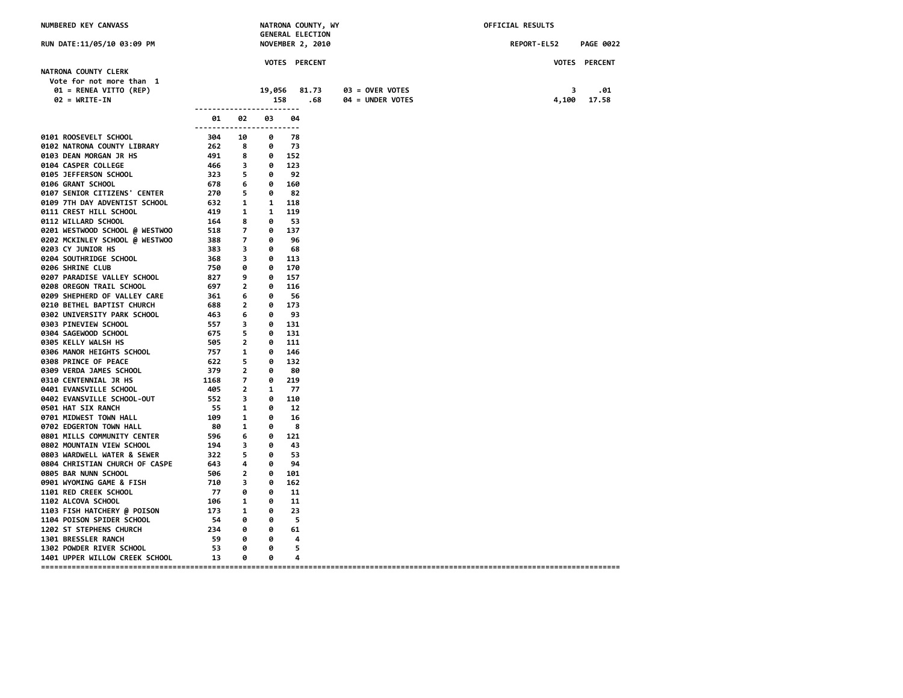| NUMBERED KEY CANVASS                                                       |                                                                                                                                                                                                                                                                                                     |                         |                   | <b>GENERAL ELECTION</b> | NATRONA COUNTY, WY |                  | OFFICIAL RESULTS |                      |
|----------------------------------------------------------------------------|-----------------------------------------------------------------------------------------------------------------------------------------------------------------------------------------------------------------------------------------------------------------------------------------------------|-------------------------|-------------------|-------------------------|--------------------|------------------|------------------|----------------------|
| RUN DATE:11/05/10 03:09 PM                                                 |                                                                                                                                                                                                                                                                                                     |                         |                   | <b>NOVEMBER 2, 2010</b> |                    |                  | REPORT-EL52      | <b>PAGE 0022</b>     |
|                                                                            |                                                                                                                                                                                                                                                                                                     |                         |                   | VOTES PERCENT           |                    |                  |                  | <b>VOTES PERCENT</b> |
| NATRONA COUNTY CLERK<br>Vote for not more than 1<br>01 = RENEA VITTO (REP) |                                                                                                                                                                                                                                                                                                     |                         | 19,056            |                         | 81.73              | 03 = OVER VOTES  | 3                | .01                  |
| $02 = WRTTE-IN$                                                            | ------------------------                                                                                                                                                                                                                                                                            |                         | 158               |                         | .68                | 04 = UNDER VOTES | 4,100            | 17.58                |
|                                                                            | 01<br>------------------------                                                                                                                                                                                                                                                                      | 02                      | 03                | 04                      |                    |                  |                  |                      |
| 0101 ROOSEVELT SCHOOL                                                      | 304 10                                                                                                                                                                                                                                                                                              |                         | 0                 | - 78                    |                    |                  |                  |                      |
| 0102 NATRONA COUNTY LIBRARY                                                | 262                                                                                                                                                                                                                                                                                                 | $\overline{\mathbf{8}}$ |                   | $0 \t 73$               |                    |                  |                  |                      |
| 0103 DEAN MORGAN JR HS                                                     | 491                                                                                                                                                                                                                                                                                                 | 8                       |                   | 0 152                   |                    |                  |                  |                      |
| 0104 CASPER COLLEGE                                                        | 466 3                                                                                                                                                                                                                                                                                               |                         | $0 \t 123$        |                         |                    |                  |                  |                      |
| 0105 JEFFERSON SCHOOL<br>0106 GRANT SCHOOL                                 | 323 5 0 92<br>678                                                                                                                                                                                                                                                                                   | 6                       | $\theta$          | 160                     |                    |                  |                  |                      |
| 0107 SENIOR CITIZENS' CENTER                                               | 270 5 0 82                                                                                                                                                                                                                                                                                          |                         |                   |                         |                    |                  |                  |                      |
| 0109 7TH DAY ADVENTIST SCHOOL                                              | 632 1                                                                                                                                                                                                                                                                                               |                         | 1 118             |                         |                    |                  |                  |                      |
| 0111 CREST HILL SCHOOL                                                     |                                                                                                                                                                                                                                                                                                     |                         | 419 1 1 119       |                         |                    |                  |                  |                      |
| 0112 WILLARD SCHOOL                                                        | 164 8                                                                                                                                                                                                                                                                                               |                         |                   | $\theta$ 53             |                    |                  |                  |                      |
| 0201 WESTWOOD SCHOOL @ WESTWOO                                             |                                                                                                                                                                                                                                                                                                     |                         |                   | 0 137                   |                    |                  |                  |                      |
| 0202 MCKINLEY SCHOOL @ WESTWOO                                             | 518 7<br>388 7                                                                                                                                                                                                                                                                                      |                         | 0                 | 96                      |                    |                  |                  |                      |
| 0203 CY JUNIOR HS                                                          | 383 3                                                                                                                                                                                                                                                                                               |                         | 0                 | 68                      |                    |                  |                  |                      |
| 0204 SOUTHRIDGE SCHOOL                                                     | 368 3                                                                                                                                                                                                                                                                                               |                         |                   | $0$ 113                 |                    |                  |                  |                      |
| 0206 SHRINE CLUB                                                           | 750                                                                                                                                                                                                                                                                                                 | 0                       |                   | 0 170                   |                    |                  |                  |                      |
| 0207 PARADISE VALLEY SCHOOL                                                | 827 9                                                                                                                                                                                                                                                                                               |                         |                   | 0 157                   |                    |                  |                  |                      |
| 0208 OREGON TRAIL SCHOOL                                                   | 697 2                                                                                                                                                                                                                                                                                               |                         | 0                 | 116                     |                    |                  |                  |                      |
| 0209 SHEPHERD OF VALLEY CARE                                               | 361 6                                                                                                                                                                                                                                                                                               |                         | 0                 | 56                      |                    |                  |                  |                      |
| 0210 BETHEL BAPTIST CHURCH                                                 | 688 2                                                                                                                                                                                                                                                                                               |                         |                   | $0 \t 173$              |                    |                  |                  |                      |
| 0302 UNIVERSITY PARK SCHOOL                                                | $-463$<br>$-557$<br>$-55$<br>$-595$<br>$-757$<br>$-522$<br>$-5$<br>$-5$<br>$-5$<br>$-5$<br>$-5$<br>$-5$<br>$-5$<br>$-5$<br>$-5$<br>$-5$<br>$-5$<br>$-5$<br>$-5$<br>$-5$<br>$-5$<br>$-5$<br>$-5$<br>$-5$<br>$-5$<br>$-5$<br>$-5$<br>$-5$<br>$-5$<br>$-5$<br>$-5$<br>$-5$<br>$-5$<br>$-5$<br>$-5$<br> |                         | $\bullet$         | 93                      |                    |                  |                  |                      |
| 0303 PINEVIEW SCHOOL                                                       |                                                                                                                                                                                                                                                                                                     |                         |                   | 0 131                   |                    |                  |                  |                      |
| 0304 SAGEWOOD SCHOOL                                                       |                                                                                                                                                                                                                                                                                                     |                         |                   | 0 131                   |                    |                  |                  |                      |
| 0305 KELLY WALSH HS                                                        |                                                                                                                                                                                                                                                                                                     |                         |                   | $0$ 111                 |                    |                  |                  |                      |
| 0306 MANOR HEIGHTS SCHOOL                                                  |                                                                                                                                                                                                                                                                                                     |                         |                   | 0 146                   |                    |                  |                  |                      |
| 0308 PRINCE OF PEACE                                                       |                                                                                                                                                                                                                                                                                                     |                         |                   | $0$ 132                 |                    |                  |                  |                      |
| 0309 VERDA JAMES SCHOOL                                                    | $\begin{array}{c}\n 379 \\  2 \\  1168\n \end{array}$                                                                                                                                                                                                                                               |                         | 0                 | 80                      |                    |                  |                  |                      |
| <b>0310 CENTENNIAL JR HS</b><br>0401 EVANSVILLE SCHOOL                     | 405                                                                                                                                                                                                                                                                                                 | $\overline{2}$          | 0<br>$\mathbf{1}$ | 219<br>-77              |                    |                  |                  |                      |
| 0402 EVANSVILLE SCHOOL-OUT                                                 | 552 3                                                                                                                                                                                                                                                                                               |                         | 0                 | 110                     |                    |                  |                  |                      |
| 0501 HAT SIX RANCH                                                         | 55 1                                                                                                                                                                                                                                                                                                |                         | 0                 | 12                      |                    |                  |                  |                      |
| 0701 MIDWEST TOWN HALL                                                     | 109 1                                                                                                                                                                                                                                                                                               |                         | 0                 | 16                      |                    |                  |                  |                      |
| 0702 EDGERTON TOWN HALL                                                    | 80 1                                                                                                                                                                                                                                                                                                |                         | ø                 | - 8                     |                    |                  |                  |                      |
| 0801 MILLS COMMUNITY CENTER                                                | 596 6                                                                                                                                                                                                                                                                                               |                         |                   | $0$ 121                 |                    |                  |                  |                      |
| 0802 MOUNTAIN VIEW SCHOOL                                                  | 194 3                                                                                                                                                                                                                                                                                               |                         | 0                 | 43                      |                    |                  |                  |                      |
| 0803 WARDWELL WATER & SEWER                                                |                                                                                                                                                                                                                                                                                                     |                         | 0                 | 53                      |                    |                  |                  |                      |
| 0804 CHRISTIAN CHURCH OF CASPE                                             | 322 5<br>643 4                                                                                                                                                                                                                                                                                      |                         | 0                 | 94                      |                    |                  |                  |                      |
| 0805 BAR NUNN SCHOOL                                                       | 506 2                                                                                                                                                                                                                                                                                               |                         | 0                 | 101                     |                    |                  |                  |                      |
| 0901 WYOMING GAME & FISH                                                   | 710 3                                                                                                                                                                                                                                                                                               |                         | 0                 | 162                     |                    |                  |                  |                      |
| <b>1101 RED CREEK SCHOOL</b>                                               | 77                                                                                                                                                                                                                                                                                                  | 0                       | 0                 | 11                      |                    |                  |                  |                      |
| 1102 ALCOVA SCHOOL                                                         | 106 1                                                                                                                                                                                                                                                                                               |                         | 0                 | 11                      |                    |                  |                  |                      |
| 1103 FISH HATCHERY @ POISON                                                | 173 1                                                                                                                                                                                                                                                                                               |                         | 0                 | 23                      |                    |                  |                  |                      |
| 1104 POISON SPIDER SCHOOL                                                  | 54 — 1                                                                                                                                                                                                                                                                                              | 0                       | 0                 | 5                       |                    |                  |                  |                      |
| 1202 ST STEPHENS CHURCH                                                    | 234                                                                                                                                                                                                                                                                                                 | 0                       | 0                 | 61                      |                    |                  |                  |                      |
| 1301 BRESSLER RANCH                                                        | 59 3                                                                                                                                                                                                                                                                                                | 0                       | 0                 | 4                       |                    |                  |                  |                      |
| 1302 POWDER RIVER SCHOOL                                                   | 53                                                                                                                                                                                                                                                                                                  | 0                       | 0                 | 5                       |                    |                  |                  |                      |
| 1401 UPPER WILLOW CREEK SCHOOL 13                                          |                                                                                                                                                                                                                                                                                                     | 0                       | 0                 | 4                       |                    |                  |                  |                      |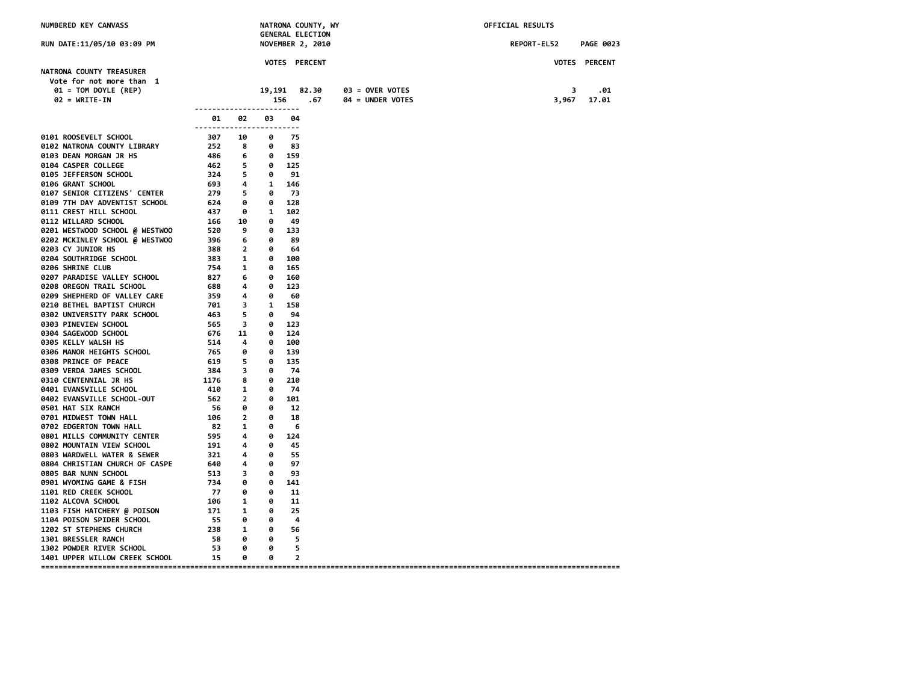| NUMBERED KEY CANVASS                                 |                                                                                         |                                     |                         |                | NATRONA COUNTY, WY<br><b>GENERAL ELECTION</b> |                  |  | OFFICIAL RESULTS |       |                      |
|------------------------------------------------------|-----------------------------------------------------------------------------------------|-------------------------------------|-------------------------|----------------|-----------------------------------------------|------------------|--|------------------|-------|----------------------|
| RUN DATE:11/05/10 03:09 PM                           |                                                                                         |                                     |                         |                | <b>NOVEMBER 2, 2010</b>                       |                  |  | REPORT-EL52      |       | <b>PAGE 0023</b>     |
|                                                      |                                                                                         |                                     |                         |                | VOTES PERCENT                                 |                  |  |                  |       | <b>VOTES PERCENT</b> |
| NATRONA COUNTY TREASURER<br>Vote for not more than 1 |                                                                                         |                                     |                         |                |                                               |                  |  |                  |       |                      |
| $01 = TOM DOYLE (REP)$                               |                                                                                         |                                     | 19,191                  |                | 82.30                                         | 03 = OVER VOTES  |  |                  | 3     | .01                  |
| $02 = \text{WRITE-IN}$                               |                                                                                         |                                     | 156                     |                | .67                                           | 04 = UNDER VOTES |  |                  | 3,967 | 17.01                |
|                                                      | ------------------------<br>01<br>------------------------                              | 02                                  | 03                      | 04             |                                               |                  |  |                  |       |                      |
| 0101 ROOSEVELT SCHOOL                                | 307                                                                                     | 10                                  | 0                       | -75            |                                               |                  |  |                  |       |                      |
| 0102 NATRONA COUNTY LIBRARY                          | 252                                                                                     | $\overline{\mathbf{8}}$             | 0                       | 83             |                                               |                  |  |                  |       |                      |
| 0103 DEAN MORGAN JR HS                               | - 486                                                                                   | 6                                   | 0 159                   |                |                                               |                  |  |                  |       |                      |
| 0104 CASPER COLLEGE                                  | 462                                                                                     | $\overline{\phantom{0}}$            | 0 125                   |                |                                               |                  |  |                  |       |                      |
| 0105 JEFFERSON SCHOOL                                | 324 5 0 91                                                                              |                                     |                         |                |                                               |                  |  |                  |       |                      |
| 0106 GRANT SCHOOL                                    | 693 4                                                                                   |                                     | 1 146                   |                |                                               |                  |  |                  |       |                      |
| 0107 SENIOR CITIZENS' CENTER                         | $\frac{0.5}{279}$ 5                                                                     |                                     | $\overline{\mathbf{e}}$ | - 73           |                                               |                  |  |                  |       |                      |
| 0109 7TH DAY ADVENTIST SCHOOL                        | 624 0                                                                                   |                                     | 0 128                   |                |                                               |                  |  |                  |       |                      |
| 0111 CREST HILL SCHOOL                               |                                                                                         |                                     |                         |                |                                               |                  |  |                  |       |                      |
| 0112 WILLARD SCHOOL                                  | 166 10                                                                                  |                                     | $\bullet$               | - 49           |                                               |                  |  |                  |       |                      |
| 0201 WESTWOOD SCHOOL @ WESTWOO                       | 520                                                                                     | $^{9}$                              | 0 133                   |                |                                               |                  |  |                  |       |                      |
| 0202 MCKINLEY SCHOOL @ WESTWOO<br>0203 CY JUNIOR HS  | 396 6<br>388 2                                                                          |                                     | $\theta$<br>$\bullet$   | 89<br>64       |                                               |                  |  |                  |       |                      |
| <b>0204 SOUTHRIDGE SCHOOL</b>                        | 383 1                                                                                   |                                     | 0 100                   |                |                                               |                  |  |                  |       |                      |
| 0206 SHRINE CLUB                                     | 754                                                                                     | $\overline{\mathbf{1}}$             | 0                       | 165            |                                               |                  |  |                  |       |                      |
| 0207 PARADISE VALLEY SCHOOL                          | 827 6                                                                                   |                                     | 0                       | 160            |                                               |                  |  |                  |       |                      |
| 0208 OREGON TRAIL SCHOOL                             | 688 4                                                                                   |                                     | 0                       | 123            |                                               |                  |  |                  |       |                      |
| 0209 SHEPHERD OF VALLEY CARE                         |                                                                                         |                                     | $\bullet$               | -60            |                                               |                  |  |                  |       |                      |
| 0210 BETHEL BAPTIST CHURCH                           | $\begin{array}{ccc} 0.00 & 0.00 & 0.00 \\ 359 & 4 \\ 701 & 3 \end{array}$<br>701 3      |                                     | 1 158                   |                |                                               |                  |  |                  |       |                      |
| 0302 UNIVERSITY PARK SCHOOL                          | $463$ 5 $-6$<br>$565$ 3 $0$<br>$576$ 11 $0$<br>$514$ 4 $0$<br>$765$ 0 $0$<br>$76$ 5 $0$ |                                     |                         | 94             |                                               |                  |  |                  |       |                      |
| 0303 PINEVIEW SCHOOL                                 |                                                                                         |                                     | $0 \t 123$              |                |                                               |                  |  |                  |       |                      |
| 0304 SAGEWOOD SCHOOL                                 |                                                                                         |                                     | 0 124                   |                |                                               |                  |  |                  |       |                      |
| 0305 KELLY WALSH HS                                  |                                                                                         |                                     |                         | 0 100          |                                               |                  |  |                  |       |                      |
| 0306 MANOR HEIGHTS SCHOOL                            |                                                                                         |                                     | $\bullet$               | 139            |                                               |                  |  |                  |       |                      |
| 0308 PRINCE OF PEACE                                 | 619 5                                                                                   |                                     | 0                       | 135            |                                               |                  |  |                  |       |                      |
| 0309 VERDA JAMES SCHOOL                              | $\frac{384}{1176}$ 3                                                                    |                                     | 0                       | -74            |                                               |                  |  |                  |       |                      |
| <b>0310 CENTENNIAL JR HS</b>                         |                                                                                         |                                     | 0                       | 210            |                                               |                  |  |                  |       |                      |
| 0401 EVANSVILLE SCHOOL                               | 410                                                                                     | $\overline{\phantom{a}}$            | 0                       | 74             |                                               |                  |  |                  |       |                      |
| 0402 EVANSVILLE SCHOOL-OUT                           | 562 2                                                                                   |                                     |                         | 0 101          |                                               |                  |  |                  |       |                      |
| 0501 HAT SIX RANCH                                   | 56 0                                                                                    |                                     | 0                       | 12             |                                               |                  |  |                  |       |                      |
| 0701 MIDWEST TOWN HALL                               | $\begin{array}{cc} 106 & 2 \\ 82 & 1 \end{array}$                                       |                                     | $\theta$                | 18             |                                               |                  |  |                  |       |                      |
| 0702 EDGERTON TOWN HALL                              |                                                                                         |                                     | $\theta$                | - 6            |                                               |                  |  |                  |       |                      |
| 0801 MILLS COMMUNITY CENTER                          | 595 4                                                                                   |                                     |                         | 0 124          |                                               |                  |  |                  |       |                      |
| 0802 MOUNTAIN VIEW SCHOOL                            | 191 4                                                                                   |                                     | 0                       | 45             |                                               |                  |  |                  |       |                      |
| 0803 WARDWELL WATER & SEWER                          | 321 4<br>640 4                                                                          |                                     | $\boldsymbol{\theta}$   | 55             |                                               |                  |  |                  |       |                      |
| 0804 CHRISTIAN CHURCH OF CASPE                       |                                                                                         |                                     | $\theta$                | 97             |                                               |                  |  |                  |       |                      |
| 0805 BAR NUNN SCHOOL                                 | $\begin{array}{ccc} 513 & & 3 \\ 734 & & 0 \\ -1 & & 0 \end{array}$                     |                                     | 0                       | 93             |                                               |                  |  |                  |       |                      |
| 0901 WYOMING GAME & FISH                             |                                                                                         |                                     | 0<br>0                  | 141            |                                               |                  |  |                  |       |                      |
| <b>1101 RED CREEK SCHOOL</b><br>1102 ALCOVA SCHOOL   | 77<br>106                                                                               | $\theta$<br>$\overline{\mathbf{1}}$ | 0                       | 11<br>11       |                                               |                  |  |                  |       |                      |
| 1103 FISH HATCHERY @ POISON                          | 171                                                                                     | $\overline{\phantom{a}}$            | 0                       | 25             |                                               |                  |  |                  |       |                      |
| 1104 POISON SPIDER SCHOOL                            | 55 0                                                                                    |                                     | 0                       | -4             |                                               |                  |  |                  |       |                      |
| 1202 ST STEPHENS CHURCH                              | 238 1                                                                                   |                                     | $\theta$                | 56             |                                               |                  |  |                  |       |                      |
| 1301 BRESSLER RANCH                                  | 58                                                                                      | 0                                   | 0                       | 5              |                                               |                  |  |                  |       |                      |
| 1302 POWDER RIVER SCHOOL                             | 53                                                                                      | 0                                   | ø                       | 5              |                                               |                  |  |                  |       |                      |
| 1401 UPPER WILLOW CREEK SCHOOL 15                    |                                                                                         | 0                                   | 0                       | $\overline{2}$ |                                               |                  |  |                  |       |                      |
|                                                      |                                                                                         |                                     |                         |                |                                               |                  |  |                  |       |                      |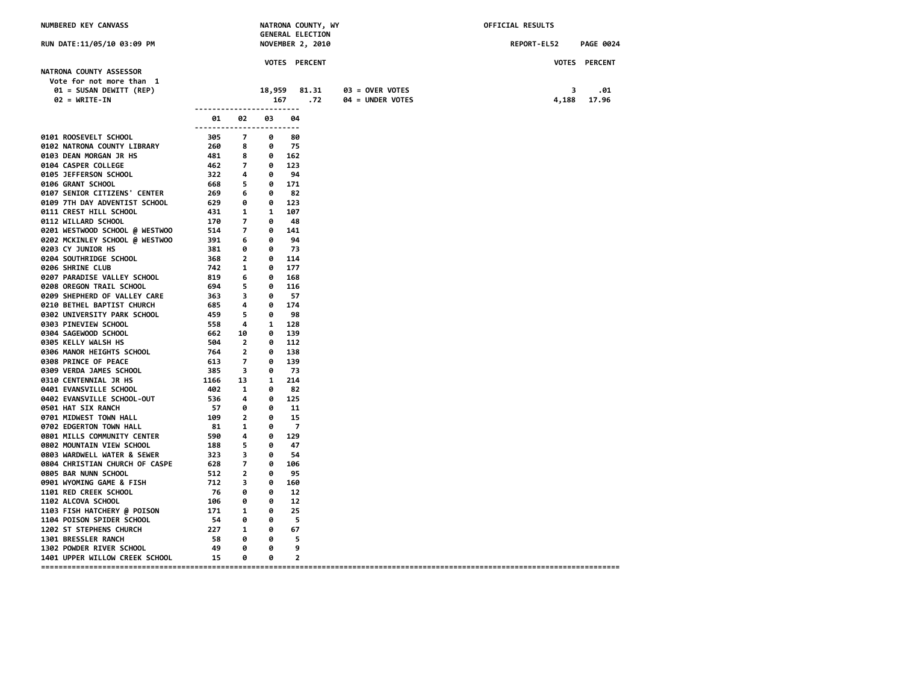| NUMBERED KEY CANVASS                                                                                                                                                                                                                                                                                                                |                |          | <b>GENERAL ELECTION</b> | NATRONA COUNTY, WY |                  | OFFICIAL RESULTS |                  |
|-------------------------------------------------------------------------------------------------------------------------------------------------------------------------------------------------------------------------------------------------------------------------------------------------------------------------------------|----------------|----------|-------------------------|--------------------|------------------|------------------|------------------|
| RUN DATE:11/05/10 03:09 PM                                                                                                                                                                                                                                                                                                          |                |          | <b>NOVEMBER 2, 2010</b> |                    |                  | REPORT-EL52      | <b>PAGE 0024</b> |
|                                                                                                                                                                                                                                                                                                                                     |                |          | VOTES PERCENT           |                    |                  |                  | VOTES PERCENT    |
| NATRONA COUNTY ASSESSOR<br>Vote for not more than 1<br>01 = SUSAN DEWITT (REP)                                                                                                                                                                                                                                                      |                |          | 18,959 81.31            |                    | 03 = OVER VOTES  | 3                | .01              |
| $02 = \text{WRITE-IN}$<br>------------------------                                                                                                                                                                                                                                                                                  |                | 167      |                         | .72                | 04 = UNDER VOTES | 4,188            | 17.96            |
| 01<br>------------------------                                                                                                                                                                                                                                                                                                      | 02             | 03       | 04                      |                    |                  |                  |                  |
| 0101 ROOSEVELT SCHOOL<br>$\begin{array}{cc} 305 & 7 \\ 260 & 8 \end{array}$                                                                                                                                                                                                                                                         |                | 0        | 80                      |                    |                  |                  |                  |
| 0102 NATRONA COUNTY LIBRARY<br>$260$ 8 8 9 162<br>$462$ 7 8 123<br>$322$ 4 8 9 162<br>$668$ 5 8 9 171<br>$269$ 6 8 8 2<br>$629$ 6 8 171<br>$269$ 6 8 123<br>$431$ 1 1 107<br>$170$ 7 8 48<br>$514$ 7 8 148<br>$514$ 7 8 148<br>$391$ 6 8 9 94<br>$381$ 6 9 94<br>$381$ 6 8 9 94<br>$381$                                            |                | 0        | - 75                    |                    |                  |                  |                  |
| 0103 DEAN MORGAN JR HS                                                                                                                                                                                                                                                                                                              |                |          |                         |                    |                  |                  |                  |
| 0104 CASPER COLLEGE                                                                                                                                                                                                                                                                                                                 |                |          |                         |                    |                  |                  |                  |
| 0105 JEFFERSON SCHOOL                                                                                                                                                                                                                                                                                                               |                |          |                         |                    |                  |                  |                  |
| 0106 GRANT SCHOOL<br>0107 SENIOR CITIZENS' CENTER                                                                                                                                                                                                                                                                                   |                |          |                         |                    |                  |                  |                  |
| 0109 7TH DAY ADVENTIST SCHOOL                                                                                                                                                                                                                                                                                                       |                |          |                         |                    |                  |                  |                  |
| 0111 CREST HILL SCHOOL                                                                                                                                                                                                                                                                                                              |                |          |                         |                    |                  |                  |                  |
| 0112 WILLARD SCHOOL                                                                                                                                                                                                                                                                                                                 |                |          |                         |                    |                  |                  |                  |
| 0201 WESTWOOD SCHOOL @ WESTWOO                                                                                                                                                                                                                                                                                                      |                |          |                         |                    |                  |                  |                  |
| 0202 MCKINLEY SCHOOL @ WESTWOO                                                                                                                                                                                                                                                                                                      |                |          |                         |                    |                  |                  |                  |
| 0203 CY JUNIOR HS                                                                                                                                                                                                                                                                                                                   |                |          |                         |                    |                  |                  |                  |
| <b>0204 SOUTHRIDGE SCHOOL</b>                                                                                                                                                                                                                                                                                                       |                |          |                         |                    |                  |                  |                  |
| 0206 SHRINE CLUB                                                                                                                                                                                                                                                                                                                    |                |          |                         |                    |                  |                  |                  |
| 0207 PARADISE VALLEY SCHOOL                                                                                                                                                                                                                                                                                                         |                |          |                         |                    |                  |                  |                  |
| 0208 OREGON TRAIL SCHOOL                                                                                                                                                                                                                                                                                                            |                |          |                         |                    |                  |                  |                  |
| 0209 SHEPHERD OF VALLEY CARE                                                                                                                                                                                                                                                                                                        |                |          |                         |                    |                  |                  |                  |
| 0210 BETHEL BAPTIST CHURCH                                                                                                                                                                                                                                                                                                          |                |          |                         |                    |                  |                  |                  |
| 0302 UNIVERSITY PARK SCHOOL                                                                                                                                                                                                                                                                                                         |                |          |                         |                    |                  |                  |                  |
| 0303 PINEVIEW SCHOOL                                                                                                                                                                                                                                                                                                                |                |          |                         |                    |                  |                  |                  |
| 0304 SAGEWOOD SCHOOL                                                                                                                                                                                                                                                                                                                |                |          |                         |                    |                  |                  |                  |
| 0305 KELLY WALSH HS                                                                                                                                                                                                                                                                                                                 |                |          |                         |                    |                  |                  |                  |
| 0306 MANOR HEIGHTS SCHOOL                                                                                                                                                                                                                                                                                                           |                |          |                         |                    |                  |                  |                  |
| 0308 PRINCE OF PEACE                                                                                                                                                                                                                                                                                                                |                |          |                         |                    |                  |                  |                  |
| 0309 VERDA JAMES SCHOOL                                                                                                                                                                                                                                                                                                             |                |          |                         |                    |                  |                  |                  |
| <b>0310 CENTENNIAL JR HS</b>                                                                                                                                                                                                                                                                                                        |                |          |                         |                    |                  |                  |                  |
| 0401 EVANSVILLE SCHOOL                                                                                                                                                                                                                                                                                                              |                |          | 82                      |                    |                  |                  |                  |
| 0402 EVANSVILLE SCHOOL-OUT<br>0501 HAT SIX RANCH                                                                                                                                                                                                                                                                                    |                |          | $0$ 125<br>11           |                    |                  |                  |                  |
| 0701 MIDWEST TOWN HALL                                                                                                                                                                                                                                                                                                              |                |          | 15                      |                    |                  |                  |                  |
| $402$<br>$536$<br>$402$<br>$57$<br>$60$<br>$109$<br>$2$<br>$81$<br>$1$<br>$9$<br>$590$<br>$4$<br>$9$<br>$18$<br>$5$<br>$9$<br>$10$<br>$9$<br>$10$<br>$9$<br>$10$<br>$9$<br>$10$<br>$9$<br>$10$<br>$9$<br>$10$<br>$10$<br>$9$<br>$10$<br>$10$<br>$10$<br>$10$<br>$10$<br>$10$<br>$10$<br>$10$<br>$10$<br><br>0702 EDGERTON TOWN HALL |                | 0        | $\overline{7}$          |                    |                  |                  |                  |
| 0801 MILLS COMMUNITY CENTER                                                                                                                                                                                                                                                                                                         |                |          | 0 129                   |                    |                  |                  |                  |
| 0802 MOUNTAIN VIEW SCHOOL                                                                                                                                                                                                                                                                                                           |                |          | 47                      |                    |                  |                  |                  |
|                                                                                                                                                                                                                                                                                                                                     |                |          | 54                      |                    |                  |                  |                  |
| 0802 HOMMAN VERT SCHOOL<br>0803 WARDWELL WATER & SEWER 323 3 0<br>0804 CHRISTIAN CHURCH OF CASPE 628 7 0                                                                                                                                                                                                                            |                | 0 106    |                         |                    |                  |                  |                  |
| 0805 BAR NUNN SCHOOL                                                                                                                                                                                                                                                                                                                |                | 0        | 95                      |                    |                  |                  |                  |
| $\begin{array}{ccc} 512 & 2 \\ 712 & 3 \\ 76 & 0 \end{array}$<br>0901 WYOMING GAME & FISH                                                                                                                                                                                                                                           |                |          | 0 160                   |                    |                  |                  |                  |
| 1101 RED CREEK SCHOOL                                                                                                                                                                                                                                                                                                               |                | 0        | 12                      |                    |                  |                  |                  |
| 106<br><b>1102 ALCOVA SCHOOL</b>                                                                                                                                                                                                                                                                                                    | 0              | 0        | 12                      |                    |                  |                  |                  |
| $\frac{100}{171}$ 1<br>1103 FISH HATCHERY @ POISON                                                                                                                                                                                                                                                                                  |                | 0        | 25                      |                    |                  |                  |                  |
| <b>1104 POISON SPIDER SCHOOL</b>                                                                                                                                                                                                                                                                                                    | 54 0 0         |          | -5                      |                    |                  |                  |                  |
| 1202 ST STEPHENS CHURCH                                                                                                                                                                                                                                                                                                             | $227 \qquad 1$ | $\theta$ | 67                      |                    |                  |                  |                  |
| 58 0<br>1301 BRESSLER RANCH                                                                                                                                                                                                                                                                                                         |                | $\theta$ | - 5                     |                    |                  |                  |                  |
| 49<br>1302 POWDER RIVER SCHOOL                                                                                                                                                                                                                                                                                                      | 0              | 0        | 9                       |                    |                  |                  |                  |
| 1401 UPPER WILLOW CREEK SCHOOL 15                                                                                                                                                                                                                                                                                                   | 0              | 0        | $\overline{2}$          |                    |                  |                  |                  |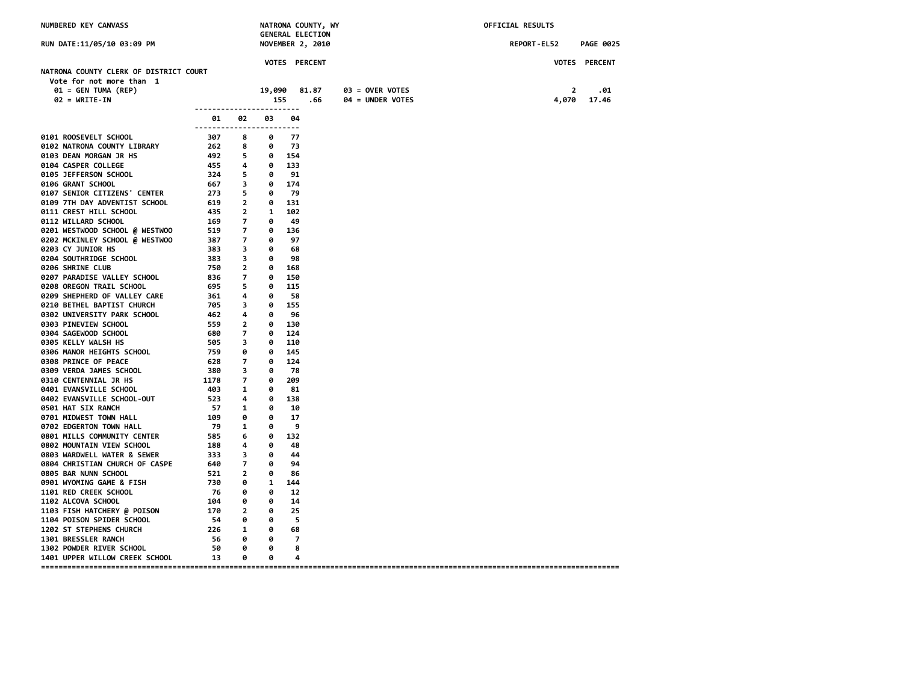| NUMBERED KEY CANVASS<br>NATRONA COUNTY, WY<br><b>GENERAL ELECTION</b> |                                                                                                                                                                                                                  |                         |                         | OFFICIAL RESULTS |                      |                                     |             |                         |                      |
|-----------------------------------------------------------------------|------------------------------------------------------------------------------------------------------------------------------------------------------------------------------------------------------------------|-------------------------|-------------------------|------------------|----------------------|-------------------------------------|-------------|-------------------------|----------------------|
| RUN DATE:11/05/10 03:09 PM                                            |                                                                                                                                                                                                                  |                         |                         |                  | NOVEMBER 2, 2010     |                                     | REPORT-EL52 |                         | <b>PAGE 0025</b>     |
|                                                                       |                                                                                                                                                                                                                  |                         |                         |                  | <b>VOTES PERCENT</b> |                                     |             |                         | <b>VOTES PERCENT</b> |
| NATRONA COUNTY CLERK OF DISTRICT COURT                                |                                                                                                                                                                                                                  |                         |                         |                  |                      |                                     |             |                         |                      |
| Vote for not more than 1                                              |                                                                                                                                                                                                                  |                         |                         |                  |                      |                                     |             |                         |                      |
| 01 = GEN TUMA (REP)<br>$02 = WRITE-IN$                                |                                                                                                                                                                                                                  |                         | 19,090<br>155           |                  | 81.87<br>.66         | 03 = OVER VOTES<br>04 = UNDER VOTES |             | $\overline{2}$<br>4,070 | .01<br>17.46         |
|                                                                       | ------------------------                                                                                                                                                                                         |                         |                         |                  |                      |                                     |             |                         |                      |
|                                                                       | 01<br>------------------------                                                                                                                                                                                   | 02                      | 03                      | 04               |                      |                                     |             |                         |                      |
| 0101 ROOSEVELT SCHOOL                                                 | 307 - 10                                                                                                                                                                                                         | 8                       | 0                       | - 77             |                      |                                     |             |                         |                      |
| 0102 NATRONA COUNTY LIBRARY                                           | 262                                                                                                                                                                                                              | 8                       |                         | $0$ 73           |                      |                                     |             |                         |                      |
| 0103 DEAN MORGAN JR HS                                                | 492 5                                                                                                                                                                                                            |                         |                         | 0 154            |                      |                                     |             |                         |                      |
| 0104 CASPER COLLEGE                                                   | $455$<br>$324$<br>$567$<br>$273$<br>$5$                                                                                                                                                                          |                         | 0 133                   |                  |                      |                                     |             |                         |                      |
| 0105 JEFFERSON SCHOOL                                                 |                                                                                                                                                                                                                  |                         |                         | 0 91             |                      |                                     |             |                         |                      |
| 0106 GRANT SCHOOL                                                     |                                                                                                                                                                                                                  |                         | 0 174                   |                  |                      |                                     |             |                         |                      |
| 0107 SENIOR CITIZENS' CENTER                                          | $273$ $20$ $11$<br>$435$ $2$ $1$ $102$<br>$435$ $2$ $1$ $102$<br>$169$ $7$ $0$ $49$<br>$519$ $7$ $0$ $136$<br>$387$ $7$ $0$ $97$<br>$383$ $3$ $0$ $98$<br>$383$ $3$ $0$ $98$<br>$726$ $99$<br>$783$ $3$ $0$ $98$ |                         | 0 79                    |                  |                      |                                     |             |                         |                      |
| 0109 7TH DAY ADVENTIST SCHOOL                                         |                                                                                                                                                                                                                  |                         |                         |                  |                      |                                     |             |                         |                      |
| 0111 CREST HILL SCHOOL                                                |                                                                                                                                                                                                                  |                         |                         |                  |                      |                                     |             |                         |                      |
| 0112 WILLARD SCHOOL                                                   |                                                                                                                                                                                                                  |                         |                         |                  |                      |                                     |             |                         |                      |
| 0201 WESTWOOD SCHOOL @ WESTWOO<br>0202 MCKINLEY SCHOOL @ WESTWOO      |                                                                                                                                                                                                                  |                         |                         |                  |                      |                                     |             |                         |                      |
| 0203 CY JUNIOR HS                                                     |                                                                                                                                                                                                                  |                         |                         |                  |                      |                                     |             |                         |                      |
| 0204 SOUTHRIDGE SCHOOL                                                |                                                                                                                                                                                                                  |                         |                         |                  |                      |                                     |             |                         |                      |
| 0206 SHRINE CLUB                                                      |                                                                                                                                                                                                                  |                         |                         |                  |                      |                                     |             |                         |                      |
| 0207 PARADISE VALLEY SCHOOL                                           | 750 2 0 168<br>836 7 0 150<br>695 5 0 115                                                                                                                                                                        |                         |                         |                  |                      |                                     |             |                         |                      |
| 0208 OREGON TRAIL SCHOOL                                              |                                                                                                                                                                                                                  |                         |                         |                  |                      |                                     |             |                         |                      |
| 0209 SHEPHERD OF VALLEY CARE                                          | $361$ 4<br>705 3                                                                                                                                                                                                 |                         |                         | 0 58             |                      |                                     |             |                         |                      |
| 0210 BETHEL BAPTIST CHURCH                                            | 705 3                                                                                                                                                                                                            |                         | $\bullet$               | 155              |                      |                                     |             |                         |                      |
| 0302 UNIVERSITY PARK SCHOOL                                           | $462$<br>$462$<br>$559$<br>$759$<br>$79$<br>$79$<br>$79$                                                                                                                                                         |                         | 0                       | 96               |                      |                                     |             |                         |                      |
| 0303 PINEVIEW SCHOOL                                                  |                                                                                                                                                                                                                  |                         | 0 130                   |                  |                      |                                     |             |                         |                      |
| 0304 SAGEWOOD SCHOOL                                                  |                                                                                                                                                                                                                  |                         | 0 124                   |                  |                      |                                     |             |                         |                      |
| 0305 KELLY WALSH HS                                                   |                                                                                                                                                                                                                  |                         |                         | 0 110            |                      |                                     |             |                         |                      |
| 0306 MANOR HEIGHTS SCHOOL                                             |                                                                                                                                                                                                                  |                         |                         | 0 145            |                      |                                     |             |                         |                      |
| 0308 PRINCE OF PEACE                                                  | $628$ 7<br>$380$ 3<br>$1178$ 7<br>$403$ 1<br>$523$ 4                                                                                                                                                             |                         | 0                       | 124              |                      |                                     |             |                         |                      |
| 0309 VERDA JAMES SCHOOL                                               |                                                                                                                                                                                                                  |                         | 0                       | 78               |                      |                                     |             |                         |                      |
| 0310 CENTENNIAL JR HS                                                 |                                                                                                                                                                                                                  |                         | 0                       | 209              |                      |                                     |             |                         |                      |
| 0401 EVANSVILLE SCHOOL                                                |                                                                                                                                                                                                                  |                         | 0                       | 81<br>0 138      |                      |                                     |             |                         |                      |
| 0402 EVANSVILLE SCHOOL-OUT<br>0501 HAT SIX RANCH                      |                                                                                                                                                                                                                  |                         | 0                       | 10               |                      |                                     |             |                         |                      |
| 0701 MIDWEST TOWN HALL                                                |                                                                                                                                                                                                                  |                         | $\bullet$               | 17               |                      |                                     |             |                         |                      |
| 0702 EDGERTON TOWN HALL                                               | $\begin{bmatrix} -57 & 1 \\ 57 & 1 \\ 109 & 0 \\ 79 & 1 \\ 585 & 6 \end{bmatrix}$                                                                                                                                |                         | $\overline{\mathbf{e}}$ | - 9              |                      |                                     |             |                         |                      |
| 0801 MILLS COMMUNITY CENTER                                           |                                                                                                                                                                                                                  |                         |                         | 0 132            |                      |                                     |             |                         |                      |
| 0802 MOUNTAIN VIEW SCHOOL                                             |                                                                                                                                                                                                                  |                         | 0                       | 48               |                      |                                     |             |                         |                      |
| 0803 WARDWELL WATER & SEWER                                           |                                                                                                                                                                                                                  |                         | 0                       | 44               |                      |                                     |             |                         |                      |
| 0804 CHRISTIAN CHURCH OF CASPE                                        | $188$<br>$333$<br>$640$<br>$7$<br>$521$<br>2                                                                                                                                                                     |                         | $\bullet$               | 94               |                      |                                     |             |                         |                      |
| 0805 BAR NUNN SCHOOL                                                  |                                                                                                                                                                                                                  |                         | 0                       | 86               |                      |                                     |             |                         |                      |
| 0901 WYOMING GAME & FISH                                              |                                                                                                                                                                                                                  | $\theta$                |                         | 1 144            |                      |                                     |             |                         |                      |
| 1101 RED CREEK SCHOOL                                                 | 730<br>76<br>76 0                                                                                                                                                                                                |                         | 0                       | 12               |                      |                                     |             |                         |                      |
| 1102 ALCOVA SCHOOL                                                    | 104                                                                                                                                                                                                              | 0                       | 0                       | 14               |                      |                                     |             |                         |                      |
| 1103 FISH HATCHERY @ POISON                                           | $\frac{10}{170}$                                                                                                                                                                                                 | $\overline{\mathbf{2}}$ | 0                       | 25               |                      |                                     |             |                         |                      |
| 1104 POISON SPIDER SCHOOL                                             | 54                                                                                                                                                                                                               | $\theta$                | ø                       | - 5              |                      |                                     |             |                         |                      |
| 1202 ST STEPHENS CHURCH                                               |                                                                                                                                                                                                                  | 226 1                   | $\bullet$               | 68               |                      |                                     |             |                         |                      |
| 1301 BRESSLER RANCH                                                   | 56                                                                                                                                                                                                               | $\theta$                | $\theta$                | $\overline{7}$   |                      |                                     |             |                         |                      |
| 1302 POWDER RIVER SCHOOL                                              | 50                                                                                                                                                                                                               | - 0                     | 0                       | 8                |                      |                                     |             |                         |                      |
| 1401 UPPER WILLOW CREEK SCHOOL                                        | 13                                                                                                                                                                                                               | 0                       | 0                       | 4                |                      |                                     |             |                         |                      |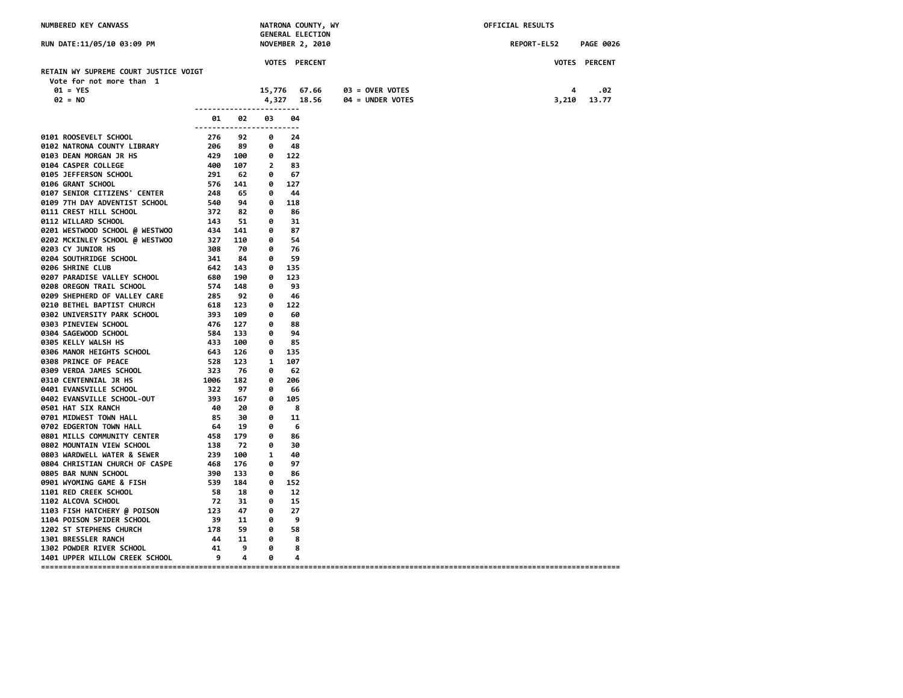| RUN DATE:11/05/10 03:09 PM<br><b>NOVEMBER 2, 2010</b><br>REPORT-EL52<br><b>PAGE 0026</b><br>VOTES PERCENT<br>VOTES PERCENT<br>RETAIN WY SUPREME COURT JUSTICE VOIGT<br>Vote for not more than 1<br>$01 = YES$<br>15,776 67.66<br>03 = OVER VOTES<br>4<br>.02<br>$02 = N0$<br>4,327 18.56<br>04 = UNDER VOTES<br>3,210<br>13.77<br>01<br>02<br>03<br>04<br>------------------------<br>276<br>92<br>ø<br>24<br>276<br>206<br>89<br>$\theta$<br>48<br>429 100<br>$0$ 122<br>400 107<br>$\overline{\mathbf{2}}$<br>83<br>291<br>62<br>0<br>67<br>$\begin{array}{r} 2516 & 0216 \\ 576 & 141 \\ 248 & 65 \\ 540 & 94 \\ 372 & 82 \\ 143 & 51 \\ 314 & 141 \\ 327 & 110 \\ 308 & 70 \\ \end{array}$<br>127<br>$\bullet$<br>$\theta$<br>44<br>0<br>118<br>0<br>86<br>0<br>31<br>0201 WESTWOOD SCHOOL @ WESTWOO<br>0<br>87<br>0202 MCKINLEY SCHOOL @ WESTWOO<br>0<br>-54<br>0203 CY JUNIOR HS<br>0<br>-76<br>341<br>0204 SOUTHRIDGE SCHOOL<br>84<br>$\theta$<br>-59<br>642 143<br>0206 SHRINE CLUB<br>0 135<br>680 190<br>574 148<br>0207 PARADISE VALLEY SCHOOL<br>$0$ 123<br><b>0208 OREGON TRAIL SCHOOL</b><br>93<br>0<br>$\begin{array}{ccc} 574 & 148 \\ 285 & 92 \\ 618 & 123 \\ 393 & 109 \\ 476 & 127 \\ 584 & 133 \\ 433 & 100 \\ \end{array}$<br>0209 SHEPHERD OF VALLEY CARE<br>$\bullet$<br>46<br>0210 BETHEL BAPTIST CHURCH<br>0<br>122<br>0302 UNIVERSITY PARK SCHOOL<br>0<br>60<br>0303 PINEVIEW SCHOOL<br>88<br>0<br>94<br>0<br>0304 SAGEWOOD SCHOOL<br>0305 KELLY WALSH HS<br>0<br>85<br>126<br>0306 MANOR HEIGHTS SCHOOL<br>$\frac{643}{1}$<br>0 135<br>0308 PRINCE OF PEACE<br>528<br>123<br>$\mathbf{1}$<br>107<br>$\frac{328}{323}$<br>1006<br>0309 VERDA JAMES SCHOOL<br>76<br>0<br>62<br>182<br>206<br><b>0310 CENTENNIAL JR HS</b><br>ø<br>0401 EVANSVILLE SCHOOL<br>97<br>322<br>393<br>0<br>66<br>0402 EVANSVILLE SCHOOL-OUT<br>167<br>105<br>0<br>40 20<br>0501 HAT SIX RANCH<br>0<br>8<br>0701 MIDWEST TOWN HALL<br>85<br>30<br>0<br>11<br>19<br>ø<br>0702 EDGERTON TOWN HALL<br>64<br>- 6<br>$-458$<br>179<br>ø<br>0801 MILLS COMMUNITY CENTER<br>86<br>0802 MOUNTAIN VIEW SCHOOL<br>138<br>72<br>0<br>30<br>239<br>0803 WARDWELL WATER & SEWER<br>100<br>$\mathbf{1}$<br>40<br>$\frac{255}{468}$<br>176<br>0<br>97<br>0804 CHRISTIAN CHURCH OF CASPE<br>0805 BAR NUNN SCHOOL<br>390<br>133<br>0<br>86<br>0901 WYOMING GAME & FISH<br>539<br>184<br>0<br>- 152<br>1101 RED CREEK SCHOOL<br>- 58<br>18<br>0<br>-12<br>72<br>31<br>0<br>15<br>123 47<br>0<br>27<br>39 11<br>ø<br>9<br>178 59<br>$\theta$<br>58<br>44 11<br>$\theta$<br>8<br>1302 POWDER RIVER SCHOOL<br>9<br>$\overline{\mathbf{e}}$<br>41<br>8<br>- 9<br>$\overline{\mathbf{4}}$<br>0<br>4 | NUMBERED KEY CANVASS             |  |  |  | NATRONA COUNTY, WY<br><b>GENERAL ELECTION</b> | OFFICIAL RESULTS |  |  |
|---------------------------------------------------------------------------------------------------------------------------------------------------------------------------------------------------------------------------------------------------------------------------------------------------------------------------------------------------------------------------------------------------------------------------------------------------------------------------------------------------------------------------------------------------------------------------------------------------------------------------------------------------------------------------------------------------------------------------------------------------------------------------------------------------------------------------------------------------------------------------------------------------------------------------------------------------------------------------------------------------------------------------------------------------------------------------------------------------------------------------------------------------------------------------------------------------------------------------------------------------------------------------------------------------------------------------------------------------------------------------------------------------------------------------------------------------------------------------------------------------------------------------------------------------------------------------------------------------------------------------------------------------------------------------------------------------------------------------------------------------------------------------------------------------------------------------------------------------------------------------------------------------------------------------------------------------------------------------------------------------------------------------------------------------------------------------------------------------------------------------------------------------------------------------------------------------------------------------------------------------------------------------------------------------------------------------------------------------------------------------------------------------------------------------------------------------------------------------------------------------------------------------------------------------------------------------------------------------------------------------------------------------------------------------------|----------------------------------|--|--|--|-----------------------------------------------|------------------|--|--|
|                                                                                                                                                                                                                                                                                                                                                                                                                                                                                                                                                                                                                                                                                                                                                                                                                                                                                                                                                                                                                                                                                                                                                                                                                                                                                                                                                                                                                                                                                                                                                                                                                                                                                                                                                                                                                                                                                                                                                                                                                                                                                                                                                                                                                                                                                                                                                                                                                                                                                                                                                                                                                                                                                 |                                  |  |  |  |                                               |                  |  |  |
|                                                                                                                                                                                                                                                                                                                                                                                                                                                                                                                                                                                                                                                                                                                                                                                                                                                                                                                                                                                                                                                                                                                                                                                                                                                                                                                                                                                                                                                                                                                                                                                                                                                                                                                                                                                                                                                                                                                                                                                                                                                                                                                                                                                                                                                                                                                                                                                                                                                                                                                                                                                                                                                                                 |                                  |  |  |  |                                               |                  |  |  |
|                                                                                                                                                                                                                                                                                                                                                                                                                                                                                                                                                                                                                                                                                                                                                                                                                                                                                                                                                                                                                                                                                                                                                                                                                                                                                                                                                                                                                                                                                                                                                                                                                                                                                                                                                                                                                                                                                                                                                                                                                                                                                                                                                                                                                                                                                                                                                                                                                                                                                                                                                                                                                                                                                 |                                  |  |  |  |                                               |                  |  |  |
|                                                                                                                                                                                                                                                                                                                                                                                                                                                                                                                                                                                                                                                                                                                                                                                                                                                                                                                                                                                                                                                                                                                                                                                                                                                                                                                                                                                                                                                                                                                                                                                                                                                                                                                                                                                                                                                                                                                                                                                                                                                                                                                                                                                                                                                                                                                                                                                                                                                                                                                                                                                                                                                                                 |                                  |  |  |  |                                               |                  |  |  |
|                                                                                                                                                                                                                                                                                                                                                                                                                                                                                                                                                                                                                                                                                                                                                                                                                                                                                                                                                                                                                                                                                                                                                                                                                                                                                                                                                                                                                                                                                                                                                                                                                                                                                                                                                                                                                                                                                                                                                                                                                                                                                                                                                                                                                                                                                                                                                                                                                                                                                                                                                                                                                                                                                 |                                  |  |  |  |                                               |                  |  |  |
|                                                                                                                                                                                                                                                                                                                                                                                                                                                                                                                                                                                                                                                                                                                                                                                                                                                                                                                                                                                                                                                                                                                                                                                                                                                                                                                                                                                                                                                                                                                                                                                                                                                                                                                                                                                                                                                                                                                                                                                                                                                                                                                                                                                                                                                                                                                                                                                                                                                                                                                                                                                                                                                                                 |                                  |  |  |  |                                               |                  |  |  |
|                                                                                                                                                                                                                                                                                                                                                                                                                                                                                                                                                                                                                                                                                                                                                                                                                                                                                                                                                                                                                                                                                                                                                                                                                                                                                                                                                                                                                                                                                                                                                                                                                                                                                                                                                                                                                                                                                                                                                                                                                                                                                                                                                                                                                                                                                                                                                                                                                                                                                                                                                                                                                                                                                 |                                  |  |  |  |                                               |                  |  |  |
|                                                                                                                                                                                                                                                                                                                                                                                                                                                                                                                                                                                                                                                                                                                                                                                                                                                                                                                                                                                                                                                                                                                                                                                                                                                                                                                                                                                                                                                                                                                                                                                                                                                                                                                                                                                                                                                                                                                                                                                                                                                                                                                                                                                                                                                                                                                                                                                                                                                                                                                                                                                                                                                                                 | 0101 ROOSEVELT SCHOOL            |  |  |  |                                               |                  |  |  |
|                                                                                                                                                                                                                                                                                                                                                                                                                                                                                                                                                                                                                                                                                                                                                                                                                                                                                                                                                                                                                                                                                                                                                                                                                                                                                                                                                                                                                                                                                                                                                                                                                                                                                                                                                                                                                                                                                                                                                                                                                                                                                                                                                                                                                                                                                                                                                                                                                                                                                                                                                                                                                                                                                 | 0102 NATRONA COUNTY LIBRARY      |  |  |  |                                               |                  |  |  |
|                                                                                                                                                                                                                                                                                                                                                                                                                                                                                                                                                                                                                                                                                                                                                                                                                                                                                                                                                                                                                                                                                                                                                                                                                                                                                                                                                                                                                                                                                                                                                                                                                                                                                                                                                                                                                                                                                                                                                                                                                                                                                                                                                                                                                                                                                                                                                                                                                                                                                                                                                                                                                                                                                 | 0103 DEAN MORGAN JR HS           |  |  |  |                                               |                  |  |  |
|                                                                                                                                                                                                                                                                                                                                                                                                                                                                                                                                                                                                                                                                                                                                                                                                                                                                                                                                                                                                                                                                                                                                                                                                                                                                                                                                                                                                                                                                                                                                                                                                                                                                                                                                                                                                                                                                                                                                                                                                                                                                                                                                                                                                                                                                                                                                                                                                                                                                                                                                                                                                                                                                                 | 0104 CASPER COLLEGE              |  |  |  |                                               |                  |  |  |
|                                                                                                                                                                                                                                                                                                                                                                                                                                                                                                                                                                                                                                                                                                                                                                                                                                                                                                                                                                                                                                                                                                                                                                                                                                                                                                                                                                                                                                                                                                                                                                                                                                                                                                                                                                                                                                                                                                                                                                                                                                                                                                                                                                                                                                                                                                                                                                                                                                                                                                                                                                                                                                                                                 | 0105 JEFFERSON SCHOOL            |  |  |  |                                               |                  |  |  |
|                                                                                                                                                                                                                                                                                                                                                                                                                                                                                                                                                                                                                                                                                                                                                                                                                                                                                                                                                                                                                                                                                                                                                                                                                                                                                                                                                                                                                                                                                                                                                                                                                                                                                                                                                                                                                                                                                                                                                                                                                                                                                                                                                                                                                                                                                                                                                                                                                                                                                                                                                                                                                                                                                 | 0106 GRANT SCHOOL                |  |  |  |                                               |                  |  |  |
|                                                                                                                                                                                                                                                                                                                                                                                                                                                                                                                                                                                                                                                                                                                                                                                                                                                                                                                                                                                                                                                                                                                                                                                                                                                                                                                                                                                                                                                                                                                                                                                                                                                                                                                                                                                                                                                                                                                                                                                                                                                                                                                                                                                                                                                                                                                                                                                                                                                                                                                                                                                                                                                                                 | 0107 SENIOR CITIZENS' CENTER     |  |  |  |                                               |                  |  |  |
|                                                                                                                                                                                                                                                                                                                                                                                                                                                                                                                                                                                                                                                                                                                                                                                                                                                                                                                                                                                                                                                                                                                                                                                                                                                                                                                                                                                                                                                                                                                                                                                                                                                                                                                                                                                                                                                                                                                                                                                                                                                                                                                                                                                                                                                                                                                                                                                                                                                                                                                                                                                                                                                                                 | 0109 7TH DAY ADVENTIST SCHOOL    |  |  |  |                                               |                  |  |  |
|                                                                                                                                                                                                                                                                                                                                                                                                                                                                                                                                                                                                                                                                                                                                                                                                                                                                                                                                                                                                                                                                                                                                                                                                                                                                                                                                                                                                                                                                                                                                                                                                                                                                                                                                                                                                                                                                                                                                                                                                                                                                                                                                                                                                                                                                                                                                                                                                                                                                                                                                                                                                                                                                                 | 0111 CREST HILL SCHOOL           |  |  |  |                                               |                  |  |  |
|                                                                                                                                                                                                                                                                                                                                                                                                                                                                                                                                                                                                                                                                                                                                                                                                                                                                                                                                                                                                                                                                                                                                                                                                                                                                                                                                                                                                                                                                                                                                                                                                                                                                                                                                                                                                                                                                                                                                                                                                                                                                                                                                                                                                                                                                                                                                                                                                                                                                                                                                                                                                                                                                                 | 0112 WILLARD SCHOOL              |  |  |  |                                               |                  |  |  |
|                                                                                                                                                                                                                                                                                                                                                                                                                                                                                                                                                                                                                                                                                                                                                                                                                                                                                                                                                                                                                                                                                                                                                                                                                                                                                                                                                                                                                                                                                                                                                                                                                                                                                                                                                                                                                                                                                                                                                                                                                                                                                                                                                                                                                                                                                                                                                                                                                                                                                                                                                                                                                                                                                 |                                  |  |  |  |                                               |                  |  |  |
|                                                                                                                                                                                                                                                                                                                                                                                                                                                                                                                                                                                                                                                                                                                                                                                                                                                                                                                                                                                                                                                                                                                                                                                                                                                                                                                                                                                                                                                                                                                                                                                                                                                                                                                                                                                                                                                                                                                                                                                                                                                                                                                                                                                                                                                                                                                                                                                                                                                                                                                                                                                                                                                                                 |                                  |  |  |  |                                               |                  |  |  |
|                                                                                                                                                                                                                                                                                                                                                                                                                                                                                                                                                                                                                                                                                                                                                                                                                                                                                                                                                                                                                                                                                                                                                                                                                                                                                                                                                                                                                                                                                                                                                                                                                                                                                                                                                                                                                                                                                                                                                                                                                                                                                                                                                                                                                                                                                                                                                                                                                                                                                                                                                                                                                                                                                 |                                  |  |  |  |                                               |                  |  |  |
|                                                                                                                                                                                                                                                                                                                                                                                                                                                                                                                                                                                                                                                                                                                                                                                                                                                                                                                                                                                                                                                                                                                                                                                                                                                                                                                                                                                                                                                                                                                                                                                                                                                                                                                                                                                                                                                                                                                                                                                                                                                                                                                                                                                                                                                                                                                                                                                                                                                                                                                                                                                                                                                                                 |                                  |  |  |  |                                               |                  |  |  |
|                                                                                                                                                                                                                                                                                                                                                                                                                                                                                                                                                                                                                                                                                                                                                                                                                                                                                                                                                                                                                                                                                                                                                                                                                                                                                                                                                                                                                                                                                                                                                                                                                                                                                                                                                                                                                                                                                                                                                                                                                                                                                                                                                                                                                                                                                                                                                                                                                                                                                                                                                                                                                                                                                 |                                  |  |  |  |                                               |                  |  |  |
|                                                                                                                                                                                                                                                                                                                                                                                                                                                                                                                                                                                                                                                                                                                                                                                                                                                                                                                                                                                                                                                                                                                                                                                                                                                                                                                                                                                                                                                                                                                                                                                                                                                                                                                                                                                                                                                                                                                                                                                                                                                                                                                                                                                                                                                                                                                                                                                                                                                                                                                                                                                                                                                                                 |                                  |  |  |  |                                               |                  |  |  |
|                                                                                                                                                                                                                                                                                                                                                                                                                                                                                                                                                                                                                                                                                                                                                                                                                                                                                                                                                                                                                                                                                                                                                                                                                                                                                                                                                                                                                                                                                                                                                                                                                                                                                                                                                                                                                                                                                                                                                                                                                                                                                                                                                                                                                                                                                                                                                                                                                                                                                                                                                                                                                                                                                 |                                  |  |  |  |                                               |                  |  |  |
|                                                                                                                                                                                                                                                                                                                                                                                                                                                                                                                                                                                                                                                                                                                                                                                                                                                                                                                                                                                                                                                                                                                                                                                                                                                                                                                                                                                                                                                                                                                                                                                                                                                                                                                                                                                                                                                                                                                                                                                                                                                                                                                                                                                                                                                                                                                                                                                                                                                                                                                                                                                                                                                                                 |                                  |  |  |  |                                               |                  |  |  |
|                                                                                                                                                                                                                                                                                                                                                                                                                                                                                                                                                                                                                                                                                                                                                                                                                                                                                                                                                                                                                                                                                                                                                                                                                                                                                                                                                                                                                                                                                                                                                                                                                                                                                                                                                                                                                                                                                                                                                                                                                                                                                                                                                                                                                                                                                                                                                                                                                                                                                                                                                                                                                                                                                 |                                  |  |  |  |                                               |                  |  |  |
|                                                                                                                                                                                                                                                                                                                                                                                                                                                                                                                                                                                                                                                                                                                                                                                                                                                                                                                                                                                                                                                                                                                                                                                                                                                                                                                                                                                                                                                                                                                                                                                                                                                                                                                                                                                                                                                                                                                                                                                                                                                                                                                                                                                                                                                                                                                                                                                                                                                                                                                                                                                                                                                                                 |                                  |  |  |  |                                               |                  |  |  |
|                                                                                                                                                                                                                                                                                                                                                                                                                                                                                                                                                                                                                                                                                                                                                                                                                                                                                                                                                                                                                                                                                                                                                                                                                                                                                                                                                                                                                                                                                                                                                                                                                                                                                                                                                                                                                                                                                                                                                                                                                                                                                                                                                                                                                                                                                                                                                                                                                                                                                                                                                                                                                                                                                 |                                  |  |  |  |                                               |                  |  |  |
|                                                                                                                                                                                                                                                                                                                                                                                                                                                                                                                                                                                                                                                                                                                                                                                                                                                                                                                                                                                                                                                                                                                                                                                                                                                                                                                                                                                                                                                                                                                                                                                                                                                                                                                                                                                                                                                                                                                                                                                                                                                                                                                                                                                                                                                                                                                                                                                                                                                                                                                                                                                                                                                                                 |                                  |  |  |  |                                               |                  |  |  |
|                                                                                                                                                                                                                                                                                                                                                                                                                                                                                                                                                                                                                                                                                                                                                                                                                                                                                                                                                                                                                                                                                                                                                                                                                                                                                                                                                                                                                                                                                                                                                                                                                                                                                                                                                                                                                                                                                                                                                                                                                                                                                                                                                                                                                                                                                                                                                                                                                                                                                                                                                                                                                                                                                 |                                  |  |  |  |                                               |                  |  |  |
|                                                                                                                                                                                                                                                                                                                                                                                                                                                                                                                                                                                                                                                                                                                                                                                                                                                                                                                                                                                                                                                                                                                                                                                                                                                                                                                                                                                                                                                                                                                                                                                                                                                                                                                                                                                                                                                                                                                                                                                                                                                                                                                                                                                                                                                                                                                                                                                                                                                                                                                                                                                                                                                                                 |                                  |  |  |  |                                               |                  |  |  |
|                                                                                                                                                                                                                                                                                                                                                                                                                                                                                                                                                                                                                                                                                                                                                                                                                                                                                                                                                                                                                                                                                                                                                                                                                                                                                                                                                                                                                                                                                                                                                                                                                                                                                                                                                                                                                                                                                                                                                                                                                                                                                                                                                                                                                                                                                                                                                                                                                                                                                                                                                                                                                                                                                 |                                  |  |  |  |                                               |                  |  |  |
|                                                                                                                                                                                                                                                                                                                                                                                                                                                                                                                                                                                                                                                                                                                                                                                                                                                                                                                                                                                                                                                                                                                                                                                                                                                                                                                                                                                                                                                                                                                                                                                                                                                                                                                                                                                                                                                                                                                                                                                                                                                                                                                                                                                                                                                                                                                                                                                                                                                                                                                                                                                                                                                                                 |                                  |  |  |  |                                               |                  |  |  |
|                                                                                                                                                                                                                                                                                                                                                                                                                                                                                                                                                                                                                                                                                                                                                                                                                                                                                                                                                                                                                                                                                                                                                                                                                                                                                                                                                                                                                                                                                                                                                                                                                                                                                                                                                                                                                                                                                                                                                                                                                                                                                                                                                                                                                                                                                                                                                                                                                                                                                                                                                                                                                                                                                 |                                  |  |  |  |                                               |                  |  |  |
|                                                                                                                                                                                                                                                                                                                                                                                                                                                                                                                                                                                                                                                                                                                                                                                                                                                                                                                                                                                                                                                                                                                                                                                                                                                                                                                                                                                                                                                                                                                                                                                                                                                                                                                                                                                                                                                                                                                                                                                                                                                                                                                                                                                                                                                                                                                                                                                                                                                                                                                                                                                                                                                                                 |                                  |  |  |  |                                               |                  |  |  |
|                                                                                                                                                                                                                                                                                                                                                                                                                                                                                                                                                                                                                                                                                                                                                                                                                                                                                                                                                                                                                                                                                                                                                                                                                                                                                                                                                                                                                                                                                                                                                                                                                                                                                                                                                                                                                                                                                                                                                                                                                                                                                                                                                                                                                                                                                                                                                                                                                                                                                                                                                                                                                                                                                 |                                  |  |  |  |                                               |                  |  |  |
|                                                                                                                                                                                                                                                                                                                                                                                                                                                                                                                                                                                                                                                                                                                                                                                                                                                                                                                                                                                                                                                                                                                                                                                                                                                                                                                                                                                                                                                                                                                                                                                                                                                                                                                                                                                                                                                                                                                                                                                                                                                                                                                                                                                                                                                                                                                                                                                                                                                                                                                                                                                                                                                                                 |                                  |  |  |  |                                               |                  |  |  |
|                                                                                                                                                                                                                                                                                                                                                                                                                                                                                                                                                                                                                                                                                                                                                                                                                                                                                                                                                                                                                                                                                                                                                                                                                                                                                                                                                                                                                                                                                                                                                                                                                                                                                                                                                                                                                                                                                                                                                                                                                                                                                                                                                                                                                                                                                                                                                                                                                                                                                                                                                                                                                                                                                 |                                  |  |  |  |                                               |                  |  |  |
|                                                                                                                                                                                                                                                                                                                                                                                                                                                                                                                                                                                                                                                                                                                                                                                                                                                                                                                                                                                                                                                                                                                                                                                                                                                                                                                                                                                                                                                                                                                                                                                                                                                                                                                                                                                                                                                                                                                                                                                                                                                                                                                                                                                                                                                                                                                                                                                                                                                                                                                                                                                                                                                                                 |                                  |  |  |  |                                               |                  |  |  |
|                                                                                                                                                                                                                                                                                                                                                                                                                                                                                                                                                                                                                                                                                                                                                                                                                                                                                                                                                                                                                                                                                                                                                                                                                                                                                                                                                                                                                                                                                                                                                                                                                                                                                                                                                                                                                                                                                                                                                                                                                                                                                                                                                                                                                                                                                                                                                                                                                                                                                                                                                                                                                                                                                 |                                  |  |  |  |                                               |                  |  |  |
|                                                                                                                                                                                                                                                                                                                                                                                                                                                                                                                                                                                                                                                                                                                                                                                                                                                                                                                                                                                                                                                                                                                                                                                                                                                                                                                                                                                                                                                                                                                                                                                                                                                                                                                                                                                                                                                                                                                                                                                                                                                                                                                                                                                                                                                                                                                                                                                                                                                                                                                                                                                                                                                                                 |                                  |  |  |  |                                               |                  |  |  |
|                                                                                                                                                                                                                                                                                                                                                                                                                                                                                                                                                                                                                                                                                                                                                                                                                                                                                                                                                                                                                                                                                                                                                                                                                                                                                                                                                                                                                                                                                                                                                                                                                                                                                                                                                                                                                                                                                                                                                                                                                                                                                                                                                                                                                                                                                                                                                                                                                                                                                                                                                                                                                                                                                 |                                  |  |  |  |                                               |                  |  |  |
|                                                                                                                                                                                                                                                                                                                                                                                                                                                                                                                                                                                                                                                                                                                                                                                                                                                                                                                                                                                                                                                                                                                                                                                                                                                                                                                                                                                                                                                                                                                                                                                                                                                                                                                                                                                                                                                                                                                                                                                                                                                                                                                                                                                                                                                                                                                                                                                                                                                                                                                                                                                                                                                                                 |                                  |  |  |  |                                               |                  |  |  |
|                                                                                                                                                                                                                                                                                                                                                                                                                                                                                                                                                                                                                                                                                                                                                                                                                                                                                                                                                                                                                                                                                                                                                                                                                                                                                                                                                                                                                                                                                                                                                                                                                                                                                                                                                                                                                                                                                                                                                                                                                                                                                                                                                                                                                                                                                                                                                                                                                                                                                                                                                                                                                                                                                 |                                  |  |  |  |                                               |                  |  |  |
|                                                                                                                                                                                                                                                                                                                                                                                                                                                                                                                                                                                                                                                                                                                                                                                                                                                                                                                                                                                                                                                                                                                                                                                                                                                                                                                                                                                                                                                                                                                                                                                                                                                                                                                                                                                                                                                                                                                                                                                                                                                                                                                                                                                                                                                                                                                                                                                                                                                                                                                                                                                                                                                                                 |                                  |  |  |  |                                               |                  |  |  |
|                                                                                                                                                                                                                                                                                                                                                                                                                                                                                                                                                                                                                                                                                                                                                                                                                                                                                                                                                                                                                                                                                                                                                                                                                                                                                                                                                                                                                                                                                                                                                                                                                                                                                                                                                                                                                                                                                                                                                                                                                                                                                                                                                                                                                                                                                                                                                                                                                                                                                                                                                                                                                                                                                 | 1102 ALCOVA SCHOOL               |  |  |  |                                               |                  |  |  |
|                                                                                                                                                                                                                                                                                                                                                                                                                                                                                                                                                                                                                                                                                                                                                                                                                                                                                                                                                                                                                                                                                                                                                                                                                                                                                                                                                                                                                                                                                                                                                                                                                                                                                                                                                                                                                                                                                                                                                                                                                                                                                                                                                                                                                                                                                                                                                                                                                                                                                                                                                                                                                                                                                 | 1103 FISH HATCHERY @ POISON      |  |  |  |                                               |                  |  |  |
|                                                                                                                                                                                                                                                                                                                                                                                                                                                                                                                                                                                                                                                                                                                                                                                                                                                                                                                                                                                                                                                                                                                                                                                                                                                                                                                                                                                                                                                                                                                                                                                                                                                                                                                                                                                                                                                                                                                                                                                                                                                                                                                                                                                                                                                                                                                                                                                                                                                                                                                                                                                                                                                                                 | <b>1104 POISON SPIDER SCHOOL</b> |  |  |  |                                               |                  |  |  |
|                                                                                                                                                                                                                                                                                                                                                                                                                                                                                                                                                                                                                                                                                                                                                                                                                                                                                                                                                                                                                                                                                                                                                                                                                                                                                                                                                                                                                                                                                                                                                                                                                                                                                                                                                                                                                                                                                                                                                                                                                                                                                                                                                                                                                                                                                                                                                                                                                                                                                                                                                                                                                                                                                 | 1202 ST STEPHENS CHURCH          |  |  |  |                                               |                  |  |  |
|                                                                                                                                                                                                                                                                                                                                                                                                                                                                                                                                                                                                                                                                                                                                                                                                                                                                                                                                                                                                                                                                                                                                                                                                                                                                                                                                                                                                                                                                                                                                                                                                                                                                                                                                                                                                                                                                                                                                                                                                                                                                                                                                                                                                                                                                                                                                                                                                                                                                                                                                                                                                                                                                                 | 1301 BRESSLER RANCH              |  |  |  |                                               |                  |  |  |
|                                                                                                                                                                                                                                                                                                                                                                                                                                                                                                                                                                                                                                                                                                                                                                                                                                                                                                                                                                                                                                                                                                                                                                                                                                                                                                                                                                                                                                                                                                                                                                                                                                                                                                                                                                                                                                                                                                                                                                                                                                                                                                                                                                                                                                                                                                                                                                                                                                                                                                                                                                                                                                                                                 |                                  |  |  |  |                                               |                  |  |  |
|                                                                                                                                                                                                                                                                                                                                                                                                                                                                                                                                                                                                                                                                                                                                                                                                                                                                                                                                                                                                                                                                                                                                                                                                                                                                                                                                                                                                                                                                                                                                                                                                                                                                                                                                                                                                                                                                                                                                                                                                                                                                                                                                                                                                                                                                                                                                                                                                                                                                                                                                                                                                                                                                                 | 1401 UPPER WILLOW CREEK SCHOOL   |  |  |  |                                               |                  |  |  |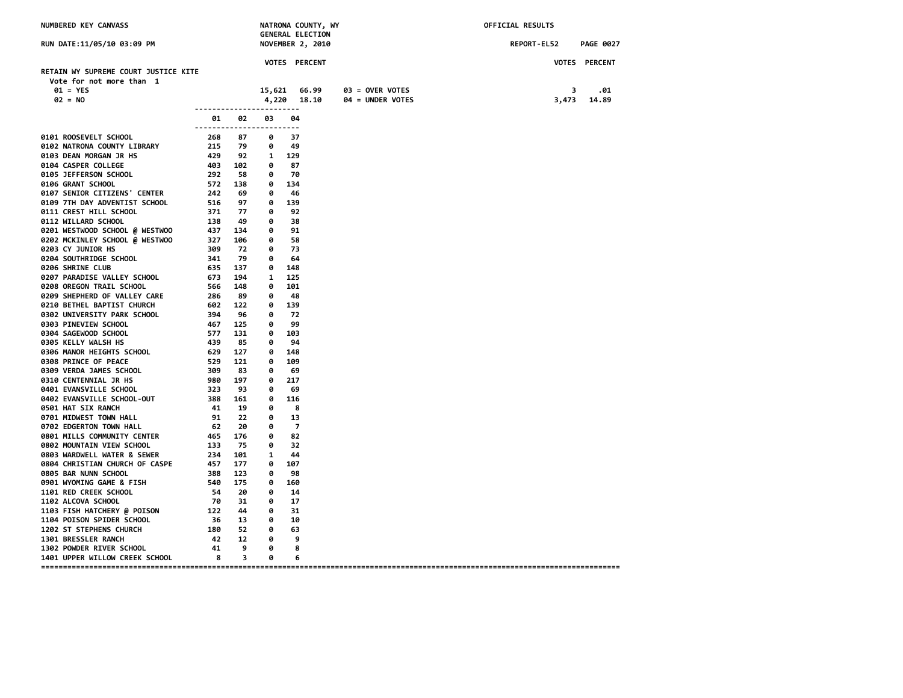| NUMBERED KEY CANVASS                                                                          |                                                     | NATRONA COUNTY, WY<br><b>GENERAL ELECTION</b> |                           |                  |                  | OFFICIAL RESULTS |                  |  |
|-----------------------------------------------------------------------------------------------|-----------------------------------------------------|-----------------------------------------------|---------------------------|------------------|------------------|------------------|------------------|--|
| RUN DATE:11/05/10 03:09 PM                                                                    |                                                     |                                               |                           | NOVEMBER 2, 2010 |                  | REPORT-EL52      | <b>PAGE 0027</b> |  |
|                                                                                               |                                                     |                                               |                           | VOTES PERCENT    |                  |                  | VOTES PERCENT    |  |
| RETAIN WY SUPREME COURT JUSTICE KITE<br>Vote for not more than 1                              |                                                     |                                               |                           |                  |                  |                  |                  |  |
| $01 = YES$                                                                                    |                                                     |                                               | 15,621                    | 66.99            | 03 = OVER VOTES  | 3                | .01              |  |
| $02 = NO$                                                                                     |                                                     |                                               |                           | 4,220 18.10      | 04 = UNDER VOTES | 3,473            | 14.89            |  |
|                                                                                               |                                                     |                                               |                           |                  |                  |                  |                  |  |
|                                                                                               | 01                                                  | 02<br>------------------------                | 03                        | 04               |                  |                  |                  |  |
| 0101 ROOSEVELT SCHOOL                                                                         | 268                                                 | 87                                            | 0                         | 37               |                  |                  |                  |  |
| 0102 NATRONA COUNTY LIBRARY                                                                   | 215 79                                              |                                               | 0                         | 49               |                  |                  |                  |  |
| 0103 DEAN MORGAN JR HS                                                                        | 429                                                 | 92                                            | 1 129                     |                  |                  |                  |                  |  |
| 0104 CASPER COLLEGE<br>403 102<br>292 58<br>572 138<br>242 69                                 |                                                     |                                               | $\bullet$                 | 87               |                  |                  |                  |  |
| 0105 JEFFERSON SCHOOL                                                                         |                                                     |                                               | 0                         | 70               |                  |                  |                  |  |
| 0106 GRANT SCHOOL                                                                             |                                                     |                                               | 0 134                     |                  |                  |                  |                  |  |
| 0107 SENIOR CITIZENS' CENTER                                                                  |                                                     |                                               |                           | 0 46             |                  |                  |                  |  |
| 0109 7TH DAY ADVENTIST SCHOOL                                                                 |                                                     | 97                                            | 0 139<br>77 0             | 92               |                  |                  |                  |  |
| 0111 CREST HILL SCHOOL<br>0112 WILLARD SCHOOL                                                 |                                                     | - 49                                          | 0                         | 38               |                  |                  |                  |  |
| 0201 WESTWOOD SCHOOL @ WESTWOO                                                                |                                                     | 134                                           | $\theta$                  | 91               |                  |                  |                  |  |
| 0202 MCKINLEY SCHOOL @ WESTWOO                                                                |                                                     | 106                                           | 0                         | 58               |                  |                  |                  |  |
| 0203 CY JUNIOR HS                                                                             | 516<br>371<br>138<br>437<br>327<br>349<br>309       | 72                                            | $\bullet$                 | - 73             |                  |                  |                  |  |
| 0204 SOUTHRIDGE SCHOOL                                                                        | 341                                                 | 79                                            | $\theta$                  | 64               |                  |                  |                  |  |
| 0206 SHRINE CLUB                                                                              | 635 137                                             |                                               | 0 148                     |                  |                  |                  |                  |  |
| 0207 PARADISE VALLEY SCHOOL                                                                   | 673 194                                             |                                               |                           | 1 125            |                  |                  |                  |  |
| <b>0208 OREGON TRAIL SCHOOL</b>                                                               | 566                                                 | 148                                           | $\theta$                  | 101              |                  |                  |                  |  |
| 0209 SHEPHERD OF VALLEY CARE                                                                  | 286                                                 | 89                                            | 0                         | - 48             |                  |                  |                  |  |
| 0210 BETHEL BAPTIST CHURCH                                                                    | $602$ 122<br>394 96<br>467 125<br>577 131<br>439 85 |                                               |                           | 0 139            |                  |                  |                  |  |
| 0302 UNIVERSITY PARK SCHOOL                                                                   |                                                     |                                               | 0                         | 72               |                  |                  |                  |  |
| 0303 PINEVIEW SCHOOL                                                                          |                                                     |                                               | 0                         | 99               |                  |                  |                  |  |
| 0304 SAGEWOOD SCHOOL                                                                          |                                                     |                                               | 0 103                     |                  |                  |                  |                  |  |
| 0305 KELLY WALSH HS                                                                           |                                                     |                                               | 0                         | 94               |                  |                  |                  |  |
| 0306 MANOR HEIGHTS SCHOOL                                                                     | 629 127<br>529 121<br>309 83<br>980 197             |                                               |                           | 0 148            |                  |                  |                  |  |
| 0308 PRINCE OF PEACE                                                                          |                                                     |                                               | 0                         | 109              |                  |                  |                  |  |
| 0309 VERDA JAMES SCHOOL                                                                       |                                                     |                                               | 0                         | -69              |                  |                  |                  |  |
| 0310 CENTENNIAL JR HS                                                                         |                                                     |                                               | 0                         | -217             |                  |                  |                  |  |
| 0401 EVANSVILLE SCHOOL                                                                        | 323           93<br>388       161                   | 93                                            | 0                         | 69               |                  |                  |                  |  |
| 0402 EVANSVILLE SCHOOL-OUT                                                                    |                                                     |                                               | 0                         | 116              |                  |                  |                  |  |
| 0501 HAT SIX RANCH                                                                            | 41 19                                               |                                               | 0                         | - 8              |                  |                  |                  |  |
| 0701 MIDWEST TOWN HALL                                                                        | 91                                                  | 22                                            | 0                         | 13               |                  |                  |                  |  |
| 0702 EDGERTON TOWN HALL                                                                       | $\begin{array}{c} 62 \\ 465 \end{array}$            | 20                                            | 0                         | - 7              |                  |                  |                  |  |
| 0801 MILLS COMMUNITY CENTER                                                                   |                                                     | 176                                           | 0                         | 82               |                  |                  |                  |  |
| 0802 MOUNTAIN VIEW SCHOOL                                                                     | 133                                                 | 75                                            | 0                         | 32               |                  |                  |                  |  |
| VOUS WARDWELL WATER & SEWER 234<br>0804 CHRISTIAN CHURCH OF CASPE 457<br>0805 BAR NUMN SCHOOL |                                                     | 101<br>177                                    | $\mathbf{1}$<br>$\bullet$ | 44<br>107        |                  |                  |                  |  |
| 0805 BAR NUNN SCHOOL                                                                          | 388                                                 | 123                                           | 0                         | 98               |                  |                  |                  |  |
| 0901 WYOMING GAME & FISH                                                                      | 540                                                 | 175                                           |                           | 0 160            |                  |                  |                  |  |
| <b>1101 RED CREEK SCHOOL</b>                                                                  | - 54                                                | - 20                                          | 0                         | -14              |                  |                  |                  |  |
| 1102 ALCOVA SCHOOL                                                                            | - 70                                                | 31                                            | 0                         | 17               |                  |                  |                  |  |
| 1103 FISH HATCHERY @ POISON                                                                   | 122                                                 | 44                                            | 0                         | 31               |                  |                  |                  |  |
| 1104 POISON SPIDER SCHOOL                                                                     |                                                     | 36 13                                         | 0                         | 10               |                  |                  |                  |  |
| 1202 ST STEPHENS CHURCH                                                                       |                                                     | 180 52 0                                      |                           | 63               |                  |                  |                  |  |
| <b>1301 BRESSLER RANCH</b>                                                                    | 42                                                  | 12                                            | $\theta$                  | -9               |                  |                  |                  |  |
| 1302 POWDER RIVER SCHOOL                                                                      | 41                                                  | 9                                             | $\overline{\mathbf{e}}$   | 8                |                  |                  |                  |  |
| 1401 UPPER WILLOW CREEK SCHOOL                                                                | 8                                                   | $\overline{\mathbf{3}}$                       | 0                         | 6                |                  |                  |                  |  |
|                                                                                               |                                                     |                                               |                           |                  |                  |                  |                  |  |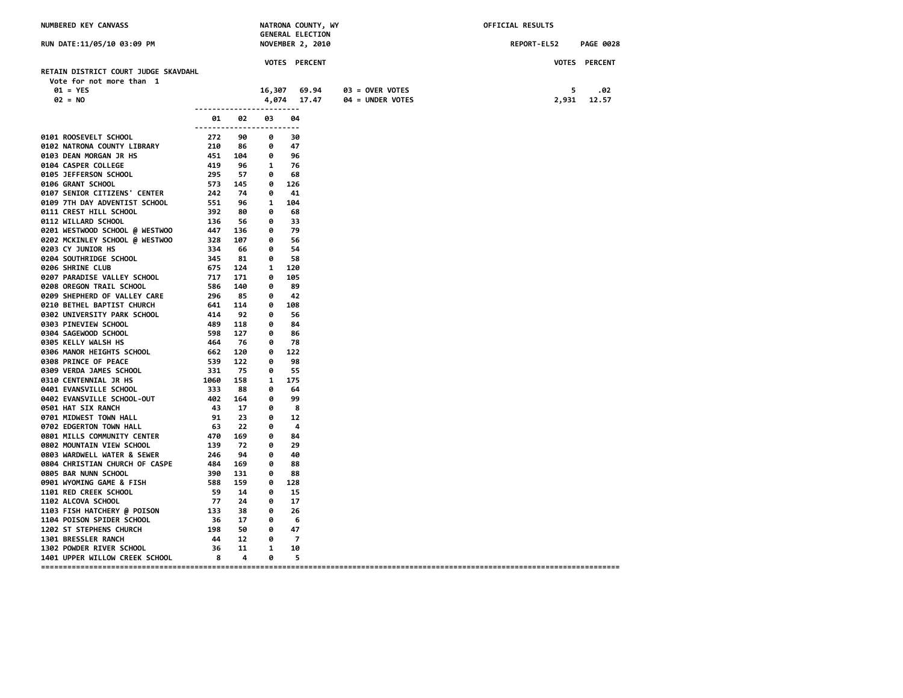| RUN DATE:11/05/10 03:09 PM<br><b>NOVEMBER 2, 2010</b><br>REPORT-EL52<br>VOTES PERCENT<br>VOTES PERCENT<br>RETAIN DISTRICT COURT JUDGE SKAVDAHL<br>Vote for not more than 1<br>$01 = YES$<br>16,307 69.94<br>03 = OVER VOTES<br>5<br>$02 = N0$<br>4,074 17.47<br>04 = UNDER VOTES<br>2,931<br>------------------------<br>02<br>03<br>04<br>ค1<br>------------------------<br>0101 ROOSEVELT SCHOOL<br>272<br>90<br>ø<br>30<br>210<br>0102 NATRONA COUNTY LIBRARY<br>47<br>86<br>0<br>451 104<br>$\bullet$<br>96<br>0103 DEAN MORGAN JR HS<br>419<br>0104 CASPER COLLEGE<br>96<br>$\mathbf{1}$<br>-76<br>295<br>57<br>ø<br>0105 JEFFERSON SCHOOL<br>68<br>573<br>242<br>0106 GRANT SCHOOL<br>145<br>$\bullet$<br>126<br>0107 SENIOR CITIZENS' CENTER<br>- 74<br>0<br>41<br>551<br>0109 7TH DAY ADVENTIST SCHOOL<br>96<br>1<br>104<br>80<br>0111 CREST HILL SCHOOL<br>0<br>68<br>0112 WILLARD SCHOOL<br>392<br>136<br>447<br>32 <i>9</i><br>56<br>0<br>33<br>0201 WESTWOOD SCHOOL @ WESTWOO<br>136<br>0<br>- 79<br>0202 MCKINLEY SCHOOL @ WESTWOO<br>107<br>-56<br>0<br>0203 CY JUNIOR HS<br>334<br>66<br>0<br>54<br>345<br>0204 SOUTHRIDGE SCHOOL<br>81<br>0<br>-58<br>0206 SHRINE CLUB<br>675<br>124<br>1 120<br>0207 PARADISE VALLEY SCHOOL<br>717<br>171<br>0<br>105<br><b>0208 OREGON TRAIL SCHOOL</b><br>586<br>140<br>0<br>89<br>296<br>0209 SHEPHERD OF VALLEY CARE<br>85<br>0<br>42<br>0210 BETHEL BAPTIST CHURCH<br>641<br>114<br>0 108 |                  |
|-------------------------------------------------------------------------------------------------------------------------------------------------------------------------------------------------------------------------------------------------------------------------------------------------------------------------------------------------------------------------------------------------------------------------------------------------------------------------------------------------------------------------------------------------------------------------------------------------------------------------------------------------------------------------------------------------------------------------------------------------------------------------------------------------------------------------------------------------------------------------------------------------------------------------------------------------------------------------------------------------------------------------------------------------------------------------------------------------------------------------------------------------------------------------------------------------------------------------------------------------------------------------------------------------------------------------------------------------------------------------------------------------------------------------------------------------|------------------|
|                                                                                                                                                                                                                                                                                                                                                                                                                                                                                                                                                                                                                                                                                                                                                                                                                                                                                                                                                                                                                                                                                                                                                                                                                                                                                                                                                                                                                                                 | <b>PAGE 0028</b> |
|                                                                                                                                                                                                                                                                                                                                                                                                                                                                                                                                                                                                                                                                                                                                                                                                                                                                                                                                                                                                                                                                                                                                                                                                                                                                                                                                                                                                                                                 |                  |
|                                                                                                                                                                                                                                                                                                                                                                                                                                                                                                                                                                                                                                                                                                                                                                                                                                                                                                                                                                                                                                                                                                                                                                                                                                                                                                                                                                                                                                                 |                  |
|                                                                                                                                                                                                                                                                                                                                                                                                                                                                                                                                                                                                                                                                                                                                                                                                                                                                                                                                                                                                                                                                                                                                                                                                                                                                                                                                                                                                                                                 |                  |
|                                                                                                                                                                                                                                                                                                                                                                                                                                                                                                                                                                                                                                                                                                                                                                                                                                                                                                                                                                                                                                                                                                                                                                                                                                                                                                                                                                                                                                                 | .02              |
|                                                                                                                                                                                                                                                                                                                                                                                                                                                                                                                                                                                                                                                                                                                                                                                                                                                                                                                                                                                                                                                                                                                                                                                                                                                                                                                                                                                                                                                 | 12.57            |
|                                                                                                                                                                                                                                                                                                                                                                                                                                                                                                                                                                                                                                                                                                                                                                                                                                                                                                                                                                                                                                                                                                                                                                                                                                                                                                                                                                                                                                                 |                  |
|                                                                                                                                                                                                                                                                                                                                                                                                                                                                                                                                                                                                                                                                                                                                                                                                                                                                                                                                                                                                                                                                                                                                                                                                                                                                                                                                                                                                                                                 |                  |
|                                                                                                                                                                                                                                                                                                                                                                                                                                                                                                                                                                                                                                                                                                                                                                                                                                                                                                                                                                                                                                                                                                                                                                                                                                                                                                                                                                                                                                                 |                  |
|                                                                                                                                                                                                                                                                                                                                                                                                                                                                                                                                                                                                                                                                                                                                                                                                                                                                                                                                                                                                                                                                                                                                                                                                                                                                                                                                                                                                                                                 |                  |
|                                                                                                                                                                                                                                                                                                                                                                                                                                                                                                                                                                                                                                                                                                                                                                                                                                                                                                                                                                                                                                                                                                                                                                                                                                                                                                                                                                                                                                                 |                  |
|                                                                                                                                                                                                                                                                                                                                                                                                                                                                                                                                                                                                                                                                                                                                                                                                                                                                                                                                                                                                                                                                                                                                                                                                                                                                                                                                                                                                                                                 |                  |
|                                                                                                                                                                                                                                                                                                                                                                                                                                                                                                                                                                                                                                                                                                                                                                                                                                                                                                                                                                                                                                                                                                                                                                                                                                                                                                                                                                                                                                                 |                  |
|                                                                                                                                                                                                                                                                                                                                                                                                                                                                                                                                                                                                                                                                                                                                                                                                                                                                                                                                                                                                                                                                                                                                                                                                                                                                                                                                                                                                                                                 |                  |
|                                                                                                                                                                                                                                                                                                                                                                                                                                                                                                                                                                                                                                                                                                                                                                                                                                                                                                                                                                                                                                                                                                                                                                                                                                                                                                                                                                                                                                                 |                  |
|                                                                                                                                                                                                                                                                                                                                                                                                                                                                                                                                                                                                                                                                                                                                                                                                                                                                                                                                                                                                                                                                                                                                                                                                                                                                                                                                                                                                                                                 |                  |
|                                                                                                                                                                                                                                                                                                                                                                                                                                                                                                                                                                                                                                                                                                                                                                                                                                                                                                                                                                                                                                                                                                                                                                                                                                                                                                                                                                                                                                                 |                  |
|                                                                                                                                                                                                                                                                                                                                                                                                                                                                                                                                                                                                                                                                                                                                                                                                                                                                                                                                                                                                                                                                                                                                                                                                                                                                                                                                                                                                                                                 |                  |
|                                                                                                                                                                                                                                                                                                                                                                                                                                                                                                                                                                                                                                                                                                                                                                                                                                                                                                                                                                                                                                                                                                                                                                                                                                                                                                                                                                                                                                                 |                  |
|                                                                                                                                                                                                                                                                                                                                                                                                                                                                                                                                                                                                                                                                                                                                                                                                                                                                                                                                                                                                                                                                                                                                                                                                                                                                                                                                                                                                                                                 |                  |
|                                                                                                                                                                                                                                                                                                                                                                                                                                                                                                                                                                                                                                                                                                                                                                                                                                                                                                                                                                                                                                                                                                                                                                                                                                                                                                                                                                                                                                                 |                  |
|                                                                                                                                                                                                                                                                                                                                                                                                                                                                                                                                                                                                                                                                                                                                                                                                                                                                                                                                                                                                                                                                                                                                                                                                                                                                                                                                                                                                                                                 |                  |
|                                                                                                                                                                                                                                                                                                                                                                                                                                                                                                                                                                                                                                                                                                                                                                                                                                                                                                                                                                                                                                                                                                                                                                                                                                                                                                                                                                                                                                                 |                  |
|                                                                                                                                                                                                                                                                                                                                                                                                                                                                                                                                                                                                                                                                                                                                                                                                                                                                                                                                                                                                                                                                                                                                                                                                                                                                                                                                                                                                                                                 |                  |
|                                                                                                                                                                                                                                                                                                                                                                                                                                                                                                                                                                                                                                                                                                                                                                                                                                                                                                                                                                                                                                                                                                                                                                                                                                                                                                                                                                                                                                                 |                  |
|                                                                                                                                                                                                                                                                                                                                                                                                                                                                                                                                                                                                                                                                                                                                                                                                                                                                                                                                                                                                                                                                                                                                                                                                                                                                                                                                                                                                                                                 |                  |
|                                                                                                                                                                                                                                                                                                                                                                                                                                                                                                                                                                                                                                                                                                                                                                                                                                                                                                                                                                                                                                                                                                                                                                                                                                                                                                                                                                                                                                                 |                  |
| 92<br>0302 UNIVERSITY PARK SCHOOL<br>414<br>489<br>0<br>-56                                                                                                                                                                                                                                                                                                                                                                                                                                                                                                                                                                                                                                                                                                                                                                                                                                                                                                                                                                                                                                                                                                                                                                                                                                                                                                                                                                                     |                  |
| 118<br>0303 PINEVIEW SCHOOL<br>0<br>84                                                                                                                                                                                                                                                                                                                                                                                                                                                                                                                                                                                                                                                                                                                                                                                                                                                                                                                                                                                                                                                                                                                                                                                                                                                                                                                                                                                                          |                  |
| 598<br>127<br>0<br>86<br>0304 SAGEWOOD SCHOOL                                                                                                                                                                                                                                                                                                                                                                                                                                                                                                                                                                                                                                                                                                                                                                                                                                                                                                                                                                                                                                                                                                                                                                                                                                                                                                                                                                                                   |                  |
| 464<br>0305 KELLY WALSH HS<br>- 76<br>78<br>0                                                                                                                                                                                                                                                                                                                                                                                                                                                                                                                                                                                                                                                                                                                                                                                                                                                                                                                                                                                                                                                                                                                                                                                                                                                                                                                                                                                                   |                  |
| 0306 MANOR HEIGHTS SCHOOL<br>662<br>120<br>0<br>122                                                                                                                                                                                                                                                                                                                                                                                                                                                                                                                                                                                                                                                                                                                                                                                                                                                                                                                                                                                                                                                                                                                                                                                                                                                                                                                                                                                             |                  |
| 0308 PRINCE OF PEACE<br>539<br>122<br>0<br>98                                                                                                                                                                                                                                                                                                                                                                                                                                                                                                                                                                                                                                                                                                                                                                                                                                                                                                                                                                                                                                                                                                                                                                                                                                                                                                                                                                                                   |                  |
| 331<br>0309 VERDA JAMES SCHOOL<br>75<br>-55<br>0                                                                                                                                                                                                                                                                                                                                                                                                                                                                                                                                                                                                                                                                                                                                                                                                                                                                                                                                                                                                                                                                                                                                                                                                                                                                                                                                                                                                |                  |
| 1060<br>0310 CENTENNIAL JR HS<br>1 175<br>158                                                                                                                                                                                                                                                                                                                                                                                                                                                                                                                                                                                                                                                                                                                                                                                                                                                                                                                                                                                                                                                                                                                                                                                                                                                                                                                                                                                                   |                  |
| 0401 EVANSVILLE SCHOOL<br>333<br>88<br>0<br>64                                                                                                                                                                                                                                                                                                                                                                                                                                                                                                                                                                                                                                                                                                                                                                                                                                                                                                                                                                                                                                                                                                                                                                                                                                                                                                                                                                                                  |                  |
| 402<br>164<br>99<br>0402 EVANSVILLE SCHOOL-OUT<br>0                                                                                                                                                                                                                                                                                                                                                                                                                                                                                                                                                                                                                                                                                                                                                                                                                                                                                                                                                                                                                                                                                                                                                                                                                                                                                                                                                                                             |                  |
| 0501 HAT SIX RANCH<br>43<br>17<br>0<br>8                                                                                                                                                                                                                                                                                                                                                                                                                                                                                                                                                                                                                                                                                                                                                                                                                                                                                                                                                                                                                                                                                                                                                                                                                                                                                                                                                                                                        |                  |
| 0701 MIDWEST TOWN HALL<br>91<br>23<br>0<br>12                                                                                                                                                                                                                                                                                                                                                                                                                                                                                                                                                                                                                                                                                                                                                                                                                                                                                                                                                                                                                                                                                                                                                                                                                                                                                                                                                                                                   |                  |
| 22<br>0702 EDGERTON TOWN HALL<br>63<br>0<br>-4<br>63<br>470                                                                                                                                                                                                                                                                                                                                                                                                                                                                                                                                                                                                                                                                                                                                                                                                                                                                                                                                                                                                                                                                                                                                                                                                                                                                                                                                                                                     |                  |
| 0801 MILLS COMMUNITY CENTER<br>169<br>0<br>84                                                                                                                                                                                                                                                                                                                                                                                                                                                                                                                                                                                                                                                                                                                                                                                                                                                                                                                                                                                                                                                                                                                                                                                                                                                                                                                                                                                                   |                  |
| 0802 MOUNTAIN VIEW SCHOOL<br>139<br>- 72<br>0<br>29<br>246<br>94<br>0<br>40                                                                                                                                                                                                                                                                                                                                                                                                                                                                                                                                                                                                                                                                                                                                                                                                                                                                                                                                                                                                                                                                                                                                                                                                                                                                                                                                                                     |                  |
| 0803 WARDWELL WATER & SEWER<br>484<br>169<br>0<br>0804 CHRISTIAN CHURCH OF CASPE<br>88                                                                                                                                                                                                                                                                                                                                                                                                                                                                                                                                                                                                                                                                                                                                                                                                                                                                                                                                                                                                                                                                                                                                                                                                                                                                                                                                                          |                  |
| 0805 BAR NUNN SCHOOL<br>390<br>131<br>ø<br>88                                                                                                                                                                                                                                                                                                                                                                                                                                                                                                                                                                                                                                                                                                                                                                                                                                                                                                                                                                                                                                                                                                                                                                                                                                                                                                                                                                                                   |                  |
| 0901 WYOMING GAME & FISH<br>588<br>159<br>0<br>128                                                                                                                                                                                                                                                                                                                                                                                                                                                                                                                                                                                                                                                                                                                                                                                                                                                                                                                                                                                                                                                                                                                                                                                                                                                                                                                                                                                              |                  |
| 1101 RED CREEK SCHOOL<br>- 59<br>14<br>0<br>-15                                                                                                                                                                                                                                                                                                                                                                                                                                                                                                                                                                                                                                                                                                                                                                                                                                                                                                                                                                                                                                                                                                                                                                                                                                                                                                                                                                                                 |                  |
| 1102 ALCOVA SCHOOL<br>- 77<br>-24<br>0<br>17                                                                                                                                                                                                                                                                                                                                                                                                                                                                                                                                                                                                                                                                                                                                                                                                                                                                                                                                                                                                                                                                                                                                                                                                                                                                                                                                                                                                    |                  |
| 133<br>38<br>0<br>-26                                                                                                                                                                                                                                                                                                                                                                                                                                                                                                                                                                                                                                                                                                                                                                                                                                                                                                                                                                                                                                                                                                                                                                                                                                                                                                                                                                                                                           |                  |
| 1103 FISH HATCHERY @ POISON<br>17<br>1104 POISON SPIDER SCHOOL<br>- 36<br>ø<br>6                                                                                                                                                                                                                                                                                                                                                                                                                                                                                                                                                                                                                                                                                                                                                                                                                                                                                                                                                                                                                                                                                                                                                                                                                                                                                                                                                                |                  |
| 1202 ST STEPHENS CHURCH<br>50<br>$\bullet$<br>47<br>198                                                                                                                                                                                                                                                                                                                                                                                                                                                                                                                                                                                                                                                                                                                                                                                                                                                                                                                                                                                                                                                                                                                                                                                                                                                                                                                                                                                         |                  |
| 12<br>0<br>$\overline{z}$<br>1301 BRESSLER RANCH<br>44                                                                                                                                                                                                                                                                                                                                                                                                                                                                                                                                                                                                                                                                                                                                                                                                                                                                                                                                                                                                                                                                                                                                                                                                                                                                                                                                                                                          |                  |
| 1302 POWDER RIVER SCHOOL<br>11<br>36<br>$\mathbf{1}$<br>10                                                                                                                                                                                                                                                                                                                                                                                                                                                                                                                                                                                                                                                                                                                                                                                                                                                                                                                                                                                                                                                                                                                                                                                                                                                                                                                                                                                      |                  |
| 1401 UPPER WILLOW CREEK SCHOOL<br>8<br>$\overline{a}$<br>ø<br>-5                                                                                                                                                                                                                                                                                                                                                                                                                                                                                                                                                                                                                                                                                                                                                                                                                                                                                                                                                                                                                                                                                                                                                                                                                                                                                                                                                                                |                  |
|                                                                                                                                                                                                                                                                                                                                                                                                                                                                                                                                                                                                                                                                                                                                                                                                                                                                                                                                                                                                                                                                                                                                                                                                                                                                                                                                                                                                                                                 |                  |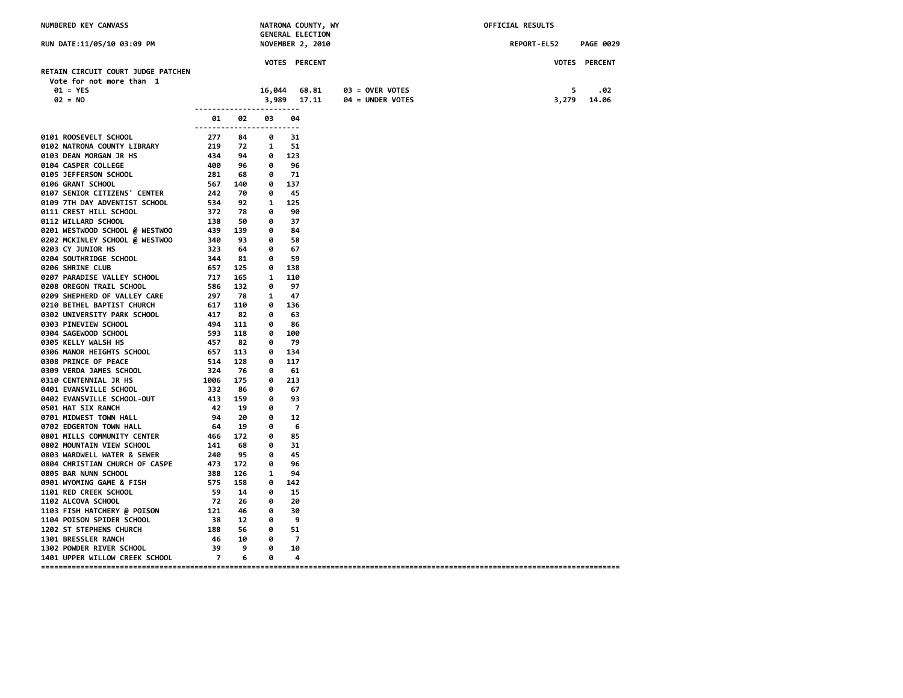| NUMBERED KEY CANVASS                                                                                                                                                                                                                               | NATRONA COUNTY, WY<br><b>GENERAL ELECTION</b>                |       |              |                          | OFFICIAL RESULTS |             |                      |  |  |
|----------------------------------------------------------------------------------------------------------------------------------------------------------------------------------------------------------------------------------------------------|--------------------------------------------------------------|-------|--------------|--------------------------|------------------|-------------|----------------------|--|--|
| RUN DATE:11/05/10 03:09 PM                                                                                                                                                                                                                         |                                                              |       |              | NOVEMBER 2, 2010         |                  | REPORT-EL52 | <b>PAGE 0029</b>     |  |  |
|                                                                                                                                                                                                                                                    |                                                              |       |              | <b>VOTES PERCENT</b>     |                  |             | <b>VOTES PERCENT</b> |  |  |
| RETAIN CIRCUIT COURT JUDGE PATCHEN                                                                                                                                                                                                                 |                                                              |       |              |                          |                  |             |                      |  |  |
| Vote for not more than 1                                                                                                                                                                                                                           |                                                              |       |              |                          |                  |             |                      |  |  |
| $01 = YES$<br>$02 = N0$                                                                                                                                                                                                                            |                                                              |       | 16,044       | 68.81                    | 03 = OVER VOTES  | 5           | .02                  |  |  |
|                                                                                                                                                                                                                                                    | ------------------------                                     |       |              | 3,989 17.11              | 04 = UNDER VOTES | 3,279       | 14.06                |  |  |
|                                                                                                                                                                                                                                                    | 01<br>------------------------                               | 02    | 03           | 04                       |                  |             |                      |  |  |
| 0101 ROOSEVELT SCHOOL<br>0102 NATRONA COUNTY LIBRARY<br>0103 DEAN MORGAN JR HS<br>0103 DEAN MORGAN JR HS<br>0104 CASPER COLLEGE<br>0105 JEFFERSON SCHOOL<br>0106 GRANT SCHOOL<br>0106 GRANT SCHOOL<br>0106 GRANT SCHOOL<br>0106 GRANT SCHOOL<br>01 |                                                              |       |              |                          |                  |             |                      |  |  |
|                                                                                                                                                                                                                                                    |                                                              |       |              |                          |                  |             |                      |  |  |
|                                                                                                                                                                                                                                                    |                                                              |       |              |                          |                  |             |                      |  |  |
|                                                                                                                                                                                                                                                    |                                                              |       |              |                          |                  |             |                      |  |  |
|                                                                                                                                                                                                                                                    |                                                              |       |              |                          |                  |             |                      |  |  |
|                                                                                                                                                                                                                                                    |                                                              |       |              |                          |                  |             |                      |  |  |
|                                                                                                                                                                                                                                                    |                                                              |       |              |                          |                  |             |                      |  |  |
|                                                                                                                                                                                                                                                    |                                                              |       |              |                          |                  |             |                      |  |  |
|                                                                                                                                                                                                                                                    |                                                              |       |              |                          |                  |             |                      |  |  |
|                                                                                                                                                                                                                                                    |                                                              |       |              |                          |                  |             |                      |  |  |
|                                                                                                                                                                                                                                                    |                                                              |       |              |                          |                  |             |                      |  |  |
|                                                                                                                                                                                                                                                    |                                                              |       |              |                          |                  |             |                      |  |  |
|                                                                                                                                                                                                                                                    |                                                              |       |              |                          |                  |             |                      |  |  |
|                                                                                                                                                                                                                                                    |                                                              |       |              |                          |                  |             |                      |  |  |
| 0206 SHRINE CLUB                                                                                                                                                                                                                                   | 657 125                                                      |       | 0 138        |                          |                  |             |                      |  |  |
| 0207 PARADISE VALLEY SCHOOL                                                                                                                                                                                                                        | 717 165<br>586 132                                           |       | 1 110        |                          |                  |             |                      |  |  |
| 0207 FARADISE VALLET SCHOOL<br>0208 OREGON TRAIL SCHOOL<br>0209 SHEPHERD OF VALLEY CARE                                                                                                                                                            |                                                              |       | 0            | 97                       |                  |             |                      |  |  |
| 7.<br>586<br>297<br>617<br>417<br>82<br>494<br>111<br>593<br>118<br>457<br>657<br>51                                                                                                                                                               |                                                              |       | 1            | 47                       |                  |             |                      |  |  |
| 0210 BETHEL BAPTIST CHURCH                                                                                                                                                                                                                         |                                                              |       |              | 0 136                    |                  |             |                      |  |  |
| 0302 UNIVERSITY PARK SCHOOL                                                                                                                                                                                                                        |                                                              |       | 0            | 63                       |                  |             |                      |  |  |
| 0303 PINEVIEW SCHOOL                                                                                                                                                                                                                               |                                                              |       | 0            | -86<br>0 100             |                  |             |                      |  |  |
| 0304 SAGEWOOD SCHOOL<br>0305 KELLY WALSH HS                                                                                                                                                                                                        |                                                              |       | 0            | - 79                     |                  |             |                      |  |  |
| 0306 MANOR HEIGHTS SCHOOL                                                                                                                                                                                                                          |                                                              |       |              | 0 134                    |                  |             |                      |  |  |
| 0308 PRINCE OF PEACE                                                                                                                                                                                                                               |                                                              |       | 0            | 117                      |                  |             |                      |  |  |
| 0309 VERDA JAMES SCHOOL                                                                                                                                                                                                                            |                                                              |       | 0            | 61                       |                  |             |                      |  |  |
| <b>0310 CENTENNIAL JR HS</b>                                                                                                                                                                                                                       | $657$ 113<br>$514$ 128<br>$324$ 76<br>$1006$ 175<br>$332$ 86 |       |              | $0\quad 213$             |                  |             |                      |  |  |
| 0401 EVANSVILLE SCHOOL                                                                                                                                                                                                                             |                                                              |       | 0            | 67                       |                  |             |                      |  |  |
| 0402 EVANSVILLE SCHOOL-OUT                                                                                                                                                                                                                         | 332  86<br>413  159                                          |       | $\theta$     | 93                       |                  |             |                      |  |  |
| 0501 HAT SIX RANCH                                                                                                                                                                                                                                 |                                                              | 42 19 | 0            | $\overline{\phantom{a}}$ |                  |             |                      |  |  |
| 0701 MIDWEST TOWN HALL                                                                                                                                                                                                                             | 94                                                           | 20    | $\theta$     | 12                       |                  |             |                      |  |  |
| 0702 EDGERTON TOWN HALL                                                                                                                                                                                                                            |                                                              |       | 0            | - 6                      |                  |             |                      |  |  |
| 0801 MILLS COMMUNITY CENTER                                                                                                                                                                                                                        | 64 19<br>466 172                                             |       | $\bullet$    | 85                       |                  |             |                      |  |  |
|                                                                                                                                                                                                                                                    |                                                              |       | 0            | 31                       |                  |             |                      |  |  |
|                                                                                                                                                                                                                                                    |                                                              |       | 0            | 45                       |                  |             |                      |  |  |
| 9802 MOUNTAIN VIEW SCHOOL 141 68<br>19803 WARDWELL WATER & SEWER 240 95<br>172 9894 CHRISTIAN CHURCH OF CASPE 473 172                                                                                                                              |                                                              |       | 0            | 96                       |                  |             |                      |  |  |
| 0805 BAR NUNN SCHOOL                                                                                                                                                                                                                               | 388                                                          | 126   | $\mathbf{1}$ | 94                       |                  |             |                      |  |  |
| 0901 WYOMING GAME & FISH                                                                                                                                                                                                                           | 575 158                                                      |       |              | 0 142                    |                  |             |                      |  |  |
| 1101 RED CREEK SCHOOL                                                                                                                                                                                                                              | 59                                                           | 14    | 0            | 15                       |                  |             |                      |  |  |
| 1102 ALCOVA SCHOOL                                                                                                                                                                                                                                 | 72                                                           | 26    | 0            | 20                       |                  |             |                      |  |  |
| 1103 FISH HATCHERY @ POISON                                                                                                                                                                                                                        | 121                                                          | 46    | 0            | 30                       |                  |             |                      |  |  |
| <b>1104 POISON SPIDER SCHOOL</b>                                                                                                                                                                                                                   | 38                                                           | 12    | ø            | -9                       |                  |             |                      |  |  |
| 1202 ST STEPHENS CHURCH                                                                                                                                                                                                                            | 188 56 0                                                     |       |              | 51                       |                  |             |                      |  |  |
| 1301 BRESSLER RANCH                                                                                                                                                                                                                                | 46                                                           | 10    | $\theta$ 7   |                          |                  |             |                      |  |  |
| 1302 POWDER RIVER SCHOOL                                                                                                                                                                                                                           | 39                                                           | 9     | 0            | 10                       |                  |             |                      |  |  |
| 1401 UPPER WILLOW CREEK SCHOOL                                                                                                                                                                                                                     | $\overline{7}$                                               | -6    | 0            | 4                        |                  |             |                      |  |  |
|                                                                                                                                                                                                                                                    |                                                              |       |              |                          |                  |             |                      |  |  |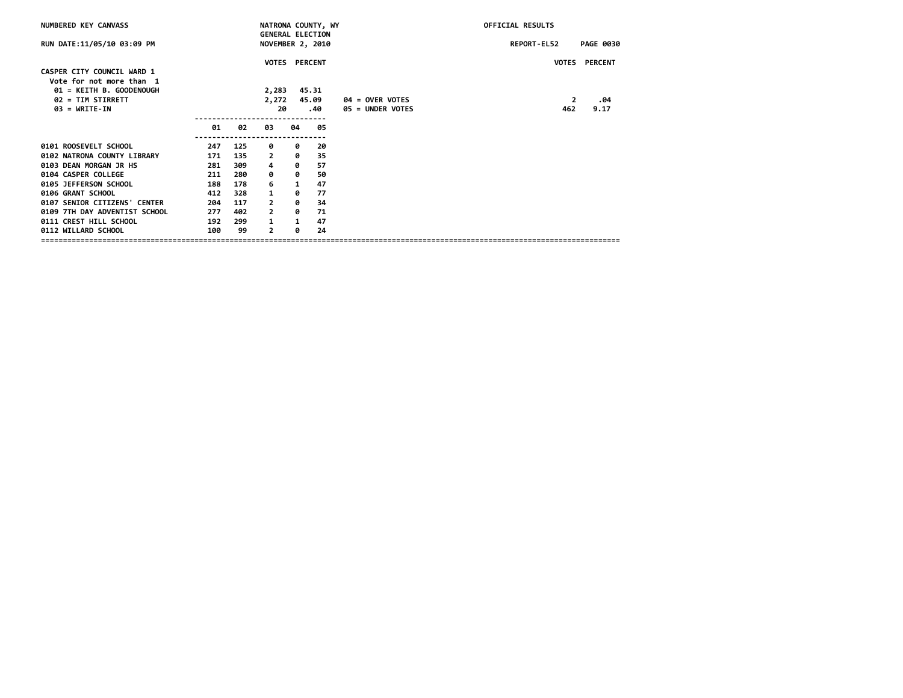| NUMBERED KEY CANVASS                                                               |     |     |                                                    |    | NATRONA COUNTY, WY |                  | OFFICIAL RESULTS |                |                  |
|------------------------------------------------------------------------------------|-----|-----|----------------------------------------------------|----|--------------------|------------------|------------------|----------------|------------------|
| RUN DATE:11/05/10 03:09 PM                                                         |     |     | <b>GENERAL ELECTION</b><br><b>NOVEMBER 2, 2010</b> |    |                    |                  | REPORT-EL52      |                | <b>PAGE 0030</b> |
| CASPER CITY COUNCIL WARD 1<br>Vote for not more than 1<br>01 = KEITH B. GOODENOUGH |     |     | <b>VOTES PERCENT</b><br>2,283                      |    | 45.31              |                  |                  | <b>VOTES</b>   | <b>PERCENT</b>   |
| 02 = TIM STIRRETT                                                                  |     |     | 2,272                                              |    | 45.09              | 04 = OVER VOTES  |                  | $\overline{2}$ | .04              |
| $03 = WRITE-IN$                                                                    |     |     | 20                                                 |    | .40                | 05 = UNDER VOTES |                  | 462            | 9.17             |
|                                                                                    | 01  | 02  | 03                                                 | 04 | 05                 |                  |                  |                |                  |
| 0101 ROOSEVELT SCHOOL                                                              | 247 | 125 | 0                                                  | 0  | 20                 |                  |                  |                |                  |
| 0102 NATRONA COUNTY LIBRARY                                                        | 171 | 135 | $\overline{2}$                                     | 0  | 35                 |                  |                  |                |                  |
| 0103 DEAN MORGAN JR HS                                                             | 281 | 309 | 4                                                  | 0  | 57                 |                  |                  |                |                  |
| 0104 CASPER COLLEGE                                                                | 211 | 280 | 0                                                  | 0  | 50                 |                  |                  |                |                  |
| 0105 JEFFERSON SCHOOL                                                              | 188 | 178 | 6                                                  | 1  | 47                 |                  |                  |                |                  |
| 0106 GRANT SCHOOL                                                                  | 412 | 328 | 1                                                  | 0  | 77                 |                  |                  |                |                  |
| 0107 SENIOR CITIZENS' CENTER                                                       | 204 | 117 | $\mathbf{2}$                                       | ø  | 34                 |                  |                  |                |                  |
| 0109 7TH DAY ADVENTIST SCHOOL                                                      | 277 | 402 | $\mathbf{2}$                                       | 0  | 71                 |                  |                  |                |                  |
| 0111 CREST HILL SCHOOL                                                             | 192 | 299 | $\mathbf{1}$                                       | 1  | 47                 |                  |                  |                |                  |
| 0112 WILLARD SCHOOL                                                                | 100 | 99  | $\mathbf{2}$                                       | 0  | 24                 |                  |                  |                |                  |
|                                                                                    |     |     |                                                    |    |                    |                  |                  |                |                  |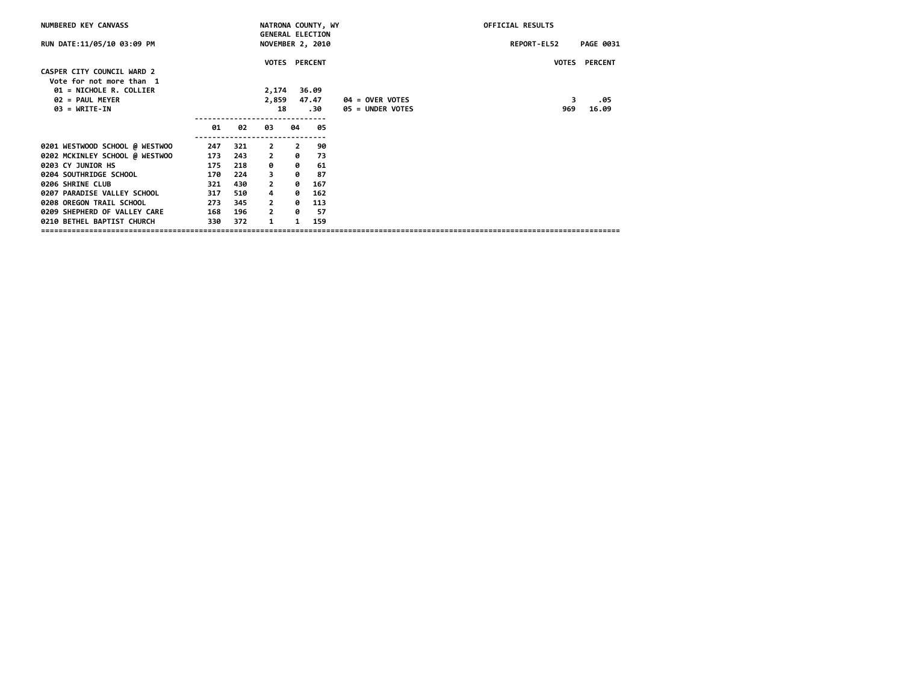| NUMBERED KEY CANVASS                                   |     |     |                |                | NATRONA COUNTY, WY                                 |                                            | OFFICIAL RESULTS   |                  |
|--------------------------------------------------------|-----|-----|----------------|----------------|----------------------------------------------------|--------------------------------------------|--------------------|------------------|
| RUN DATE:11/05/10 03:09 PM                             |     |     |                |                | <b>GENERAL ELECTION</b><br><b>NOVEMBER 2, 2010</b> |                                            | <b>REPORT-EL52</b> | <b>PAGE 0031</b> |
| CASPER CITY COUNCIL WARD 2<br>Vote for not more than 1 |     |     |                |                | VOTES PERCENT                                      |                                            |                    | VOTES PERCENT    |
| 01 = NICHOLE R. COLLIER                                |     |     | 2,174          |                | 36.09                                              |                                            |                    |                  |
| $02 = PAUL$ MEYER<br>$03 = \text{WRITE-IN}$            |     |     | 2,859<br>18    |                | 47.47<br>30.                                       | <b>04 = OVER VOTES</b><br>05 = UNDER VOTES | 3<br>969           | .05<br>16.09     |
|                                                        |     |     |                |                |                                                    |                                            |                    |                  |
|                                                        | 01  | 02  | 03             | 04             | 05                                                 |                                            |                    |                  |
| 0201 WESTWOOD SCHOOL @ WESTWOO                         | 247 | 321 | $\mathbf{2}$   | $\overline{2}$ | 90                                                 |                                            |                    |                  |
| 0202 MCKINLEY SCHOOL @ WESTWOO                         | 173 | 243 | $\mathbf{2}$   | 0              | 73                                                 |                                            |                    |                  |
| 0203 CY JUNIOR HS                                      | 175 | 218 | 0              | ø              | 61                                                 |                                            |                    |                  |
| 0204 SOUTHRIDGE SCHOOL                                 | 170 | 224 | 3              | ø              | 87                                                 |                                            |                    |                  |
| 0206 SHRINE CLUB                                       | 321 | 430 | $\overline{2}$ | ø              | 167                                                |                                            |                    |                  |
| 0207 PARADISE VALLEY SCHOOL                            | 317 | 510 | 4              | ø              | 162                                                |                                            |                    |                  |
| 0208 OREGON TRAIL SCHOOL                               | 273 | 345 | $\overline{2}$ | ø              | 113                                                |                                            |                    |                  |
| 0209 SHEPHERD OF VALLEY CARE                           | 168 | 196 | $\overline{2}$ | ø              | -57                                                |                                            |                    |                  |
| 0210 BETHEL BAPTIST CHURCH                             | 330 | 372 | 1              | 1              | 159                                                |                                            |                    |                  |
|                                                        |     |     |                |                |                                                    |                                            |                    |                  |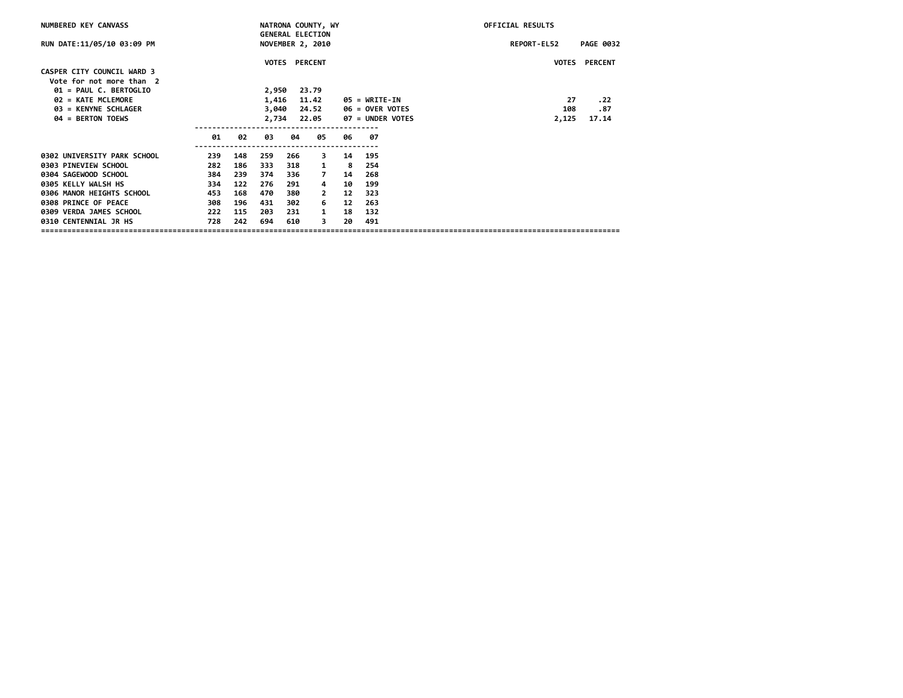| NUMBERED KEY CANVASS        |                    |     |       |               | NATRONA COUNTY, WY      |    |                        | OFFICIAL RESULTS                |
|-----------------------------|--------------------|-----|-------|---------------|-------------------------|----|------------------------|---------------------------------|
|                             |                    |     |       |               | <b>GENERAL ELECTION</b> |    |                        |                                 |
| RUN DATE:11/05/10 03:09 PM  |                    |     |       |               | <b>NOVEMBER 2, 2010</b> |    |                        | REPORT-EL52<br><b>PAGE 0032</b> |
|                             |                    |     |       | VOTES PERCENT |                         |    |                        | VOTES PERCENT                   |
| CASPER CITY COUNCIL WARD 3  |                    |     |       |               |                         |    |                        |                                 |
| Vote for not more than 2    |                    |     |       |               |                         |    |                        |                                 |
| 01 = PAUL C. BERTOGLIO      |                    |     | 2,950 |               | 23.79                   |    |                        |                                 |
| 02 = KATE MCLEMORE          |                    |     | 1,416 |               | 11.42                   |    | 05 = WRITE-IN          | 27<br>. 22                      |
| 03 = KENYNE SCHLAGER        |                    |     | 3,040 |               | 24.52                   |    | <b>06 = OVER VOTES</b> | 108<br>.87                      |
| 04 = BERTON TOEWS           |                    |     | 2,734 |               | 22.05                   |    | 07 = UNDER VOTES       | 17.14<br>2,125                  |
|                             |                    |     |       |               |                         |    |                        |                                 |
|                             | 01                 | 02  | 03    | 04            | 05                      | 06 | 07                     |                                 |
| 0302 UNIVERSITY PARK SCHOOL | -----------<br>239 | 148 | 259   | 266           | 3                       | 14 | 195                    |                                 |
| 0303 PINEVIEW SCHOOL        | 282                | 186 | 333   | 318           | 1                       | -8 | 254                    |                                 |
| 0304 SAGEWOOD SCHOOL        | 384                | 239 | 374   | 336           | $\overline{7}$          | 14 | 268                    |                                 |
| 0305 KELLY WALSH HS         | 334                | 122 | 276   | 291           | 4                       | 10 | 199                    |                                 |
| 0306 MANOR HEIGHTS SCHOOL   | 453                | 168 | 470   | 380           | 2                       | 12 | 323                    |                                 |
| 0308 PRINCE OF PEACE        | 308                | 196 | 431   | 302           | 6                       | 12 | 263                    |                                 |
| 0309 VERDA JAMES SCHOOL     | 222                | 115 | 203   | 231           | $\mathbf{1}$            | 18 | 132                    |                                 |
| 0310 CENTENNIAL JR HS       | 728                | 242 | 694   | 610           | 3                       | 20 | 491                    |                                 |
|                             |                    |     |       |               |                         |    |                        |                                 |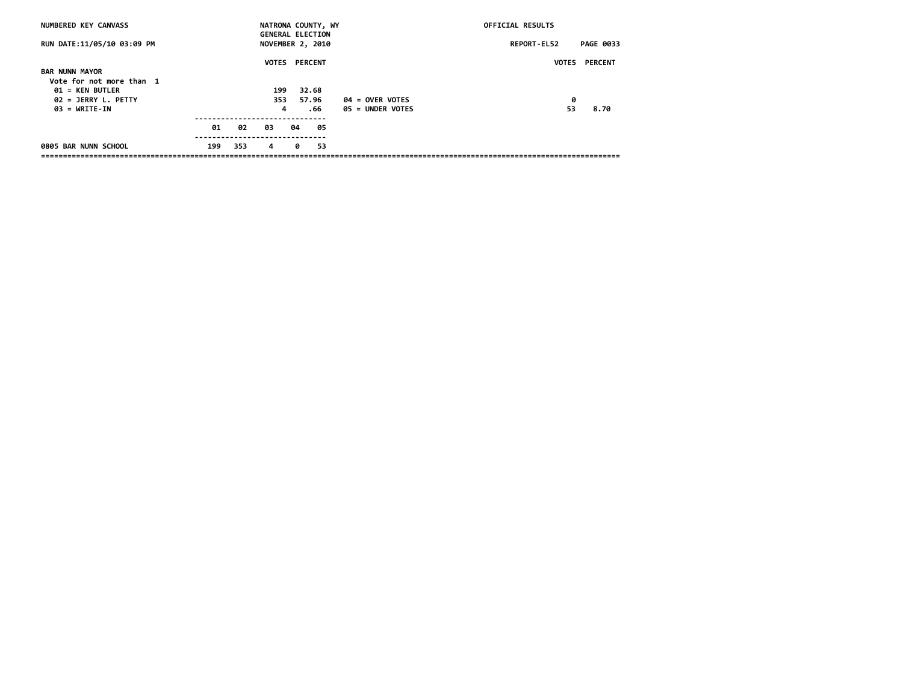| NUMBERED KEY CANVASS       |     |     |     |    | NATRONA COUNTY, WY<br><b>GENERAL ELECTION</b> |                    | OFFICIAL RESULTS   |                  |
|----------------------------|-----|-----|-----|----|-----------------------------------------------|--------------------|--------------------|------------------|
| RUN DATE:11/05/10 03:09 PM |     |     |     |    | <b>NOVEMBER 2, 2010</b>                       |                    | <b>REPORT-EL52</b> | <b>PAGE 0033</b> |
|                            |     |     |     |    | <b>VOTES PERCENT</b>                          |                    | <b>VOTES</b>       | <b>PERCENT</b>   |
| <b>BAR NUNN MAYOR</b>      |     |     |     |    |                                               |                    |                    |                  |
| Vote for not more than 1   |     |     |     |    |                                               |                    |                    |                  |
| <b>01 = KEN BUTLER</b>     |     |     | 199 |    | 32.68                                         |                    |                    |                  |
| $02 = JERRY L. PETTY$      |     |     | 353 |    | 57.96                                         | $04 = 0$ VER VOTES | 0                  |                  |
| $03 = \text{WRITE-IN}$     |     |     | 4   |    | . 66                                          | 05 = UNDER VOTES   | 53                 | 8.70             |
|                            | 01  | 02  | 03  | 04 | 05                                            |                    |                    |                  |
|                            |     |     |     |    |                                               |                    |                    |                  |
| 0805 BAR NUNN SCHOOL       | 199 | 353 | 4   | ø  | 53                                            |                    |                    |                  |
|                            |     |     |     |    |                                               |                    |                    |                  |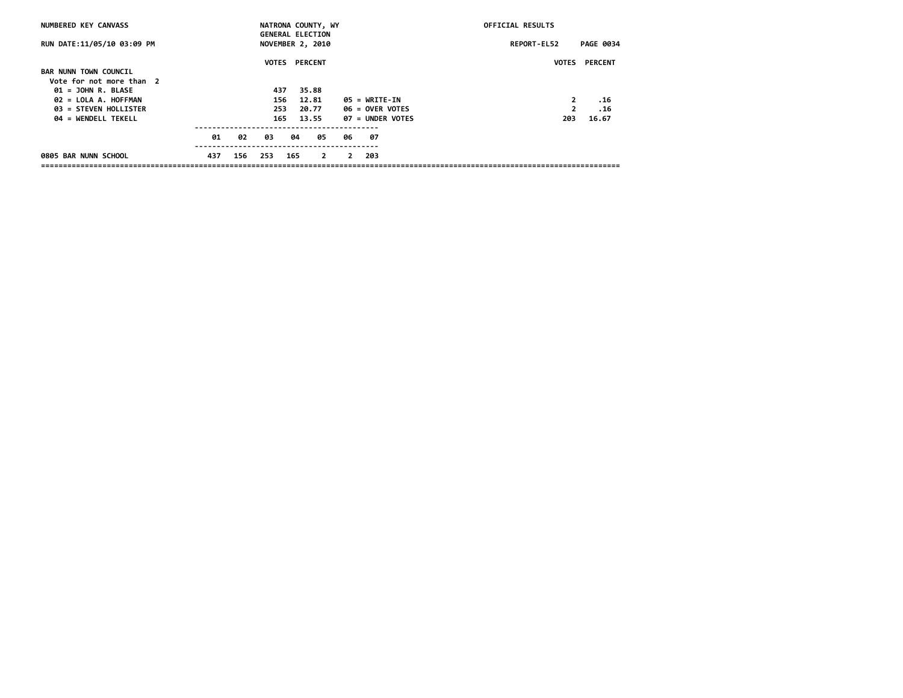| NUMBERED KEY CANVASS         |     |     | NATRONA COUNTY, WY<br><b>GENERAL ELECTION</b> |     |       |                |                | OFFICIAL RESULTS       |             |                |                      |
|------------------------------|-----|-----|-----------------------------------------------|-----|-------|----------------|----------------|------------------------|-------------|----------------|----------------------|
| RUN DATE:11/05/10 03:09 PM   |     |     | <b>NOVEMBER 2, 2010</b>                       |     |       |                |                |                        | REPORT-EL52 |                | <b>PAGE 0034</b>     |
|                              |     |     | <b>VOTES PERCENT</b>                          |     |       |                |                |                        |             |                | <b>VOTES PERCENT</b> |
| <b>BAR NUNN TOWN COUNCIL</b> |     |     |                                               |     |       |                |                |                        |             |                |                      |
| Vote for not more than 2     |     |     |                                               |     |       |                |                |                        |             |                |                      |
| $01 =$ JOHN R. BLASE         |     |     | 437                                           |     | 35.88 |                |                |                        |             |                |                      |
| 02 = LOLA A. HOFFMAN         |     |     | 156                                           |     | 12.81 |                |                | 05 = WRITE-IN          |             | 2              | .16                  |
| 03 = STEVEN HOLLISTER        |     |     | 253                                           |     | 20.77 |                |                | <b>06 = OVER VOTES</b> |             | $\overline{2}$ | . 16                 |
| 04 = WENDELL TEKELL          |     |     | 165                                           |     | 13.55 |                |                | 07 = UNDER VOTES       |             | 203            | 16.67                |
|                              | 01  | 02  | 03                                            | 04  |       | 05             | 06             | - 07                   |             |                |                      |
| 0805 BAR NUNN SCHOOL         | 437 | 156 | 253                                           | 165 |       | $\overline{2}$ | $\overline{2}$ | -203                   |             |                |                      |
|                              |     |     |                                               |     |       |                |                |                        |             |                |                      |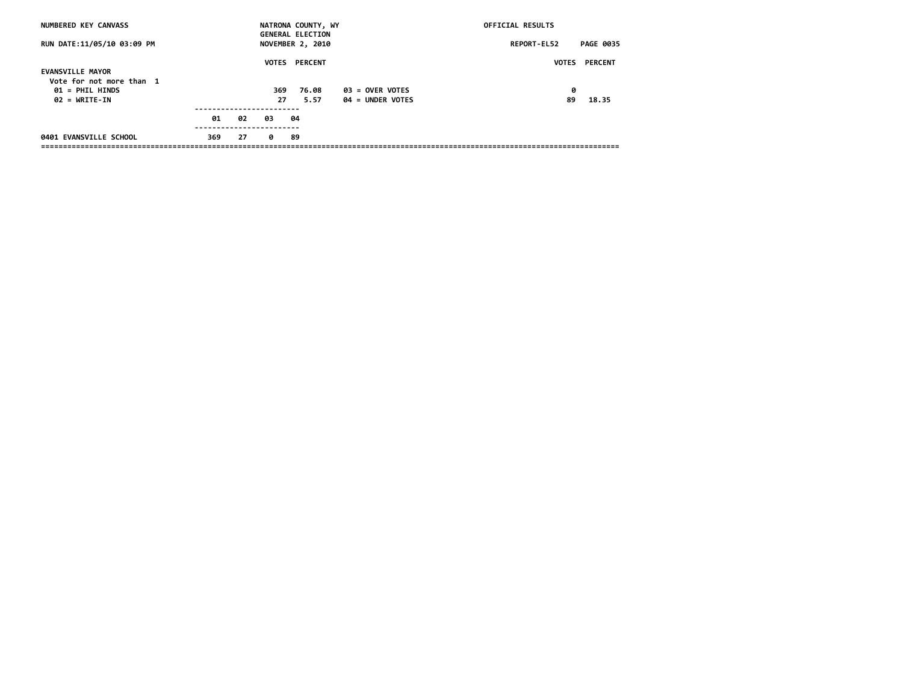| NUMBERED KEY CANVASS                                                    |     |    |           | NATRONA COUNTY, WY<br><b>GENERAL ELECTION</b> |                                       | OFFICIAL RESULTS   |                      |
|-------------------------------------------------------------------------|-----|----|-----------|-----------------------------------------------|---------------------------------------|--------------------|----------------------|
| RUN DATE:11/05/10 03:09 PM                                              |     |    |           | <b>NOVEMBER 2, 2010</b>                       |                                       | <b>REPORT-EL52</b> | <b>PAGE 0035</b>     |
| <b>EVANSVILLE MAYOR</b>                                                 |     |    |           | <b>VOTES PERCENT</b>                          |                                       |                    | <b>VOTES PERCENT</b> |
| Vote for not more than 1<br>$01 = PHIL HINDS$<br>$02 = \text{WRTTE-IN}$ |     |    | 369<br>27 | 76.08<br>5.57                                 | $03 =$ OVER VOTES<br>04 = UNDER VOTES | 0<br>89            | 18.35                |
|                                                                         |     |    |           |                                               |                                       |                    |                      |
|                                                                         | 01  | 02 | 03        | -04                                           |                                       |                    |                      |
| 0401 EVANSVILLE SCHOOL                                                  | 369 | 27 | ø         | -89                                           |                                       |                    |                      |
|                                                                         |     |    |           |                                               |                                       |                    |                      |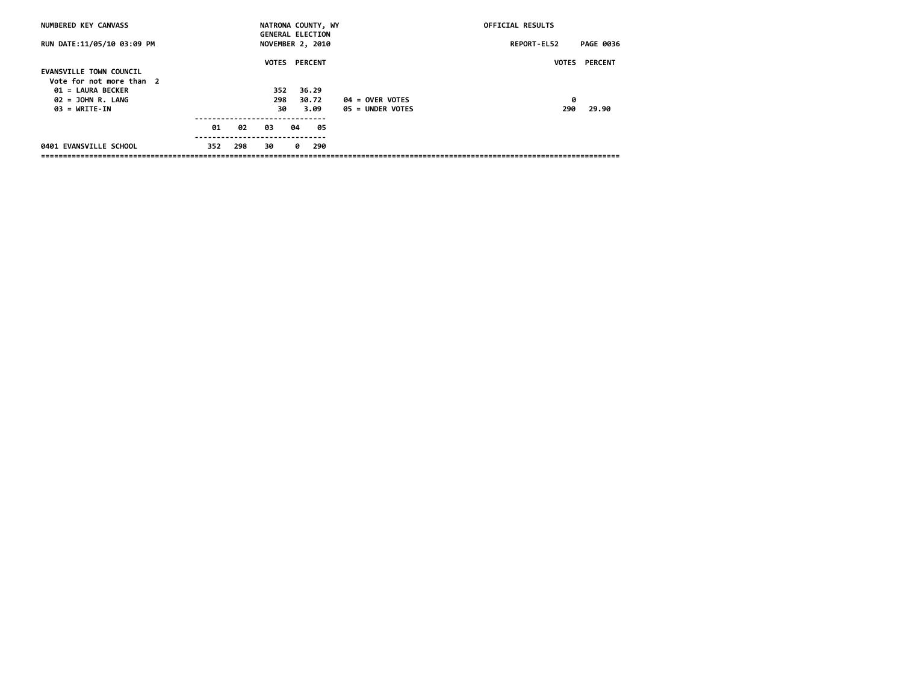| NUMBERED KEY CANVASS           |     |     | NATRONA COUNTY, WY                                 |    |       |     |                    | OFFICIAL RESULTS   |                  |
|--------------------------------|-----|-----|----------------------------------------------------|----|-------|-----|--------------------|--------------------|------------------|
| RUN DATE:11/05/10 03:09 PM     |     |     | <b>GENERAL ELECTION</b><br><b>NOVEMBER 2, 2010</b> |    |       |     |                    | <b>REPORT-EL52</b> | <b>PAGE 0036</b> |
|                                |     |     | <b>VOTES PERCENT</b>                               |    |       |     |                    | <b>VOTES</b>       | <b>PERCENT</b>   |
| <b>EVANSVILLE TOWN COUNCIL</b> |     |     |                                                    |    |       |     |                    |                    |                  |
| Vote for not more than 2       |     |     |                                                    |    |       |     |                    |                    |                  |
| 01 = LAURA BECKER              |     |     | 352                                                |    | 36.29 |     |                    |                    |                  |
| $02 =$ JOHN R. LANG            |     |     | 298                                                |    | 30.72 |     | $04 = 0$ VER VOTES | 0                  |                  |
| $03 = \text{WRTTE}$ -IN        |     |     | 30                                                 |    | 3.09  |     | 05 = UNDER VOTES   | 290                | 29.90            |
|                                |     |     |                                                    |    |       |     |                    |                    |                  |
|                                | 01  | 02  | 03                                                 | 04 |       | 05  |                    |                    |                  |
|                                |     |     |                                                    |    |       |     |                    |                    |                  |
| 0401 EVANSVILLE SCHOOL         | 352 | 298 | 30                                                 | ø  |       | 290 |                    |                    |                  |
|                                |     |     |                                                    |    |       |     |                    |                    |                  |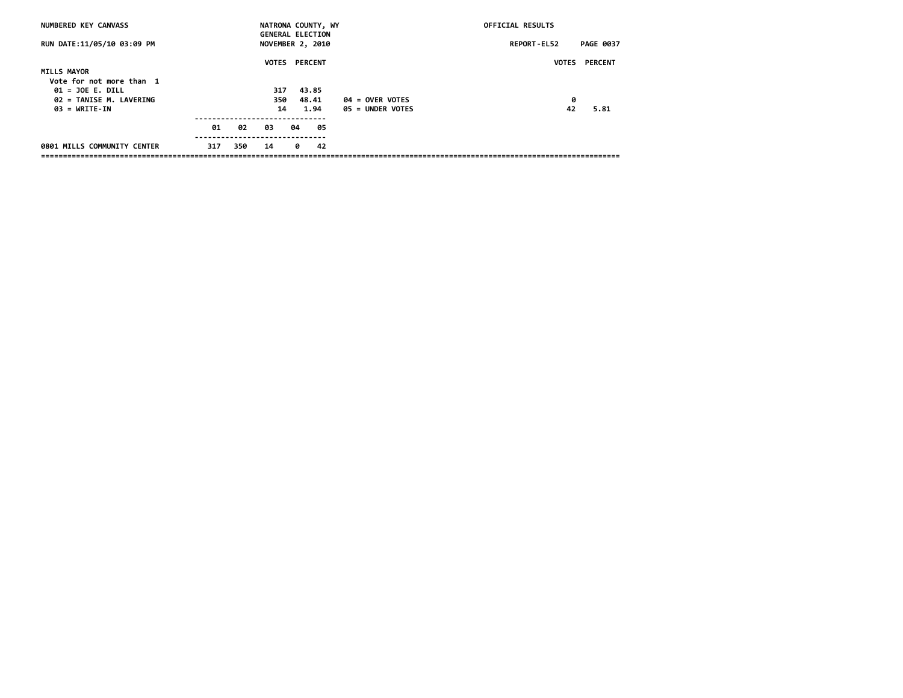| NUMBERED KEY CANVASS                           |     |     | NATRONA COUNTY, WY<br><b>GENERAL ELECTION</b> |    |       |    |                    | OFFICIAL RESULTS   |                  |
|------------------------------------------------|-----|-----|-----------------------------------------------|----|-------|----|--------------------|--------------------|------------------|
| RUN DATE:11/05/10 03:09 PM                     |     |     | <b>NOVEMBER 2, 2010</b>                       |    |       |    |                    | <b>REPORT-EL52</b> | <b>PAGE 0037</b> |
| <b>MILLS MAYOR</b>                             |     |     | <b>VOTES PERCENT</b>                          |    |       |    |                    | <b>VOTES</b>       | <b>PERCENT</b>   |
| Vote for not more than 1<br>$01 = JOE E. DILL$ |     |     | 317                                           |    | 43.85 |    |                    |                    |                  |
| 02 = TANISE M. LAVERING                        |     |     | 350                                           |    | 48.41 |    | $04 = 0$ VER VOTES | 0                  |                  |
| $03 = \text{WRTTE-IN}$                         |     |     | 14                                            |    | 1.94  |    | 05 = UNDER VOTES   | 42                 | 5.81             |
|                                                | 01  | 02  | 03                                            | 04 |       | 05 |                    |                    |                  |
| 0801 MILLS COMMUNITY CENTER                    | 317 | 350 | 14                                            | ø  |       | 42 |                    |                    |                  |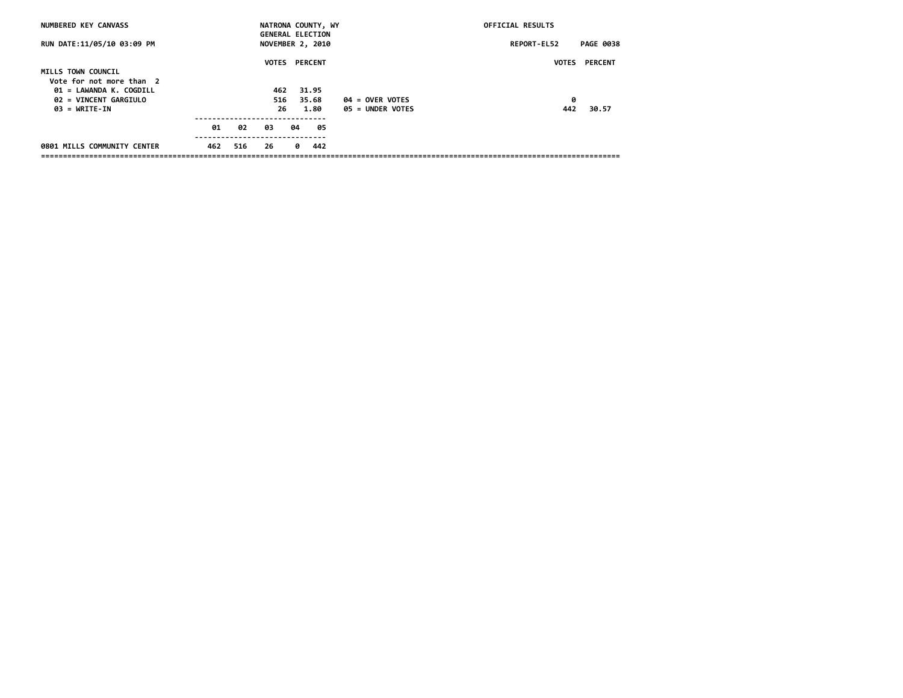| NUMBERED KEY CANVASS                                                                               |     |     | NATRONA COUNTY, WY<br><b>GENERAL ELECTION</b> |    |                |    |                    | OFFICIAL RESULTS  |                  |
|----------------------------------------------------------------------------------------------------|-----|-----|-----------------------------------------------|----|----------------|----|--------------------|-------------------|------------------|
| RUN DATE:11/05/10 03:09 PM                                                                         |     |     | <b>NOVEMBER 2, 2010</b>                       |    |                |    |                    | REPORT-EL52       | <b>PAGE 0038</b> |
| MILLS TOWN COUNCIL<br>Vote for not more than 2<br>01 = LAWANDA K. COGDILL<br>02 = VINCENT GARGIULO |     |     | <b>VOTES PERCENT</b><br>462<br>516            |    | 31.95<br>35.68 |    | $04 = 0$ VER VOTES | <b>VOTES</b><br>0 | <b>PERCENT</b>   |
| $03 = \text{WRTTE-IN}$                                                                             | 01  | 02  | 26<br>03                                      | 04 | 1.80           | 05 | 05 = UNDER VOTES   | 442               | 30.57            |
| 0801 MILLS COMMUNITY CENTER                                                                        | 462 | 516 | 26                                            | 0  | 442            |    |                    |                   |                  |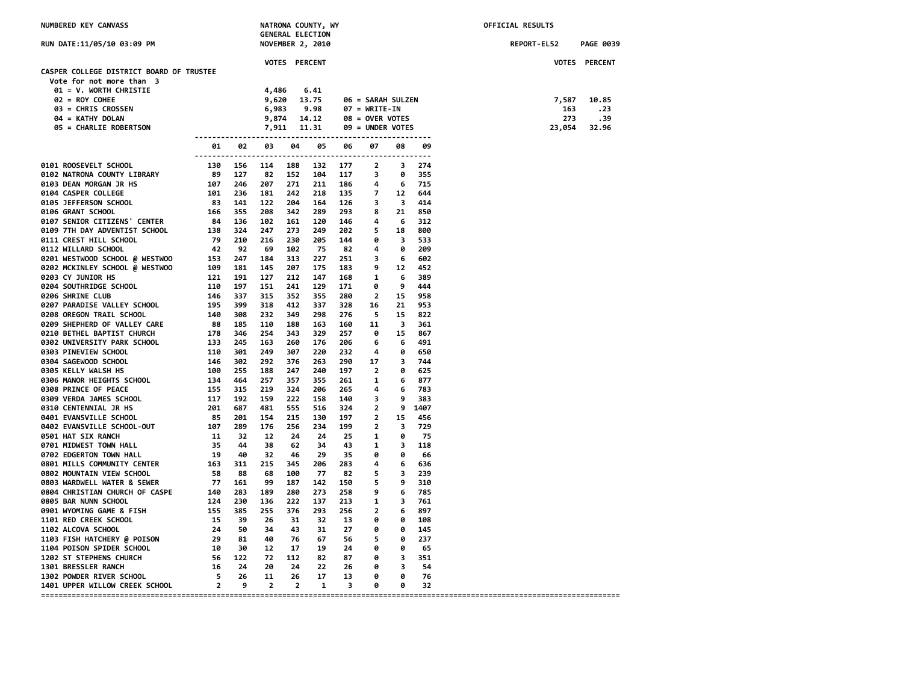| NUMBERED KEY CANVASS                                                                                                                                                                                                                             |       |            |               | NATRONA COUNTY, WY      |                |                                                        |                            |      | OFFICIAL RESULTS   |                  |
|--------------------------------------------------------------------------------------------------------------------------------------------------------------------------------------------------------------------------------------------------|-------|------------|---------------|-------------------------|----------------|--------------------------------------------------------|----------------------------|------|--------------------|------------------|
|                                                                                                                                                                                                                                                  |       |            |               | <b>GENERAL ELECTION</b> |                |                                                        |                            |      |                    |                  |
| RUN DATE:11/05/10 03:09 PM                                                                                                                                                                                                                       |       |            |               | <b>NOVEMBER 2, 2010</b> |                |                                                        |                            |      | <b>REPORT-EL52</b> | <b>PAGE 0039</b> |
|                                                                                                                                                                                                                                                  |       |            | VOTES PERCENT |                         |                |                                                        |                            |      |                    | VOTES PERCENT    |
| CASPER COLLEGE DISTRICT BOARD OF TRUSTEE                                                                                                                                                                                                         |       |            |               |                         |                |                                                        |                            |      |                    |                  |
| Vote for not more than 3                                                                                                                                                                                                                         |       |            |               |                         |                |                                                        |                            |      |                    |                  |
| 01 = V. WORTH CHRISTIE                                                                                                                                                                                                                           |       | 4,486      |               | 6.41                    |                |                                                        |                            |      |                    |                  |
| $02 = ROY COHEE$                                                                                                                                                                                                                                 |       | 9,620      |               | 13.75                   |                | 06 = SARAH SULZEN                                      |                            |      | 7,587              | 10.85            |
| 03 = CHRIS CROSSEN                                                                                                                                                                                                                               |       | 6,983 9.98 |               |                         |                | $07 = \text{WRITE-IN}$                                 |                            |      | 163                | .23              |
| 04 = KATHY DOLAN                                                                                                                                                                                                                                 |       |            |               |                         |                |                                                        |                            |      | 273                | .39              |
| <b>05 = CHARLIE ROBERTSON</b>                                                                                                                                                                                                                    |       |            |               |                         |                | 09 = UNDER VOTES                                       |                            |      | 23,054             | 32.96            |
|                                                                                                                                                                                                                                                  |       |            |               |                         |                |                                                        |                            |      |                    |                  |
| 9181 ROOSEVELT SCHOOL<br>91 - 92 - 93 - 94<br>9181 ROOMEN COMIN' LIBRARY<br>91 - 92 - 93 - 154 - 114<br>9182 DEAW MORGAN JR ISS<br>9182 DEAW MORGAN JR ISS<br>9182 DEAW MORGAN JR ISS<br>9280 DEAW MORGAN JR ISS<br>9280 DEAW MORGAN CITUES<br>9 | 01 02 | 03         | 04            | 05                      | 06             | 07                                                     | 08                         | 09   |                    |                  |
|                                                                                                                                                                                                                                                  |       |            |               |                         | 132 177        | $\overline{2}$                                         | $\overline{\mathbf{3}}$    | 274  |                    |                  |
|                                                                                                                                                                                                                                                  |       |            |               |                         |                | 152 104 117 3                                          | 0                          | 355  |                    |                  |
|                                                                                                                                                                                                                                                  |       |            |               |                         |                |                                                        |                            | 715  |                    |                  |
|                                                                                                                                                                                                                                                  |       |            |               |                         |                |                                                        |                            | 644  |                    |                  |
|                                                                                                                                                                                                                                                  |       |            |               |                         |                | 271 211 186 4 6<br>242 218 135 7 12<br>204 164 126 3 3 | 3 414                      |      |                    |                  |
|                                                                                                                                                                                                                                                  |       |            |               |                         | 289 293 8      |                                                        | 21                         | 850  |                    |                  |
|                                                                                                                                                                                                                                                  |       |            |               | 120                     | 146 4          |                                                        | 6                          | 312  |                    |                  |
|                                                                                                                                                                                                                                                  |       |            |               | 249                     |                |                                                        | 18                         | 800  |                    |                  |
|                                                                                                                                                                                                                                                  |       |            |               | 205                     | 202 5<br>144 0 |                                                        | $\overline{\mathbf{3}}$    | 533  |                    |                  |
|                                                                                                                                                                                                                                                  |       |            |               | 75                      | 82 4           |                                                        | $\bullet$                  | 209  |                    |                  |
|                                                                                                                                                                                                                                                  |       |            |               | 227                     | $251 \qquad 3$ |                                                        | 6                          | 602  |                    |                  |
|                                                                                                                                                                                                                                                  |       |            |               | 175                     | 183 9          |                                                        | 12                         | 452  |                    |                  |
|                                                                                                                                                                                                                                                  |       |            |               | 147                     | 168 1          |                                                        | - 6                        | 389  |                    |                  |
|                                                                                                                                                                                                                                                  |       |            |               | 129                     | 171            | 0                                                      | 9                          | 444  |                    |                  |
|                                                                                                                                                                                                                                                  |       |            |               | 355                     | 280            | $\overline{\mathbf{2}}$                                | 15                         | 958  |                    |                  |
|                                                                                                                                                                                                                                                  |       |            |               | 337                     | 328            | 16                                                     | 21                         | 953  |                    |                  |
|                                                                                                                                                                                                                                                  |       |            |               | 298                     | 276            | $\overline{\phantom{0}}$                               | 15                         | 822  |                    |                  |
|                                                                                                                                                                                                                                                  |       |            |               | 163                     | 160            | 11                                                     | $\overline{\mathbf{3}}$    | 361  |                    |                  |
|                                                                                                                                                                                                                                                  |       |            |               | 329                     | 257            | - 0                                                    | 15                         | 867  |                    |                  |
|                                                                                                                                                                                                                                                  |       |            |               | 176                     | 206            | $6\overline{6}$                                        | - 6                        | 491  |                    |                  |
|                                                                                                                                                                                                                                                  |       |            |               | 220                     | 232            | $\overline{a}$                                         | 0                          | 650  |                    |                  |
|                                                                                                                                                                                                                                                  |       |            |               | 263                     | 290            | 17                                                     | $\overline{\mathbf{3}}$    | 744  |                    |                  |
|                                                                                                                                                                                                                                                  |       |            |               | 240                     | 197            | $\overline{\phantom{a}}$                               | ø                          | 625  |                    |                  |
|                                                                                                                                                                                                                                                  |       |            |               | 355                     | 261            | $\overline{\mathbf{1}}$                                | 6                          | 877  |                    |                  |
|                                                                                                                                                                                                                                                  |       |            |               | 206                     | - 265          | $\overline{\mathbf{4}}$                                | - 6                        | 783  |                    |                  |
|                                                                                                                                                                                                                                                  |       |            |               | 158                     | 140 3          |                                                        | 9                          | -383 |                    |                  |
|                                                                                                                                                                                                                                                  |       |            |               | 516                     |                |                                                        | 9 1407                     |      |                    |                  |
|                                                                                                                                                                                                                                                  |       |            |               | 130                     |                |                                                        | 15                         | 456  |                    |                  |
|                                                                                                                                                                                                                                                  |       |            |               | 234                     | 199            | $\overline{\mathbf{2}}$                                | $\overline{\mathbf{3}}$    | 729  |                    |                  |
|                                                                                                                                                                                                                                                  |       |            |               | 24                      | 25             | $\overline{\mathbf{1}}$                                | 0                          | 75   |                    |                  |
|                                                                                                                                                                                                                                                  |       |            |               | 34                      |                | 43 1                                                   | $\overline{\phantom{a}}$ 3 | 118  |                    |                  |
|                                                                                                                                                                                                                                                  |       |            |               | 29                      | 35             | $\theta$                                               | 0                          | 66   |                    |                  |
|                                                                                                                                                                                                                                                  |       |            |               | 206                     | 283            | $\overline{\mathbf{4}}$                                | 6                          | 636  |                    |                  |
|                                                                                                                                                                                                                                                  |       |            |               | 77                      | 82             | 5                                                      | $\overline{\mathbf{3}}$    | 239  |                    |                  |
|                                                                                                                                                                                                                                                  |       |            |               | 142                     | 150            | $\overline{\phantom{0}}$                               | 9                          | 310  |                    |                  |
|                                                                                                                                                                                                                                                  |       |            |               | 273                     | 258            | 9                                                      | 6                          | 785  |                    |                  |
|                                                                                                                                                                                                                                                  |       |            |               | 137                     | 213            | 1                                                      | 3                          | 761  |                    |                  |
|                                                                                                                                                                                                                                                  |       |            |               | 293                     | 256            | $\overline{\phantom{0}}$                               | 6                          | 897  |                    |                  |
|                                                                                                                                                                                                                                                  |       |            |               | 32                      | 13             | 0                                                      | 0                          | 108  |                    |                  |
|                                                                                                                                                                                                                                                  |       |            |               | 31                      | 27             | $\overline{\mathbf{e}}$                                | 0                          | 145  |                    |                  |
|                                                                                                                                                                                                                                                  |       |            |               | 67 —                    |                | 56 5                                                   | 0                          | 237  |                    |                  |
|                                                                                                                                                                                                                                                  |       |            |               |                         | 19 24 0        |                                                        | 0                          | -65  |                    |                  |
|                                                                                                                                                                                                                                                  |       |            |               |                         | 82 87 0        |                                                        | $\overline{\phantom{a}}$   | 351  |                    |                  |
|                                                                                                                                                                                                                                                  |       |            |               |                         | 22 26 0        |                                                        | $\overline{\mathbf{3}}$    | 54   |                    |                  |
|                                                                                                                                                                                                                                                  |       |            |               | 17                      | 13             | $\theta$                                               | 0                          | 76   |                    |                  |
|                                                                                                                                                                                                                                                  |       |            |               | $\mathbf{1}$            | $3 \theta$     |                                                        | $\bullet$                  | 32   |                    |                  |
|                                                                                                                                                                                                                                                  |       |            |               |                         |                |                                                        |                            |      |                    |                  |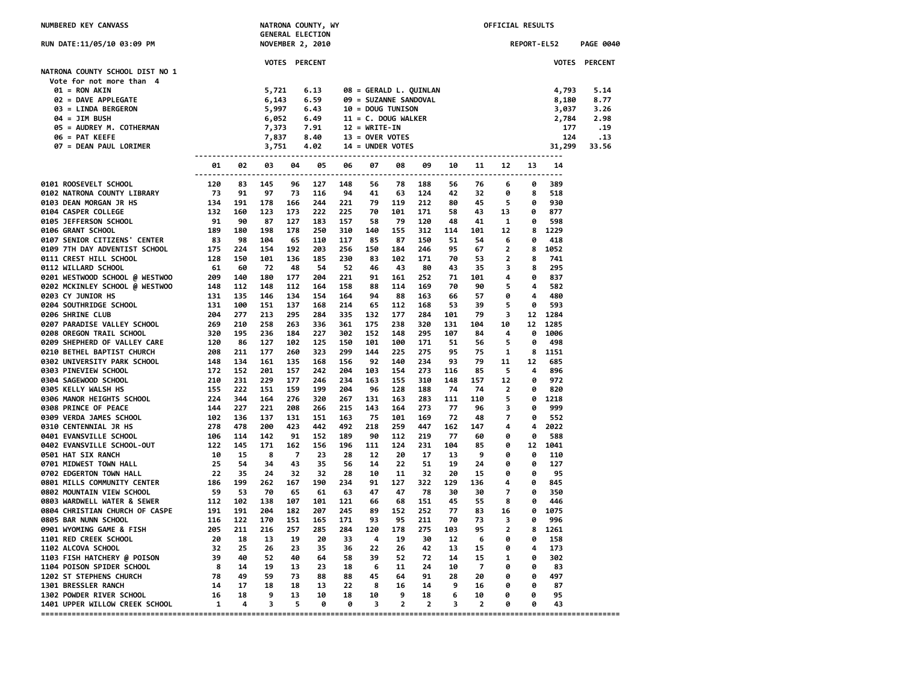| NUMBERED KEY CANVASS                                                                                                                                                                                                                                                                                              |    |       |                         |                          | NATRONA COUNTY, WY<br><b>GENERAL ELECTION</b> |             |                          |            |                                                |                          |                | OFFICIAL RESULTS  |             |                           |                  |
|-------------------------------------------------------------------------------------------------------------------------------------------------------------------------------------------------------------------------------------------------------------------------------------------------------------------|----|-------|-------------------------|--------------------------|-----------------------------------------------|-------------|--------------------------|------------|------------------------------------------------|--------------------------|----------------|-------------------|-------------|---------------------------|------------------|
| RUN DATE:11/05/10 03:09 PM                                                                                                                                                                                                                                                                                        |    |       |                         |                          | <b>NOVEMBER 2, 2010</b>                       |             |                          |            |                                                |                          |                |                   | REPORT-EL52 |                           | <b>PAGE 0040</b> |
| NATRONA COUNTY SCHOOL DIST NO 1<br>Vote for not more than 4                                                                                                                                                                                                                                                       |    |       |                         | VOTES PERCENT            |                                               |             |                          |            |                                                |                          |                |                   |             |                           | VOTES PERCENT    |
| 01 = RON AKIN                                                                                                                                                                                                                                                                                                     |    |       |                         |                          | 6.13                                          |             |                          |            | 08 = GERALD L. QUINLAN                         |                          |                |                   |             | 4,793                     | 5.14             |
| 02 = DAVE APPLEGATE                                                                                                                                                                                                                                                                                               |    |       | 5,721<br>6,143          |                          | 6.59                                          |             |                          |            | 09 = SUZANNE SANDOVAL                          |                          |                |                   |             | 8,180                     | 8.77             |
| 03 = LINDA BERGERON                                                                                                                                                                                                                                                                                               |    |       | 5,997                   |                          | 6.43                                          |             | <b>10 = DOUG TUNISON</b> |            |                                                |                          |                |                   |             | 3,037                     | 3.26             |
|                                                                                                                                                                                                                                                                                                                   |    |       |                         |                          |                                               |             |                          |            | 6.49 11 = C. DOUG WALKER<br>7.91 12 = WRITE-IN |                          |                |                   |             | 2,784                     | 2.98             |
|                                                                                                                                                                                                                                                                                                                   |    |       |                         |                          |                                               |             |                          |            |                                                |                          |                |                   |             |                           | . 19             |
|                                                                                                                                                                                                                                                                                                                   |    |       |                         |                          |                                               |             |                          |            |                                                |                          |                |                   |             |                           | .13              |
|                                                                                                                                                                                                                                                                                                                   |    |       |                         |                          |                                               |             |                          |            |                                                |                          |                |                   |             | $\frac{1}{124}$<br>31,299 | 33.56            |
| $03 = LINDA BENUENOR\n04 = JIM BUSH\n05 = AUDREY M. COTHERMAN\n06 = PAT KEEFE\n07, 837 8.40 13 = OVER VOTES\n08 = PAT KEEFE\n09 = PAT KEETE\n000 = 047.373 0.40 0.33 = OVER VOTES\n0100 = 047.373 0.40 0.33 = 0.402 0.44 = UNDER VOTES\n011 = UNDER VOTES\n012 = WKLIE-LIV\n013 = OVER VOTES\n023 = 0.402 0.44 =$ |    | 01 02 | 03 04 05 06             |                          |                                               |             | 07                       |            |                                                |                          |                |                   |             | 14                        |                  |
| 01 02 03<br>01 02 03<br>01 02 03<br>01 02 03<br>01 02 03<br>01 02 03 145<br>01 02 03 145<br>01 02 03 145<br>01 02 12 03 147<br>01 02 02 12 15<br>01 02 02 12 15<br>01 02 57 FFFR SONLEGE (NUCLENS 'CENTER<br>01 12 NET HILL SCHOOL 0 1275 224 154<br>01                                                           |    |       |                         | 96                       | 127                                           | 148         | 56                       |            | 78 188                                         | 56                       | 76             | 6                 | 0           | 389                       |                  |
|                                                                                                                                                                                                                                                                                                                   |    |       |                         | 73                       | 116                                           | 94          | 41                       |            | 63 124                                         | 42                       |                | 0                 | -8          | 518                       |                  |
|                                                                                                                                                                                                                                                                                                                   |    |       |                         | 166                      |                                               |             |                          |            | 244 221 79 119 212 80                          |                          |                | 45 5              | 0           | 930                       |                  |
|                                                                                                                                                                                                                                                                                                                   |    |       |                         | 173                      |                                               | 222 225 70  |                          |            | 101 171 58                                     |                          |                | 43 13             | 0           | 877                       |                  |
|                                                                                                                                                                                                                                                                                                                   |    |       |                         | 127                      | 183                                           | 157         | 58                       | 79         | 120                                            | 48                       |                | 41 1              | 0           | 598                       |                  |
|                                                                                                                                                                                                                                                                                                                   |    |       |                         | 178                      | 250                                           | 310         | 140                      | 155        | 312                                            | 114                      | 101            | 12 <sub>1</sub>   | 8           | 1229                      |                  |
|                                                                                                                                                                                                                                                                                                                   |    |       |                         | 65                       | 110                                           | 117         | 85                       | 87         | 150                                            | 51                       | 54             | 6                 | 0           | 418                       |                  |
|                                                                                                                                                                                                                                                                                                                   |    |       |                         | 192                      | 203                                           | 256         | 150                      | 184        | 246                                            | 95                       | 67             | $\overline{2}$    | 8           | 1052                      |                  |
|                                                                                                                                                                                                                                                                                                                   |    |       |                         | 136                      | 185                                           | 230         | 83                       | 102        | 171                                            | 70                       | 53             | $\overline{2}$    | 8           | 741                       |                  |
|                                                                                                                                                                                                                                                                                                                   |    |       |                         | 48                       | 54                                            | 52          | 46                       | 43         | - 80                                           | 43                       | 35             | 3                 | 8           | 295                       |                  |
|                                                                                                                                                                                                                                                                                                                   |    |       |                         | 177                      | 204                                           | 221         | 91                       | 161        | 252                                            | 71                       | 101            | 4                 | 0           | 837                       |                  |
|                                                                                                                                                                                                                                                                                                                   |    |       |                         | 112                      | 164                                           | 158         | 88<br>94                 | 114        | 169                                            | 70                       | 90             | 5                 | 4<br>4      | 582                       |                  |
|                                                                                                                                                                                                                                                                                                                   |    |       |                         | 134<br>137               | 154<br>168                                    | 164<br>214  | 65                       | 88<br>112  | 163<br>168                                     | 66<br>53                 | 57<br>39       | 0<br>5            | 0           | 480<br>593                |                  |
|                                                                                                                                                                                                                                                                                                                   |    |       |                         | 295                      | 284                                           | 335         | 132                      | 177        | 284                                            | 101                      | 79             | 3                 | 12          | 1284                      |                  |
|                                                                                                                                                                                                                                                                                                                   |    |       |                         | 263                      | 336                                           | 361         | 175                      | 238        | 320                                            | 131                      | 104            | 10                | 12          | 1285                      |                  |
|                                                                                                                                                                                                                                                                                                                   |    |       |                         | 184                      | 227                                           | 302         | 152                      | 148        | 295                                            | 107                      | 84             | 4                 | 0           | 1006                      |                  |
|                                                                                                                                                                                                                                                                                                                   |    |       |                         | 102                      | 125                                           | 150         | 101                      | 100        | 171                                            | 51                       | 56             | 5                 | 0           | 498                       |                  |
|                                                                                                                                                                                                                                                                                                                   |    |       |                         | 260                      | 323                                           | 299         | 144                      | 225        | 275                                            | 95                       | 75             | $\mathbf{1}$      | 8           | 1151                      |                  |
|                                                                                                                                                                                                                                                                                                                   |    |       |                         | 135                      | 168                                           | 156         | 92                       | 140        | 234                                            | 93                       | 79             | 11                | 12          | 685                       |                  |
|                                                                                                                                                                                                                                                                                                                   |    |       |                         | 157                      | 242                                           | 204         | 103                      | 154        | 273                                            | 116                      | 85             | 5                 | 4           | 896                       |                  |
|                                                                                                                                                                                                                                                                                                                   |    |       |                         | 177                      | 246                                           | 234         | 163                      | 155        | 310                                            | 148                      | 157            | 12                | 0           | 972                       |                  |
|                                                                                                                                                                                                                                                                                                                   |    |       |                         | 159                      | 199                                           | 204         | 96                       | 128        | 188                                            | 74                       | 74             | $\overline{2}$    | 0           | 820                       |                  |
|                                                                                                                                                                                                                                                                                                                   |    |       |                         | 276                      | 320                                           | 267         | 131                      | 163        | 283                                            | 111                      | 110            | 5                 | ø           | 1218                      |                  |
|                                                                                                                                                                                                                                                                                                                   |    |       |                         | 208                      | 266                                           | 215         | 143                      | 164        | 273                                            | 77                       | 96             | 3                 | 0           | 999                       |                  |
|                                                                                                                                                                                                                                                                                                                   |    |       |                         | 131<br>423               | 151<br>442                                    | 163<br>492  | 75<br>218                | 101<br>259 | 169<br>447                                     | -72<br>162               | 48<br>147      | 7<br>4            | 0<br>4      | 552<br>2022               |                  |
|                                                                                                                                                                                                                                                                                                                   |    |       |                         | 91                       | 152                                           | 189         | 90                       | 112        | 219                                            | 77                       | 60             | 0                 | A           | 588                       |                  |
|                                                                                                                                                                                                                                                                                                                   |    |       |                         | 162                      | 156                                           | 196         | 111                      | 124        | 231                                            | 104                      | 85             | 0                 | 12          | 1041                      |                  |
|                                                                                                                                                                                                                                                                                                                   |    |       |                         | $\overline{z}$           | 23                                            | 28          | 12                       | 20         | 17                                             | 13                       | - 9            | 0                 | 0           | 110                       |                  |
|                                                                                                                                                                                                                                                                                                                   |    |       |                         | 43                       | 35                                            | 56          | 14                       | 22         | 51                                             | 19                       | 24             | 0                 | 0           | 127                       |                  |
|                                                                                                                                                                                                                                                                                                                   |    |       |                         | 32                       | 32                                            | 28          | 10                       | 11         | 32                                             | 20                       | 15             | 0                 | 0           | 95                        |                  |
|                                                                                                                                                                                                                                                                                                                   |    |       |                         | 167                      | 190                                           | 234         | 91                       | 127        | 322                                            | 129                      | 136            | 4                 | 0           | 845                       |                  |
|                                                                                                                                                                                                                                                                                                                   |    |       |                         | 65                       | 61                                            | 63          | 47                       | 47         | 78                                             | 30                       | 30             | 7                 | 0           | 350                       |                  |
|                                                                                                                                                                                                                                                                                                                   |    |       |                         | 107                      | 101                                           | 121         | 66                       | 68         | 151                                            | 45                       | 55             | 8                 | 0           | 446                       |                  |
|                                                                                                                                                                                                                                                                                                                   |    |       |                         | 182                      | 207                                           | 245         | 89                       | 152        | 252                                            | 77                       | 83             | 16                | 0           | 1075                      |                  |
|                                                                                                                                                                                                                                                                                                                   |    |       |                         | 151                      | 165                                           | 171         | 93                       | 95         | 211                                            | 70                       | 73             | 3                 | ø           | 996                       |                  |
|                                                                                                                                                                                                                                                                                                                   |    |       |                         | 257                      | 285                                           | 284         | 120                      | 178        | 275                                            | 103                      | 95             | $\overline{2}$    | 8           | 1261                      |                  |
|                                                                                                                                                                                                                                                                                                                   |    | 25    |                         | 19                       | -20                                           | - 33        | - 4                      | 19         | 30                                             | - 12                     | - 6            | 0                 | 0           | 158                       |                  |
| 1102 ALCOVA SCHOOL                                                                                                                                                                                                                                                                                                | 32 |       | 26<br>52                | 23<br>40                 | 35                                            | 36<br>64 58 | 22<br>39                 | 26<br>52   | 42<br>72                                       | 13<br>14                 | 15<br>15       | 0<br>$\mathbf{1}$ | 4<br>0      | 173<br>302                |                  |
|                                                                                                                                                                                                                                                                                                                   |    |       | 19                      | 13                       |                                               | 23 18       | $6^{\circ}$              | 11         | 24 10                                          |                          | $\overline{7}$ | ø                 | ø           | 83                        |                  |
|                                                                                                                                                                                                                                                                                                                   |    |       | 59                      | -73                      |                                               | 88 88       | 45                       | 64         | 91                                             | 28                       | 20             | 0                 | 0           | 497                       |                  |
|                                                                                                                                                                                                                                                                                                                   |    |       | 18                      | 18                       |                                               | 13 22       | $_{\rm 8}$               | 16         | 14                                             | $\overline{9}$           | 16             | 0                 | 0           | 87                        |                  |
|                                                                                                                                                                                                                                                                                                                   |    |       | - 9                     | 13                       | 10                                            | 18          | 10                       | 9          | 18                                             | $6^{\circ}$              | 10             | 0                 | 0           | 95                        |                  |
| 1102 ALCOVA SCHOOL 32<br>1103 FISH HATCHERY @ POISON 39 40<br>1104 POISON SPIDER SCHOOL 8 14<br>1202 ST STEPHENS CHURCH 78 49<br>1301 BRESSLER RANCH 14 17<br>1302 POWDER RIVER SCHOOL 16 18<br>1401 UPPER WILLOW CREEK SCHOOL 1 4                                                                                |    |       | $\overline{\mathbf{3}}$ | $\overline{\phantom{0}}$ | $\bullet$                                     | $\theta$    | $\overline{\phantom{a}}$ |            | $2 \t2$                                        | $\overline{\phantom{a}}$ | $\overline{2}$ | 0                 | 0           | 43                        |                  |
|                                                                                                                                                                                                                                                                                                                   |    |       |                         |                          |                                               |             |                          |            |                                                |                          |                |                   |             |                           |                  |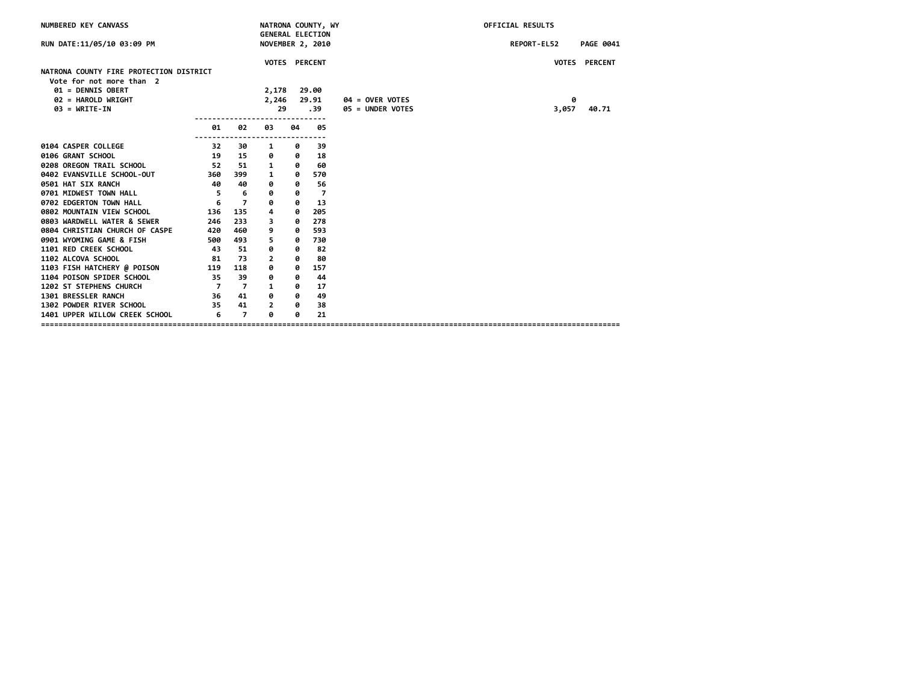| NUMBERED KEY CANVASS                                                |                          |                | NATRONA COUNTY, WY<br><b>GENERAL ELECTION</b> |    |       |                   | OFFICIAL RESULTS                |
|---------------------------------------------------------------------|--------------------------|----------------|-----------------------------------------------|----|-------|-------------------|---------------------------------|
| RUN DATE:11/05/10 03:09 PM                                          |                          |                | NOVEMBER 2, 2010                              |    |       |                   | REPORT-EL52<br><b>PAGE 0041</b> |
|                                                                     |                          |                | VOTES PERCENT                                 |    |       |                   | VOTES PERCENT                   |
| NATRONA COUNTY FIRE PROTECTION DISTRICT<br>Vote for not more than 2 |                          |                |                                               |    |       |                   |                                 |
| 01 = DENNIS OBERT                                                   |                          |                | 2,178 29.00                                   |    |       |                   |                                 |
| 02 = HAROLD WRIGHT                                                  |                          |                | 2,246                                         |    | 29.91 | $04 =$ OVER VOTES | 0                               |
| $03 = WRITE-IN$                                                     |                          |                | 29                                            |    | .39   | 05 = UNDER VOTES  | 3,057<br>40.71                  |
|                                                                     |                          |                |                                               |    |       |                   |                                 |
|                                                                     | 01                       | 02             | 03<br>$- - - - -$                             | 04 | 05    |                   |                                 |
| 0104 CASPER COLLEGE                                                 | 32                       | 30             | 1                                             | ø  | 39    |                   |                                 |
| 0106 GRANT SCHOOL                                                   | 19                       | 15             | 0                                             | 0  | 18    |                   |                                 |
| 0208 OREGON TRAIL SCHOOL                                            | 52                       | 51             | 1                                             | ø  | 60    |                   |                                 |
| 0402 EVANSVILLE SCHOOL-OUT                                          | 360                      | 399            | 1                                             | 0  | 570   |                   |                                 |
| 0501 HAT SIX RANCH                                                  | 40                       | 40             | 0                                             | 0  | 56    |                   |                                 |
| 0701 MIDWEST TOWN HALL                                              | $\overline{\phantom{0}}$ | 6              | 0                                             | 0  | -7    |                   |                                 |
| 0702 EDGERTON TOWN HALL                                             | 6                        | $\overline{7}$ | 0                                             | ø  | 13    |                   |                                 |
| 0802 MOUNTAIN VIEW SCHOOL                                           | 136                      | 135            | 4                                             | ø  | 205   |                   |                                 |
| 0803 WARDWELL WATER & SEWER                                         | 246                      | 233            | 3                                             | 0  | 278   |                   |                                 |
| 0804 CHRISTIAN CHURCH OF CASPE                                      | 420                      | 460            | 9                                             | 0  | 593   |                   |                                 |
| 0901 WYOMING GAME & FISH                                            | 500                      | 493            | 5                                             | 0  | 730   |                   |                                 |
| 1101 RED CREEK SCHOOL                                               | 43                       | 51             | 0                                             | 0  | 82    |                   |                                 |
| 1102 ALCOVA SCHOOL                                                  | 81                       | 73             | $\mathbf{2}$                                  | 0  | 80    |                   |                                 |
| 1103 FISH HATCHERY @ POISON                                         | 119                      | 118            | 0                                             | 0  | 157   |                   |                                 |
| 1104 POISON SPIDER SCHOOL                                           | 35                       | 39             | 0                                             | 0  | 44    |                   |                                 |
| 1202 ST STEPHENS CHURCH                                             | $\overline{7}$           | $\overline{7}$ | $\mathbf{1}$                                  | 0  | 17    |                   |                                 |
| 1301 BRESSLER RANCH                                                 | 36                       | 41             | 0                                             | 0  | 49    |                   |                                 |
| 1302 POWDER RIVER SCHOOL                                            | 35                       | 41             | $\overline{2}$                                | ø  | 38    |                   |                                 |
| 1401 UPPER WILLOW CREEK SCHOOL                                      | 6                        | $\overline{7}$ | ø                                             | ø  | 21    |                   |                                 |
|                                                                     |                          |                |                                               |    |       |                   |                                 |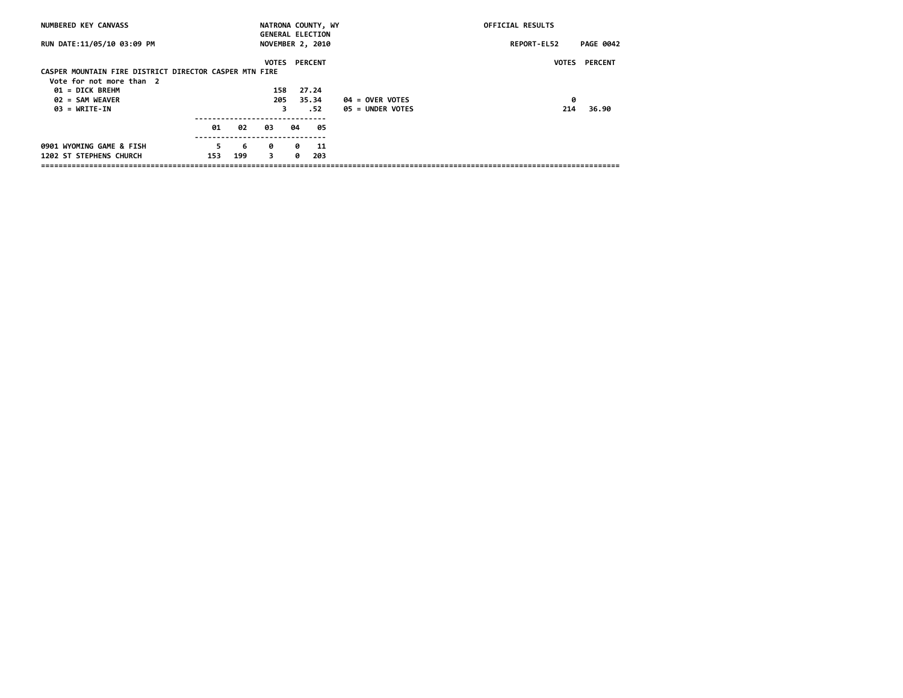| NUMBERED KEY CANVASS                                   |     |     | NATRONA COUNTY, WY      |    |                |                   | OFFICIAL RESULTS |                      |
|--------------------------------------------------------|-----|-----|-------------------------|----|----------------|-------------------|------------------|----------------------|
|                                                        |     |     | <b>GENERAL ELECTION</b> |    |                |                   |                  |                      |
| RUN DATE:11/05/10 03:09 PM                             |     |     | <b>NOVEMBER 2, 2010</b> |    |                |                   | REPORT-EL52      | <b>PAGE 0042</b>     |
|                                                        |     |     |                         |    |                |                   |                  |                      |
|                                                        |     |     | <b>VOTES</b>            |    | <b>PERCENT</b> |                   |                  | <b>VOTES PERCENT</b> |
| CASPER MOUNTAIN FIRE DISTRICT DIRECTOR CASPER MTN FIRE |     |     |                         |    |                |                   |                  |                      |
| Vote for not more than 2                               |     |     |                         |    |                |                   |                  |                      |
| 01 = DICK BREHM                                        |     |     | 158                     |    | 27.24          |                   |                  |                      |
| 02 = SAM WEAVER                                        |     |     | 205                     |    | 35.34          | $04 =$ OVER VOTES | 0                |                      |
| $03 = \text{WRTTE-IN}$                                 |     |     | 3                       |    | . 52           | 05 = UNDER VOTES  | 214              | 36.90                |
|                                                        |     |     |                         |    |                |                   |                  |                      |
|                                                        | 01  | 02  | 03                      | 04 | 05             |                   |                  |                      |
|                                                        |     |     |                         |    |                |                   |                  |                      |
| 0901 WYOMING GAME & FISH                               | 5.  | 6   | ø                       | ø  | -11            |                   |                  |                      |
| 1202 ST STEPHENS CHURCH                                | 153 | 199 | 3                       | ø  | 203            |                   |                  |                      |
|                                                        |     |     |                         |    |                |                   |                  |                      |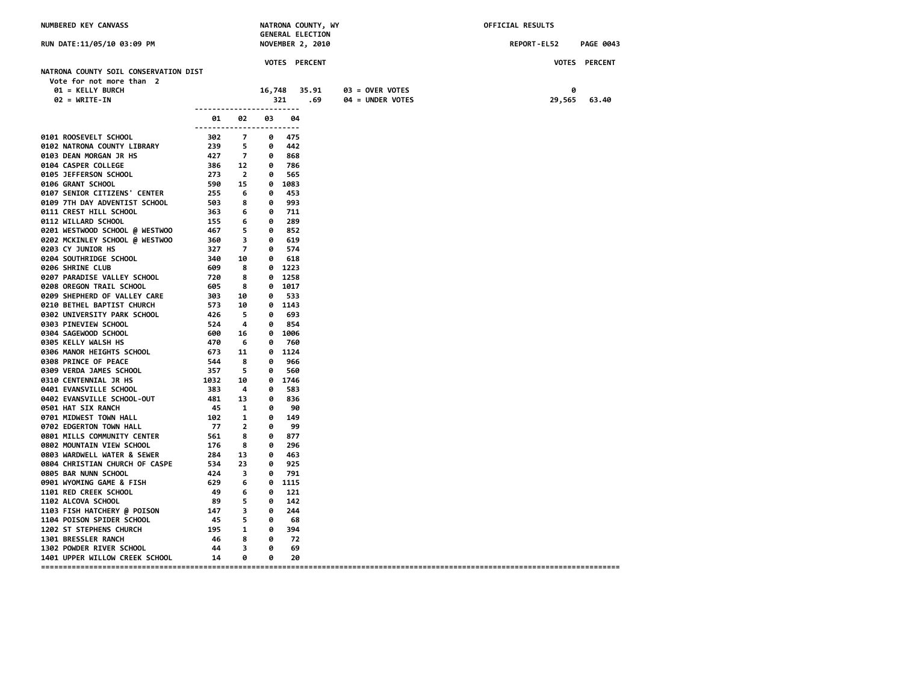| NUMBERED KEY CANVASS                                                                                                                                                                                                                                                     | NATRONA COUNTY, WY<br><b>GENERAL ELECTION</b>                                                                                                                  |                         |          |           | OFFICIAL RESULTS        |  |                   |  |  |             |        |                  |
|--------------------------------------------------------------------------------------------------------------------------------------------------------------------------------------------------------------------------------------------------------------------------|----------------------------------------------------------------------------------------------------------------------------------------------------------------|-------------------------|----------|-----------|-------------------------|--|-------------------|--|--|-------------|--------|------------------|
| RUN DATE:11/05/10 03:09 PM                                                                                                                                                                                                                                               |                                                                                                                                                                |                         |          |           | <b>NOVEMBER 2, 2010</b> |  |                   |  |  | REPORT-EL52 |        | <b>PAGE 0043</b> |
|                                                                                                                                                                                                                                                                          |                                                                                                                                                                |                         |          |           | <b>VOTES PERCENT</b>    |  |                   |  |  |             |        | VOTES PERCENT    |
| NATRONA COUNTY SOIL CONSERVATION DIST                                                                                                                                                                                                                                    |                                                                                                                                                                |                         |          |           |                         |  |                   |  |  |             |        |                  |
| Vote for not more than 2                                                                                                                                                                                                                                                 |                                                                                                                                                                |                         |          |           |                         |  |                   |  |  |             |        |                  |
| 01 = KELLY BURCH                                                                                                                                                                                                                                                         |                                                                                                                                                                |                         |          |           | 16,748 35.91            |  | $03 =$ OVER VOTES |  |  |             | 0      |                  |
| $02 = WRITE-IN$                                                                                                                                                                                                                                                          |                                                                                                                                                                |                         |          | 321       | .69                     |  | 04 = UNDER VOTES  |  |  |             | 29,565 | 63.40            |
|                                                                                                                                                                                                                                                                          | 01 —                                                                                                                                                           | 02                      | 03       | 04        |                         |  |                   |  |  |             |        |                  |
| 012 NATRONA COUNTY LIBRARY<br>012 NATRONA COUNTY LIBRARY<br>0123 DEAN MORGAN TR HS<br>0123 DEAN MORGAN TR HS<br>0123 DEAN MORGAN TR HS<br>0123 DEAN MORGAN TR HS<br>0124 CASPER COLLEGE<br>0124 CASPER COLLEGE<br>0126 GRANT SCHOOL<br>0127 SEN                          | ------------------------                                                                                                                                       |                         |          |           |                         |  |                   |  |  |             |        |                  |
|                                                                                                                                                                                                                                                                          |                                                                                                                                                                |                         |          |           |                         |  |                   |  |  |             |        |                  |
|                                                                                                                                                                                                                                                                          |                                                                                                                                                                |                         |          |           |                         |  |                   |  |  |             |        |                  |
|                                                                                                                                                                                                                                                                          |                                                                                                                                                                |                         |          |           |                         |  |                   |  |  |             |        |                  |
|                                                                                                                                                                                                                                                                          |                                                                                                                                                                |                         |          |           |                         |  |                   |  |  |             |        |                  |
|                                                                                                                                                                                                                                                                          |                                                                                                                                                                |                         |          |           |                         |  |                   |  |  |             |        |                  |
|                                                                                                                                                                                                                                                                          |                                                                                                                                                                |                         |          |           |                         |  |                   |  |  |             |        |                  |
|                                                                                                                                                                                                                                                                          |                                                                                                                                                                |                         |          |           |                         |  |                   |  |  |             |        |                  |
|                                                                                                                                                                                                                                                                          |                                                                                                                                                                |                         |          |           |                         |  |                   |  |  |             |        |                  |
|                                                                                                                                                                                                                                                                          |                                                                                                                                                                |                         |          |           |                         |  |                   |  |  |             |        |                  |
|                                                                                                                                                                                                                                                                          |                                                                                                                                                                |                         |          |           |                         |  |                   |  |  |             |        |                  |
|                                                                                                                                                                                                                                                                          |                                                                                                                                                                |                         |          |           |                         |  |                   |  |  |             |        |                  |
|                                                                                                                                                                                                                                                                          |                                                                                                                                                                |                         |          |           |                         |  |                   |  |  |             |        |                  |
|                                                                                                                                                                                                                                                                          |                                                                                                                                                                |                         |          |           |                         |  |                   |  |  |             |        |                  |
|                                                                                                                                                                                                                                                                          |                                                                                                                                                                |                         |          |           |                         |  |                   |  |  |             |        |                  |
|                                                                                                                                                                                                                                                                          |                                                                                                                                                                |                         |          |           |                         |  |                   |  |  |             |        |                  |
|                                                                                                                                                                                                                                                                          |                                                                                                                                                                |                         |          |           |                         |  |                   |  |  |             |        |                  |
|                                                                                                                                                                                                                                                                          |                                                                                                                                                                |                         |          |           |                         |  |                   |  |  |             |        |                  |
|                                                                                                                                                                                                                                                                          |                                                                                                                                                                |                         |          |           |                         |  |                   |  |  |             |        |                  |
|                                                                                                                                                                                                                                                                          |                                                                                                                                                                |                         |          |           |                         |  |                   |  |  |             |        |                  |
|                                                                                                                                                                                                                                                                          |                                                                                                                                                                |                         |          |           |                         |  |                   |  |  |             |        |                  |
|                                                                                                                                                                                                                                                                          |                                                                                                                                                                |                         |          |           |                         |  |                   |  |  |             |        |                  |
|                                                                                                                                                                                                                                                                          |                                                                                                                                                                |                         |          |           |                         |  |                   |  |  |             |        |                  |
|                                                                                                                                                                                                                                                                          |                                                                                                                                                                |                         |          |           |                         |  |                   |  |  |             |        |                  |
|                                                                                                                                                                                                                                                                          |                                                                                                                                                                |                         |          |           |                         |  |                   |  |  |             |        |                  |
|                                                                                                                                                                                                                                                                          |                                                                                                                                                                |                         |          |           |                         |  |                   |  |  |             |        |                  |
| 0401 EVANSVILLE SCHOOL                                                                                                                                                                                                                                                   |                                                                                                                                                                |                         |          | 0 583     |                         |  |                   |  |  |             |        |                  |
|                                                                                                                                                                                                                                                                          |                                                                                                                                                                |                         |          | 836<br>90 |                         |  |                   |  |  |             |        |                  |
|                                                                                                                                                                                                                                                                          |                                                                                                                                                                |                         |          | 0 149     |                         |  |                   |  |  |             |        |                  |
|                                                                                                                                                                                                                                                                          |                                                                                                                                                                |                         |          | 99        |                         |  |                   |  |  |             |        |                  |
|                                                                                                                                                                                                                                                                          |                                                                                                                                                                |                         |          | 0 877     |                         |  |                   |  |  |             |        |                  |
|                                                                                                                                                                                                                                                                          |                                                                                                                                                                |                         |          | 0 296     |                         |  |                   |  |  |             |        |                  |
|                                                                                                                                                                                                                                                                          |                                                                                                                                                                |                         |          | 463       |                         |  |                   |  |  |             |        |                  |
|                                                                                                                                                                                                                                                                          |                                                                                                                                                                |                         |          | 925       |                         |  |                   |  |  |             |        |                  |
|                                                                                                                                                                                                                                                                          |                                                                                                                                                                |                         |          | 0 791     |                         |  |                   |  |  |             |        |                  |
|                                                                                                                                                                                                                                                                          |                                                                                                                                                                |                         |          | 0 1115    |                         |  |                   |  |  |             |        |                  |
|                                                                                                                                                                                                                                                                          |                                                                                                                                                                |                         |          | 0 121     |                         |  |                   |  |  |             |        |                  |
|                                                                                                                                                                                                                                                                          |                                                                                                                                                                |                         |          |           |                         |  |                   |  |  |             |        |                  |
| 481 13<br>481 13<br>481 13<br>481 13<br>481 13<br>481 13<br>481 13<br>481 13<br>481 13<br>481 13<br>481 13<br>481 13<br>481 13<br>481 13<br>482 1<br>45<br>182 1 6<br>6882 MOUNTAIN VIEW SCHOOL<br>568 BAR NUNNL NCHOOL<br>568 BAR NUNN SCHOOL<br>49<br>69 BAR NUNN SCHO | $\begin{array}{ccccccc}\n4 & 9 & 6 & 6 & 121 \\ 89 & 5 & 0 & 142 \\ 147 & 3 & 0 & 244 \\ 45 & 5 & 0 & 68 \\ 195 & 1 & 0 & 394 \\ 46 & 8 & 0 & 72\n\end{array}$ |                         |          |           |                         |  |                   |  |  |             |        |                  |
|                                                                                                                                                                                                                                                                          |                                                                                                                                                                |                         |          |           |                         |  |                   |  |  |             |        |                  |
|                                                                                                                                                                                                                                                                          |                                                                                                                                                                |                         |          |           |                         |  |                   |  |  |             |        |                  |
| <b>1301 BRESSLER RANCH</b>                                                                                                                                                                                                                                               | 46 8                                                                                                                                                           |                         | $\theta$ | 72        |                         |  |                   |  |  |             |        |                  |
| בשכת DOWDER RIVER SCHOOL בשכב<br>1302 POWDER RIVER SCHOOL                                                                                                                                                                                                                | 44                                                                                                                                                             | $\overline{\mathbf{3}}$ | 0        | 69        |                         |  |                   |  |  |             |        |                  |
| 1401 UPPER WILLOW CREEK SCHOOL                                                                                                                                                                                                                                           | - 14                                                                                                                                                           | 0                       | 0        | 20        |                         |  |                   |  |  |             |        |                  |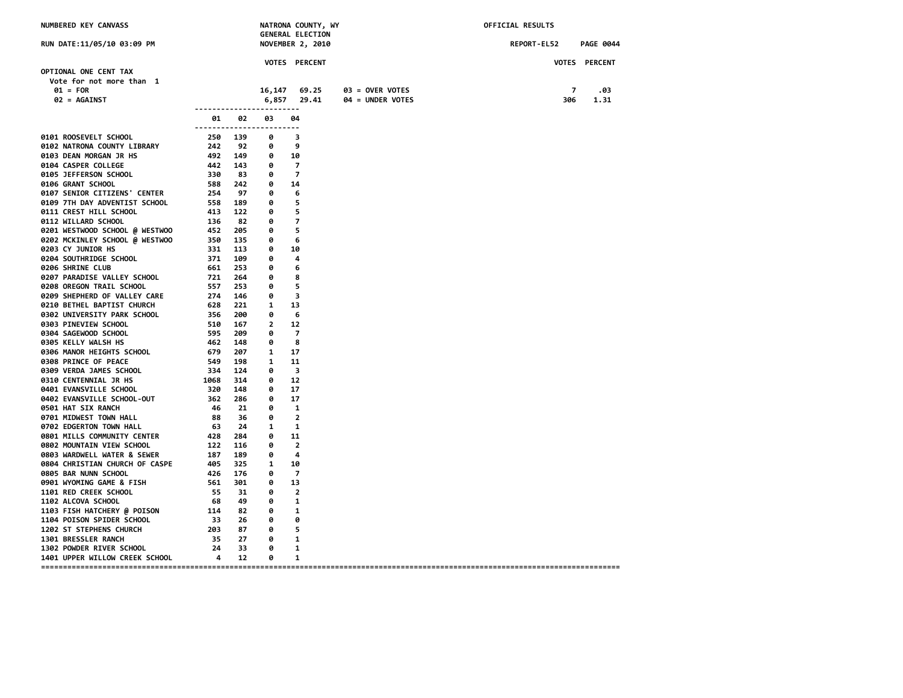| NUMBERED KEY CANVASS                                                  |                                                          | NATRONA COUNTY, WY<br><b>GENERAL ELECTION</b> |                |                         |                                       | OFFICIAL RESULTS |                  |  |  |
|-----------------------------------------------------------------------|----------------------------------------------------------|-----------------------------------------------|----------------|-------------------------|---------------------------------------|------------------|------------------|--|--|
| RUN DATE:11/05/10 03:09 PM                                            |                                                          |                                               |                | <b>NOVEMBER 2, 2010</b> |                                       | REPORT-EL52      | <b>PAGE 0044</b> |  |  |
|                                                                       |                                                          |                                               |                | VOTES PERCENT           |                                       |                  | VOTES PERCENT    |  |  |
| OPTIONAL ONE CENT TAX                                                 |                                                          |                                               |                |                         |                                       |                  |                  |  |  |
| Vote for not more than 1<br>$01 = FOR$                                |                                                          |                                               | 16,147         | 69.25                   |                                       | 7                | .03              |  |  |
| 02 = AGAINST                                                          |                                                          |                                               | 6,857          | 29.41                   | $03 =$ OVER VOTES<br>04 = UNDER VOTES | 306              | 1.31             |  |  |
|                                                                       |                                                          |                                               |                |                         |                                       |                  |                  |  |  |
|                                                                       | 01<br>------------------------                           | 02                                            | 03             | 04                      |                                       |                  |                  |  |  |
| 0101 ROOSEVELT SCHOOL                                                 | 250 139                                                  |                                               | 0              | 3                       |                                       |                  |                  |  |  |
| 0102 NATRONA COUNTY LIBRARY                                           | 242                                                      | 92                                            | 0              | 9                       |                                       |                  |                  |  |  |
| 0103 DEAN MORGAN JR HS                                                | 492 149                                                  |                                               | 0              | 10                      |                                       |                  |                  |  |  |
| 0104 CASPER COLLEGE                                                   | 442 143                                                  |                                               | 0              | $\overline{7}$          |                                       |                  |                  |  |  |
| 0105 JEFFERSON SCHOOL                                                 | 330                                                      | 83                                            | 0              | 7                       |                                       |                  |                  |  |  |
| 0106 GRANT SCHOOL                                                     | 588<br>254                                               | 242                                           | 0              | 14                      |                                       |                  |                  |  |  |
| 0107 SENIOR CITIZENS' CENTER                                          |                                                          | 97                                            | 0              | 6                       |                                       |                  |                  |  |  |
| 0109 7TH DAY ADVENTIST SCHOOL                                         | 558 189<br>558<br>413                                    |                                               | 0              | 5                       |                                       |                  |                  |  |  |
| 0111 CREST HILL SCHOOL                                                |                                                          | 122                                           | 0              | 5                       |                                       |                  |                  |  |  |
| 0112 WILLARD SCHOOL                                                   | $136$ 82<br>$452$ 205<br>$359$ 135<br>$331$ 113<br>$133$ |                                               | 0              | 7                       |                                       |                  |                  |  |  |
| 0201 WESTWOOD SCHOOL @ WESTWOO                                        |                                                          |                                               | 0              | 5                       |                                       |                  |                  |  |  |
| 0202 MCKINLEY SCHOOL @ WESTWOO                                        |                                                          |                                               | 0              | 6                       |                                       |                  |                  |  |  |
| 0203 CY JUNIOR HS<br>0204 SOUTHRIDGE SCHOOL                           | $\frac{55}{371}$                                         | 109                                           | 0<br>0         | 10<br>4                 |                                       |                  |                  |  |  |
| 0206 SHRINE CLUB                                                      | 661                                                      | 253                                           | 0              | 6                       |                                       |                  |                  |  |  |
| 0207 PARADISE VALLEY SCHOOL                                           | 721                                                      | 264                                           | 0              | 8                       |                                       |                  |                  |  |  |
| 0208 OREGON TRAIL SCHOOL                                              | 557                                                      | 253                                           | 0              | 5                       |                                       |                  |                  |  |  |
| 0209 SHEPHERD OF VALLEY CARE                                          |                                                          | 146                                           | 0              | 3                       |                                       |                  |                  |  |  |
| 0210 BETHEL BAPTIST CHURCH                                            | ---<br>274<br>628                                        | 221                                           | $\mathbf{1}$   | 13                      |                                       |                  |                  |  |  |
| 0302 UNIVERSITY PARK SCHOOL                                           | 356<br>356<br>510<br>595<br>462                          | 200                                           | 0              | 6                       |                                       |                  |                  |  |  |
| 0303 PINEVIEW SCHOOL                                                  |                                                          | 167                                           | $\overline{2}$ | 12                      |                                       |                  |                  |  |  |
| 0304 SAGEWOOD SCHOOL                                                  |                                                          | 209                                           | 0              | $\overline{7}$          |                                       |                  |                  |  |  |
| 0305 KELLY WALSH HS                                                   |                                                          | 148                                           | 0              | 8                       |                                       |                  |                  |  |  |
| 0306 MANOR HEIGHTS SCHOOL                                             | 679                                                      | 207                                           | $\mathbf{1}$   | 17                      |                                       |                  |                  |  |  |
| 0308 PRINCE OF PEACE                                                  | 549<br>334<br>1068                                       | 198                                           | $\mathbf{1}$   | 11                      |                                       |                  |                  |  |  |
| 0309 VERDA JAMES SCHOOL                                               |                                                          | 124                                           | 0              | 3                       |                                       |                  |                  |  |  |
| <b>0310 CENTENNIAL JR HS</b>                                          |                                                          | 314                                           | 0              | 12                      |                                       |                  |                  |  |  |
| 0401 EVANSVILLE SCHOOL                                                | 320                                                      | 148                                           | 0              | 17                      |                                       |                  |                  |  |  |
| 0402 EVANSVILLE SCHOOL-OUT                                            | 362 286                                                  |                                               | 0              | 17                      |                                       |                  |                  |  |  |
| 0501 HAT SIX RANCH                                                    | 46                                                       | 21                                            | 0              | 1                       |                                       |                  |                  |  |  |
| 0701 MIDWEST TOWN HALL                                                | 88                                                       | 36                                            | 0              | $\overline{2}$          |                                       |                  |                  |  |  |
| 0702 EDGERTON TOWN HALL                                               | 63                                                       | 24                                            | $\mathbf{1}$   | -1                      |                                       |                  |                  |  |  |
| 0801 MILLS COMMUNITY CENTER                                           | 428                                                      | 284                                           | 0              | 11                      |                                       |                  |                  |  |  |
| 0802 MOUNTAIN VIEW SCHOOL                                             | 122                                                      | 116                                           | 0              | $\overline{2}$          |                                       |                  |                  |  |  |
| 9803 WARDWELL WATER & SEWER 187<br>9804 CHRISTIAN CHURCH OF CASPE 405 |                                                          | 189                                           | 0              | 4                       |                                       |                  |                  |  |  |
|                                                                       |                                                          | 325                                           | $\mathbf{1}$   | 10                      |                                       |                  |                  |  |  |
| 0805 BAR NUNN SCHOOL                                                  | 426                                                      | 176                                           | 0              | $\overline{7}$          |                                       |                  |                  |  |  |
| 0901 WYOMING GAME & FISH                                              | 561                                                      | 301                                           | 0              | 13                      |                                       |                  |                  |  |  |
| 1101 RED CREEK SCHOOL                                                 | 55                                                       | - 31                                          | 0              | 2                       |                                       |                  |                  |  |  |
| 1102 ALCOVA SCHOOL                                                    | - 68                                                     | 49                                            | 0              | 1                       |                                       |                  |                  |  |  |
| 1103 FISH HATCHERY @ POISON<br>1104 POISON SPIDER SCHOOL              | $\frac{114}{11}$                                         | 82                                            | 0<br>0         | 1<br>0                  |                                       |                  |                  |  |  |
| 1202 ST STEPHENS CHURCH                                               | $33$ 26<br>203 87                                        |                                               | 0              | 5                       |                                       |                  |                  |  |  |
| 1301 BRESSLER RANCH                                                   | 35                                                       | 27                                            | 0              | 1                       |                                       |                  |                  |  |  |
| 1302 POWDER RIVER SCHOOL                                              | 24                                                       | 33                                            | 0              | 1                       |                                       |                  |                  |  |  |
| 1401 UPPER WILLOW CREEK SCHOOL 4                                      |                                                          | 12                                            | 0              | 1                       |                                       |                  |                  |  |  |
|                                                                       |                                                          |                                               |                |                         |                                       |                  |                  |  |  |